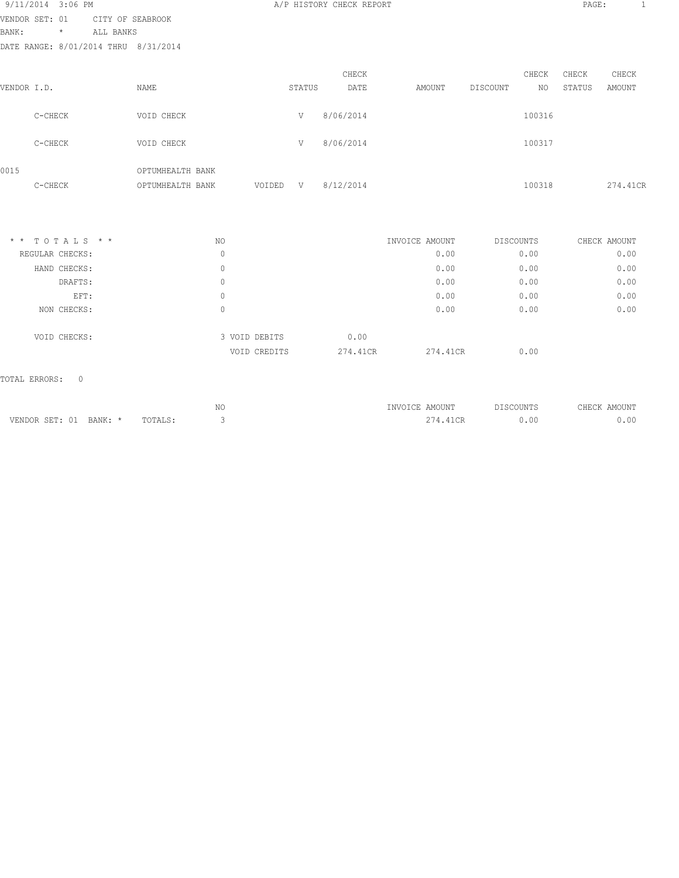|                |         | 9/11/2014 3:06 PM |                  |                                      |        |        | A/P HISTORY CHECK REPORT |        |          |        | PAGE:  |          | 1 |
|----------------|---------|-------------------|------------------|--------------------------------------|--------|--------|--------------------------|--------|----------|--------|--------|----------|---|
| VENDOR SET: 01 |         |                   | CITY OF SEABROOK |                                      |        |        |                          |        |          |        |        |          |   |
| BANK:          |         | $\star$           | ALL BANKS        |                                      |        |        |                          |        |          |        |        |          |   |
|                |         |                   |                  | DATE RANGE: 8/01/2014 THRU 8/31/2014 |        |        |                          |        |          |        |        |          |   |
|                |         |                   |                  |                                      |        |        | CHECK                    |        |          | CHECK  | CHECK  | CHECK    |   |
| VENDOR I.D.    |         |                   |                  | NAME                                 |        | STATUS | DATE                     | AMOUNT | DISCOUNT | NO     | STATUS | AMOUNT   |   |
|                | C-CHECK |                   |                  | VOID CHECK                           |        | V      | 8/06/2014                |        |          | 100316 |        |          |   |
|                | C-CHECK |                   |                  | VOID CHECK                           |        | V      | 8/06/2014                |        |          | 100317 |        |          |   |
| 0015           | C-CHECK |                   |                  | OPTUMHEALTH BANK<br>OPTUMHEALTH BANK | VOIDED | V      | 8/12/2014                |        |          | 100318 |        | 274.41CR |   |
|                |         |                   |                  |                                      |        |        |                          |        |          |        |        |          |   |

| $*$ * TOTALS * * | NO |               | INVOICE AMOUNT |          | DISCOUNTS | CHECK AMOUNT |
|------------------|----|---------------|----------------|----------|-----------|--------------|
| REGULAR CHECKS:  | 0  |               |                | 0.00     | 0.00      | 0.00         |
| HAND CHECKS:     | 0  |               |                | 0.00     | 0.00      | 0.00         |
| DRAFTS:          | 0  |               |                | 0.00     | 0.00      | 0.00         |
| EFT:             | 0  |               |                | 0.00     | 0.00      | 0.00         |
| NON CHECKS:      | 0  |               |                | 0.00     | 0.00      | 0.00         |
| VOID CHECKS:     |    | 3 VOID DEBITS | 0.00           |          |           |              |
|                  |    | VOID CREDITS  | 274.41CR       | 274.41CR | 0.00      |              |

|            | $-1$<br>◡ | 'UUN'.<br>$\sim$ IVII | ----<br>. . |
|------------|-----------|-----------------------|-------------|
| -----<br>. |           |                       | $\sim$      |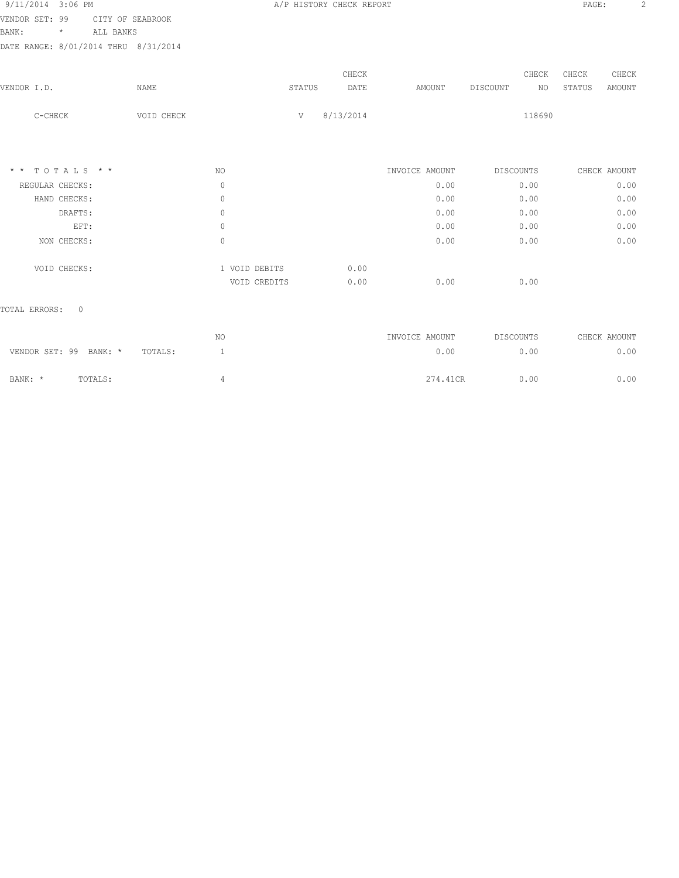| CHECK<br>CHECK<br>STATUS<br>AMOUNT |  |
|------------------------------------|--|
|                                    |  |
|                                    |  |
|                                    |  |
|                                    |  |
|                                    |  |
|                                    |  |
|                                    |  |
| CHECK AMOUNT                       |  |
| 0.00                               |  |
| 0.00                               |  |
| 0.00                               |  |
| 0.00                               |  |
| 0.00                               |  |
|                                    |  |
|                                    |  |
|                                    |  |
|                                    |  |

|                        |         |         | NO | INVOICE AMOUNT | DISCOUNTS | CHECK AMOUNT |
|------------------------|---------|---------|----|----------------|-----------|--------------|
| VENDOR SET: 99 BANK: * |         | TOTALS: |    | 0.00           | 0.00      | 0.00         |
| BANK: *                | TOTALS: |         |    | 274.41CR       | 0.00      | 0.00         |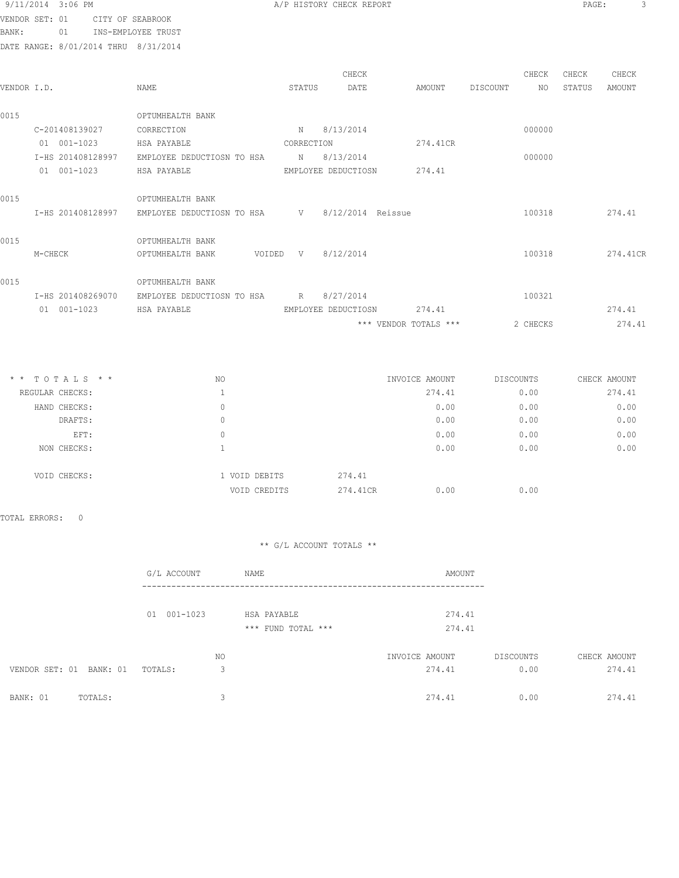| 9/11/2014 3:06 PM |    |                           |
|-------------------|----|---------------------------|
| VENDOR SET: 01    |    | CITY OF SEABROOK          |
| BANK :            | 01 | <b>INS-EMPLOYEE TRUST</b> |

A/P HISTORY CHECK REPORT PAGE: 3

DATE RANGE: 8/01/2014 THRU 8/31/2014

| VENDOR I.D. |                   | NAME                                           | STATUS     | CHECK<br>DATE         | AMOUNT   | DISCOUNT | CHECK<br>NO | CHECK<br>STATUS | CHECK<br>AMOUNT |
|-------------|-------------------|------------------------------------------------|------------|-----------------------|----------|----------|-------------|-----------------|-----------------|
| 0015        |                   | OPTUMHEALTH BANK                               |            |                       |          |          |             |                 |                 |
|             | C-201408139027    | CORRECTION                                     |            | N 8/13/2014           |          |          | 000000      |                 |                 |
|             | 01 001-1023       | HSA PAYABLE                                    | CORRECTION |                       | 274.41CR |          |             |                 |                 |
|             | I-HS 201408128997 | EMPLOYEE DEDUCTIOSN TO HSA                     |            | N 8/13/2014           |          |          | 000000      |                 |                 |
|             | 01 001-1023       | HSA PAYABLE                                    |            | EMPLOYEE DEDUCTIOSN   | 274.41   |          |             |                 |                 |
| 0015        |                   | OPTUMHEALTH BANK                               |            |                       |          |          |             |                 |                 |
|             | I-HS 201408128997 | EMPLOYEE DEDUCTIOSN TO HSA V 8/12/2014 Reissue |            |                       |          |          | 100318      |                 | 274.41          |
| 0015        |                   | OPTUMHEALTH BANK                               |            |                       |          |          |             |                 |                 |
|             | M-CHECK           | VOIDED V 8/12/2014<br>OPTUMHEALTH BANK         |            |                       |          |          |             |                 | 100318 274.41CR |
| 0015        |                   | OPTUMHEALTH BANK                               |            |                       |          |          |             |                 |                 |
|             | I-HS 201408269070 | EMPLOYEE DEDUCTIOSN TO HSA R 8/27/2014         |            |                       |          |          | 100321      |                 |                 |
|             | 01 001-1023       | HSA PAYABLE<br>EMPLOYEE DEDUCTIOSN             |            |                       | 274.41   |          |             |                 | 274.41          |
|             |                   |                                                |            | *** VENDOR TOTALS *** |          |          | 2 CHECKS    |                 | 274.41          |

| $*$ * TOTALS * * | NO. |               | INVOICE AMOUNT | DISCOUNTS    | CHECK AMOUNT |
|------------------|-----|---------------|----------------|--------------|--------------|
| REGULAR CHECKS:  |     |               | 274.41         | 0.00         | 274.41       |
| HAND CHECKS:     | 0   |               |                | 0.00<br>0.00 | 0.00         |
| DRAFTS:          | 0   |               |                | 0.00<br>0.00 | 0.00         |
| EFT:             | 0   |               |                | 0.00<br>0.00 | 0.00         |
| NON CHECKS:      |     |               |                | 0.00<br>0.00 | 0.00         |
| VOID CHECKS:     |     | 1 VOID DEBITS | 274.41         |              |              |
|                  |     | VOID CREDITS  | 274.41CR       | 0.00<br>0.00 |              |

TOTAL ERRORS: 0

|                         | G/L ACCOUNT | NAME               | AMOUNT         |           |              |
|-------------------------|-------------|--------------------|----------------|-----------|--------------|
|                         | 01 001-1023 | HSA PAYABLE        | 274.41         |           |              |
|                         |             | *** FUND TOTAL *** | 274.41         |           |              |
|                         |             | NO                 | INVOICE AMOUNT | DISCOUNTS | CHECK AMOUNT |
| VENDOR SET: 01 BANK: 01 | TOTALS:     | 3                  | 274.41         | 0.00      | 274.41       |
| BANK: 01<br>TOTALS:     |             | 3                  | 274.41         | 0.00      | 274.41       |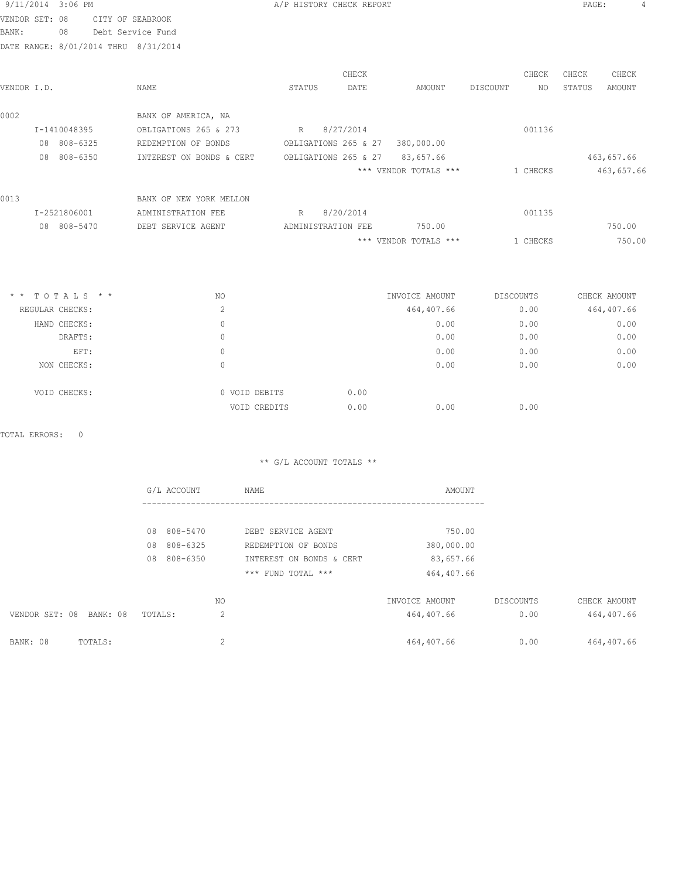| 9/11/2014 3:06 PM |                                      |
|-------------------|--------------------------------------|
|                   | VENDOR SET: 08 CITY OF SEABROOK      |
| BANK:             | 08 Debt Service Fund                 |
|                   | DATE RANGE: 8/01/2014 THRU 8/31/2014 |

|                |                          | CHECK                |                       | CHECK    | CHECK         | CHECK      |
|----------------|--------------------------|----------------------|-----------------------|----------|---------------|------------|
| VENDOR I.D.    | NAME                     | STATUS<br>DATE       | AMOUNT                | DISCOUNT | STATUS<br>NO. | AMOUNT     |
| 0002           | BANK OF AMERICA, NA      |                      |                       |          |               |            |
| I-1410048395   | OBLIGATIONS 265 & 273    | 8/27/2014<br>R       |                       | 001136   |               |            |
| 808-6325<br>08 | REDEMPTION OF BONDS      | OBLIGATIONS 265 & 27 | 380,000.00            |          |               |            |
| 808-6350<br>08 | INTEREST ON BONDS & CERT | OBLIGATIONS 265 & 27 | 83,657.66             |          |               | 463,657.66 |
|                |                          |                      | *** VENDOR TOTALS *** | 1 CHECKS |               | 463,657.66 |
| 0013           | BANK OF NEW YORK MELLON  |                      |                       |          |               |            |
| I-2521806001   | ADMINISTRATION FEE       | R<br>8/20/2014       |                       | 001135   |               |            |
| 08 808-5470    | DEBT SERVICE AGENT       | ADMINISTRATION FEE   | 750.00                |          |               | 750.00     |
|                |                          |                      | *** VENDOR TOTALS *** | 1 CHECKS |               | 750.00     |

| $*$ * TOTALS * * | NO |                       | INVOICE AMOUNT | DISCOUNTS | CHECK AMOUNT |
|------------------|----|-----------------------|----------------|-----------|--------------|
| REGULAR CHECKS:  | ∠  |                       | 464,407.66     | 0.00      | 464,407.66   |
| HAND CHECKS:     | 0  |                       | 0.00           | 0.00      | 0.00         |
| DRAFTS:          |    |                       | 0.00           | 0.00      | 0.00         |
| EFT:             |    |                       | 0.00           | 0.00      | 0.00         |
| NON CHECKS:      |    |                       | 0.00           | 0.00      | 0.00         |
|                  |    |                       |                |           |              |
| VOID CHECKS:     |    | 0 VOID DEBITS<br>0.00 |                |           |              |
|                  |    | 0.00<br>VOID CREDITS  | 0.00           | 0.00      |              |

|                            | G/L ACCOUNT    |    | NAME                     | AMOUNT         |           |              |
|----------------------------|----------------|----|--------------------------|----------------|-----------|--------------|
|                            |                |    |                          |                |           |              |
|                            | 08 808-5470    |    | DEBT SERVICE AGENT       | 750.00         |           |              |
|                            | 808-6325<br>08 |    | REDEMPTION OF BONDS      | 380,000.00     |           |              |
|                            | 808-6350<br>08 |    | INTEREST ON BONDS & CERT | 83,657.66      |           |              |
|                            |                |    | *** FUND TOTAL ***       | 464,407.66     |           |              |
|                            |                | NO |                          | INVOICE AMOUNT | DISCOUNTS | CHECK AMOUNT |
| VENDOR SET: 08<br>BANK: 08 | TOTALS:        | 2  |                          | 464,407.66     | 0.00      | 464,407.66   |
| BANK: 08<br>TOTALS:        |                | 2  |                          | 464,407.66     | 0.00      | 464,407.66   |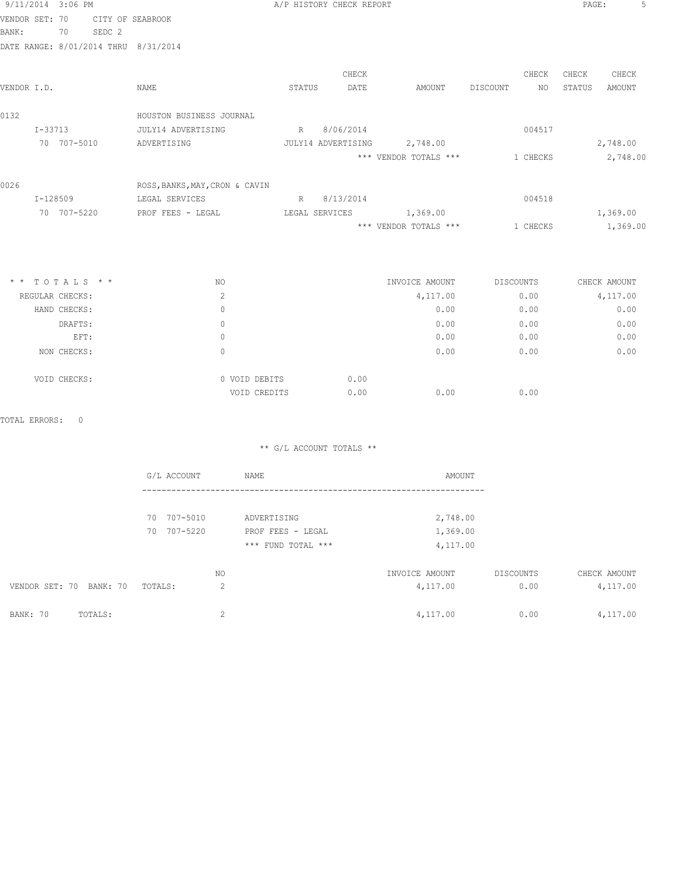|                | 9/11/2014 3:06 PM |                   |                                      |                | A/P HISTORY CHECK REPORT |                       |                 | PAGE:  |               |
|----------------|-------------------|-------------------|--------------------------------------|----------------|--------------------------|-----------------------|-----------------|--------|---------------|
| VENDOR SET: 70 |                   |                   | CITY OF SEABROOK                     |                |                          |                       |                 |        |               |
| BANK:          | 70                | SEDC <sub>2</sub> |                                      |                |                          |                       |                 |        |               |
|                |                   |                   | DATE RANGE: 8/01/2014 THRU 8/31/2014 |                |                          |                       |                 |        |               |
|                |                   |                   |                                      |                | CHECK                    |                       | CHECK           | CHECK  | CHECK         |
| VENDOR I.D.    |                   |                   | NAME                                 | STATUS         | DATE                     | AMOUNT                | DISCOUNT<br>NO. | STATUS | <b>AMOUNT</b> |
| 0132           |                   |                   | HOUSTON BUSINESS JOURNAL             |                |                          |                       |                 |        |               |
|                | $I - 33713$       |                   | JULY14 ADVERTISING                   |                | R 8/06/2014              |                       | 004517          |        |               |
|                | 70 707-5010       |                   | ADVERTISING                          |                | JULY14 ADVERTISING       | 2,748.00              |                 |        | 2,748.00      |
|                |                   |                   |                                      |                |                          | *** VENDOR TOTALS *** | 1 CHECKS        |        | 2,748.00      |
| 0026           |                   |                   | ROSS, BANKS, MAY, CRON & CAVIN       |                |                          |                       |                 |        |               |
|                | I-128509          |                   | LEGAL SERVICES                       | R              | 8/13/2014                |                       | 004518          |        |               |
|                | 70 707-5220       |                   | PROF FEES - LEGAL                    | LEGAL SERVICES |                          | 1,369.00              |                 |        | 1,369.00      |
|                |                   |                   |                                      |                |                          | *** VENDOR TOTALS *** | 1 CHECKS        |        | 1,369.00      |
|                |                   |                   |                                      |                |                          |                       |                 |        |               |
|                | $*$ * TOTALS * *  |                   | NO                                   |                |                          | INVOICE AMOUNT        | DISCOUNTS       |        | CHECK AMOUNT  |
|                | REGULAR CHECKS:   |                   | $\mathbf{2}$                         |                |                          | 4,117.00              | 0.00            |        | 4,117.00      |
|                | HAND CHECKS:      |                   | $\Omega$                             |                |                          | 0.00                  | 0.00            |        | 0.00          |
|                | DRAFTS:           |                   | $\Omega$                             |                |                          | 0.00                  | 0.00            |        | 0.00          |
|                | EFT:              |                   | $\mathbf{0}$                         |                |                          | 0.00                  | 0.00            |        | 0.00          |
|                | NON CHECKS:       |                   | $\Omega$                             |                |                          | 0.00                  | 0.00            |        | 0.00          |
|                | VOID CHECKS:      |                   | 0 VOID DEBITS                        |                | 0.00                     |                       |                 |        |               |
|                |                   |                   | VOID CREDITS                         |                | 0.00                     | 0.00                  | 0.00            |        |               |

|                         | G/L ACCOUNT | NAME               | AMOUNT         |           |              |
|-------------------------|-------------|--------------------|----------------|-----------|--------------|
|                         |             |                    |                |           |              |
|                         | 70 707-5010 | ADVERTISING        | 2,748.00       |           |              |
|                         | 70 707-5220 | PROF FEES - LEGAL  | 1,369.00       |           |              |
|                         |             | *** FUND TOTAL *** | 4,117.00       |           |              |
|                         |             | NO.                | INVOICE AMOUNT | DISCOUNTS | CHECK AMOUNT |
| VENDOR SET: 70 BANK: 70 | TOTALS:     | 2                  | 4,117.00       | 0.00      | 4,117.00     |
| BANK: 70<br>TOTALS:     |             | $\sim$             | 4,117.00       | 0.00      | 4,117.00     |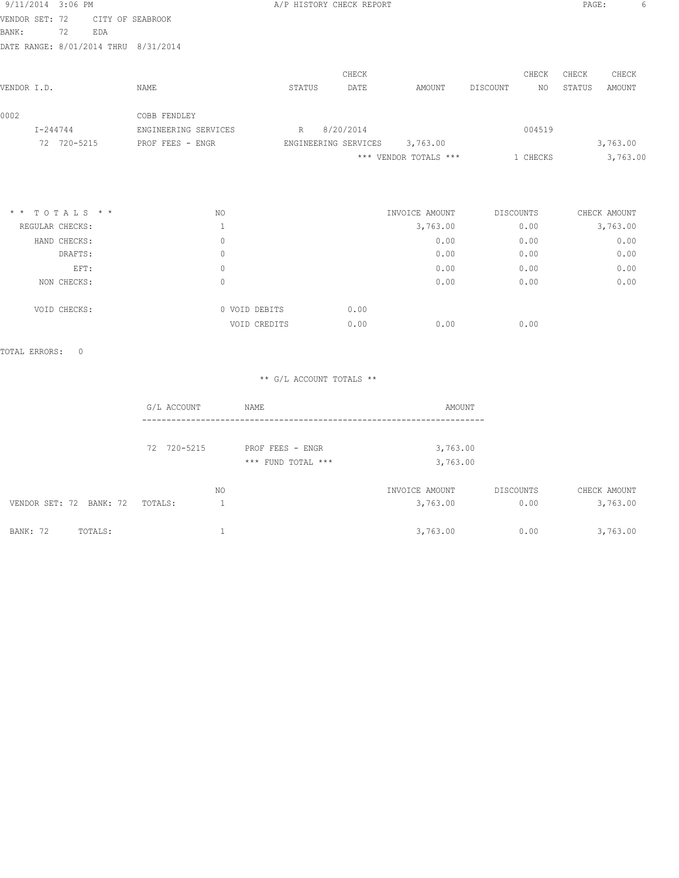| 9/11/2014 3:06 PM                    |             |     |                      | A/P HISTORY CHECK REPORT |                      |                       |          |          | PAGE:  | 6        |
|--------------------------------------|-------------|-----|----------------------|--------------------------|----------------------|-----------------------|----------|----------|--------|----------|
| VENDOR SET: 72                       |             |     | CITY OF SEABROOK     |                          |                      |                       |          |          |        |          |
| BANK:                                | 72          | EDA |                      |                          |                      |                       |          |          |        |          |
| DATE RANGE: 8/01/2014 THRU 8/31/2014 |             |     |                      |                          |                      |                       |          |          |        |          |
|                                      |             |     |                      |                          | CHECK                |                       |          | CHECK    | CHECK  | CHECK    |
| VENDOR I.D.                          |             |     | NAME                 | STATUS                   | DATE                 | AMOUNT                | DISCOUNT | NO.      | STATUS | AMOUNT   |
| 0002                                 |             |     | COBB FENDLEY         |                          |                      |                       |          |          |        |          |
| I-244744                             |             |     | ENGINEERING SERVICES | R                        | 8/20/2014            |                       |          | 004519   |        |          |
|                                      | 72 720-5215 |     | PROF FEES - ENGR     |                          | ENGINEERING SERVICES | 3,763.00              |          |          |        | 3,763.00 |
|                                      |             |     |                      |                          |                      | *** VENDOR TOTALS *** |          | 1 CHECKS |        | 3,763.00 |
|                                      |             |     |                      |                          |                      |                       |          |          |        |          |
|                                      |             |     |                      |                          |                      |                       |          |          |        |          |
|                                      |             |     |                      |                          |                      |                       |          |          |        |          |

| $*$ * TOTALS * * | NO |               | INVOICE AMOUNT | DISCOUNTS | CHECK AMOUNT |
|------------------|----|---------------|----------------|-----------|--------------|
| REGULAR CHECKS:  |    |               | 3,763.00       | 0.00      | 3,763.00     |
| HAND CHECKS:     | 0  |               | 0.00           | 0.00      | 0.00         |
| DRAFTS:          | 0  |               | 0.00           | 0.00      | 0.00         |
| EFT:             | 0  |               | 0.00           | 0.00      | 0.00         |
| NON CHECKS:      | 0  |               | 0.00           | 0.00      | 0.00         |
| VOID CHECKS:     |    | 0 VOID DEBITS | 0.00           |           |              |
|                  |    | VOID CREDITS  | 0.00<br>0.00   | 0.00      |              |

|                         | G/L ACCOUNT | NAME               | AMOUNT         |           |              |
|-------------------------|-------------|--------------------|----------------|-----------|--------------|
|                         |             |                    |                |           |              |
|                         | 72 720-5215 | PROF FEES - ENGR   | 3,763.00       |           |              |
|                         |             | *** FUND TOTAL *** | 3,763.00       |           |              |
|                         |             | NO.                | INVOICE AMOUNT | DISCOUNTS | CHECK AMOUNT |
| VENDOR SET: 72 BANK: 72 | TOTALS:     |                    | 3,763.00       | 0.00      | 3,763.00     |
| BANK: 72<br>TOTALS:     |             |                    | 3,763.00       | 0.00      | 3,763.00     |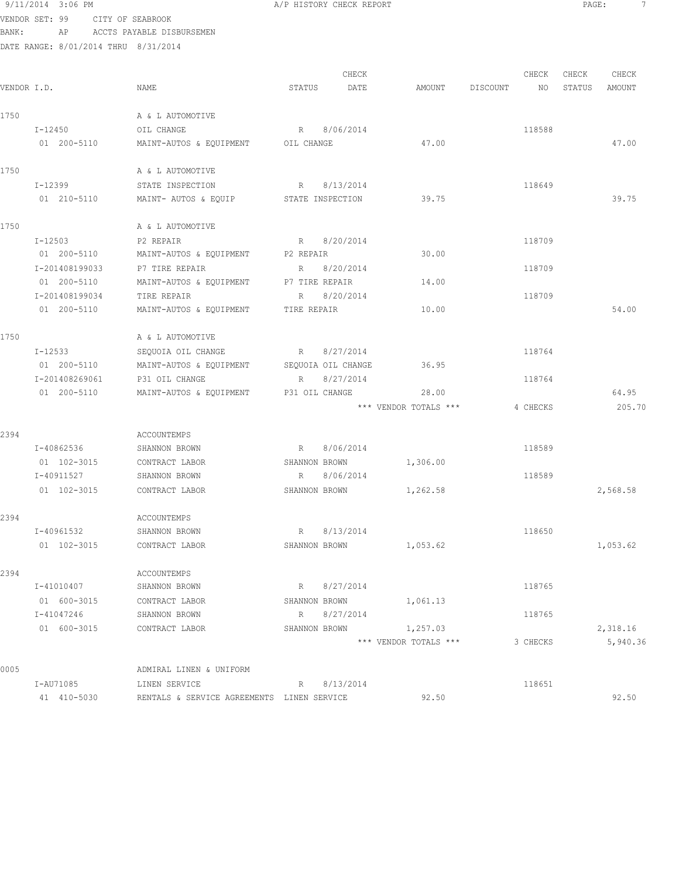|       | 9/11/2014 3:06 PM                    |                           |                    | A/P HISTORY CHECK REPORT |                       |          |    | PAGE:  |          | 7 |
|-------|--------------------------------------|---------------------------|--------------------|--------------------------|-----------------------|----------|----|--------|----------|---|
|       | VENDOR SET: 99                       | CITY OF SEABROOK          |                    |                          |                       |          |    |        |          |   |
| BANK: | AP                                   | ACCTS PAYABLE DISBURSEMEN |                    |                          |                       |          |    |        |          |   |
|       | DATE RANGE: 8/01/2014 THRU 8/31/2014 |                           |                    |                          |                       |          |    |        |          |   |
|       |                                      |                           |                    |                          |                       |          |    |        |          |   |
|       |                                      |                           |                    | CHECK                    |                       | CHECK    |    | CHECK  | CHECK    |   |
|       | VENDOR I.D.                          | NAME                      | STATUS             | DATE                     | AMOUNT                | DISCOUNT | NO | STATUS | AMOUNT   |   |
|       |                                      |                           |                    |                          |                       |          |    |        |          |   |
| 1750  |                                      | A & L AUTOMOTIVE          |                    |                          |                       |          |    |        |          |   |
|       | I-12450                              | OIL CHANGE                |                    | R 8/06/2014              |                       | 118588   |    |        |          |   |
|       | 01 200-5110                          | MAINT-AUTOS & EQUIPMENT   | OIL CHANGE         |                          | 47.00                 |          |    |        | 47.00    |   |
| 1750  |                                      | A & L AUTOMOTIVE          |                    |                          |                       |          |    |        |          |   |
|       | I-12399                              | STATE INSPECTION          | R                  | 8/13/2014                |                       | 118649   |    |        |          |   |
|       | 01 210-5110                          | MAINT- AUTOS & EQUIP      |                    | STATE INSPECTION         | 39.75                 |          |    |        | 39.75    |   |
|       |                                      |                           |                    |                          |                       |          |    |        |          |   |
| 1750  |                                      | A & L AUTOMOTIVE          |                    |                          |                       |          |    |        |          |   |
|       | I-12503                              | P2 REPAIR                 | R                  | 8/20/2014                |                       | 118709   |    |        |          |   |
|       | 01 200-5110                          | MAINT-AUTOS & EQUIPMENT   | P2 REPAIR          |                          | 30.00                 |          |    |        |          |   |
|       | I-201408199033                       | P7 TIRE REPAIR            | R                  | 8/20/2014                |                       | 118709   |    |        |          |   |
|       | 01 200-5110                          | MAINT-AUTOS & EQUIPMENT   | P7 TIRE REPAIR     |                          | 14.00                 |          |    |        |          |   |
|       | I-201408199034                       | TIRE REPAIR               | R                  | 8/20/2014                |                       | 118709   |    |        |          |   |
|       | 01 200-5110                          | MAINT-AUTOS & EQUIPMENT   | TIRE REPAIR        |                          | 10.00                 |          |    |        | 54.00    |   |
|       |                                      |                           |                    |                          |                       |          |    |        |          |   |
| 1750  |                                      | A & L AUTOMOTIVE          |                    |                          |                       |          |    |        |          |   |
|       | I-12533                              | SEQUOIA OIL CHANGE        | R                  | 8/27/2014                |                       | 118764   |    |        |          |   |
|       | 01 200-5110                          | MAINT-AUTOS & EQUIPMENT   | SEQUOIA OIL CHANGE |                          | 36.95                 |          |    |        |          |   |
|       | I-201408269061                       | P31 OIL CHANGE            | R                  | 8/27/2014                |                       | 118764   |    |        |          |   |
|       | 01 200-5110                          | MAINT-AUTOS & EQUIPMENT   | P31 OIL CHANGE     |                          | 28.00                 |          |    |        | 64.95    |   |
|       |                                      |                           |                    |                          | *** VENDOR TOTALS *** | 4 CHECKS |    |        | 205.70   |   |
|       |                                      |                           |                    |                          |                       |          |    |        |          |   |
| 2394  |                                      | <b>ACCOUNTEMPS</b>        |                    |                          |                       |          |    |        |          |   |
|       | I-40862536                           | SHANNON BROWN             | R                  | 8/06/2014                |                       | 118589   |    |        |          |   |
|       | 01 102-3015                          | CONTRACT LABOR            | SHANNON BROWN      |                          | 1,306.00              |          |    |        |          |   |
|       | I-40911527                           | SHANNON BROWN             | R                  | 8/06/2014                |                       | 118589   |    |        |          |   |
|       | 01 102-3015                          | CONTRACT LABOR            | SHANNON BROWN      |                          | 1,262.58              |          |    |        | 2,568.58 |   |
|       |                                      |                           |                    |                          |                       |          |    |        |          |   |
| 2394  |                                      | ACCOUNTEMPS               |                    |                          |                       |          |    |        |          |   |
|       | I-40961532                           | SHANNON BROWN             | R                  | 8/13/2014                |                       | 118650   |    |        |          |   |
|       | 01 102-3015                          | CONTRACT LABOR            |                    | SHANNON BROWN            | 1,053.62              |          |    |        | 1,053.62 |   |
|       |                                      |                           |                    |                          |                       |          |    |        |          |   |
| 2394  |                                      | ACCOUNTEMPS               |                    |                          |                       |          |    |        |          |   |
|       | I-41010407                           | SHANNON BROWN             | R                  | 8/27/2014                |                       | 118765   |    |        |          |   |
|       | 01 600-3015                          | CONTRACT LABOR            | SHANNON BROWN      |                          | 1,061.13              |          |    |        |          |   |
|       | I-41047246                           | SHANNON BROWN             | R                  | 8/27/2014                |                       | 118765   |    |        |          |   |
|       | 01 600-3015                          | CONTRACT LABOR            | SHANNON BROWN      |                          | 1,257.03              |          |    |        | 2,318.16 |   |
|       |                                      |                           |                    |                          | *** VENDOR TOTALS *** | 3 CHECKS |    |        | 5,940.36 |   |
| 0005  |                                      | ADMIRAL LINEN & UNIFORM   |                    |                          |                       |          |    |        |          |   |
|       |                                      |                           |                    |                          |                       |          |    |        |          |   |

 I-AU71085 LINEN SERVICE R 8/13/2014 118651 41 410-5030 RENTALS & SERVICE AGREEMENTS LINEN SERVICE 92.50 92.50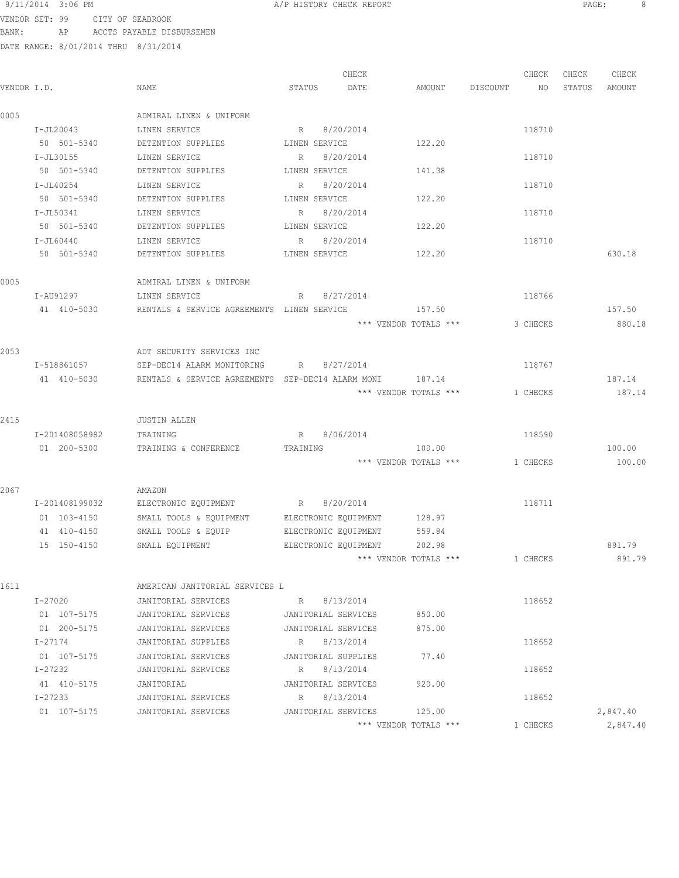|             |                 |                                                   |               | CHECK                |                       |          | CHECK    | CHECK  | CHECK    |
|-------------|-----------------|---------------------------------------------------|---------------|----------------------|-----------------------|----------|----------|--------|----------|
| VENDOR I.D. |                 | NAME                                              | STATUS        | DATE                 | AMOUNT                | DISCOUNT | NO       | STATUS | AMOUNT   |
| 0005        |                 | ADMIRAL LINEN & UNIFORM                           |               |                      |                       |          |          |        |          |
|             | $I-JL20043$     | LINEN SERVICE                                     | R             | 8/20/2014            |                       |          | 118710   |        |          |
|             | 50 501-5340     | DETENTION SUPPLIES LINEN SERVICE                  |               |                      | 122.20                |          |          |        |          |
|             | I-JL30155       | LINEN SERVICE                                     | R             | 8/20/2014            |                       |          | 118710   |        |          |
|             | 50 501-5340     | DETENTION SUPPLIES                                | LINEN SERVICE |                      | 141.38                |          |          |        |          |
|             | I-JL40254       | LINEN SERVICE                                     | R             | 8/20/2014            |                       |          | 118710   |        |          |
|             | 50 501-5340     | DETENTION SUPPLIES                                | LINEN SERVICE |                      | 122.20                |          |          |        |          |
|             | I-JL50341       | LINEN SERVICE                                     | R             | 8/20/2014            |                       |          | 118710   |        |          |
|             | 50 501-5340     | DETENTION SUPPLIES                                | LINEN SERVICE |                      | 122.20                |          |          |        |          |
|             | I-JL60440       | LINEN SERVICE                                     | R 8/20/2014   |                      |                       |          | 118710   |        |          |
|             | 50 501-5340     | DETENTION SUPPLIES                                | LINEN SERVICE |                      | 122.20                |          |          |        | 630.18   |
| 0005        |                 | ADMIRAL LINEN & UNIFORM                           |               |                      |                       |          |          |        |          |
|             | I-AU91297       | LINEN SERVICE<br>$R \sim 1$                       |               | 8/27/2014            |                       |          | 118766   |        |          |
|             | 41 410-5030     | RENTALS & SERVICE AGREEMENTS LINEN SERVICE 457.50 |               |                      |                       |          |          |        | 157.50   |
|             |                 |                                                   |               |                      | *** VENDOR TOTALS *** |          | 3 CHECKS |        | 880.18   |
|             |                 |                                                   |               |                      |                       |          |          |        |          |
| 2053        |                 | ADT SECURITY SERVICES INC                         |               |                      |                       |          |          |        |          |
|             | I-518861057     | SEP-DEC14 ALARM MONITORING                        | R             | 8/27/2014            |                       |          | 118767   |        |          |
|             | 41 410-5030     | RENTALS & SERVICE AGREEMENTS SEP-DEC14 ALARM MONI |               |                      | 187.14                |          |          |        | 187.14   |
|             |                 |                                                   |               |                      | *** VENDOR TOTALS *** |          | 1 CHECKS |        | 187.14   |
|             |                 |                                                   |               |                      |                       |          |          |        |          |
| 2415        |                 | <b>JUSTIN ALLEN</b>                               |               |                      |                       |          |          |        |          |
|             | I-201408058982  | TRAINING                                          |               | R 8/06/2014          |                       |          | 118590   |        |          |
|             | 01 200-5300     | TRAINING & CONFERENCE                             | TRAINING      |                      | 100.00                |          |          |        | 100.00   |
|             |                 |                                                   |               |                      | *** VENDOR TOTALS *** |          | 1 CHECKS |        | 100.00   |
| 2067        |                 | AMAZON                                            |               |                      |                       |          |          |        |          |
|             | I-201408199032  | ELECTRONIC EQUIPMENT R 8/20/2014                  |               |                      |                       |          | 118711   |        |          |
|             | $01 103 - 4150$ | SMALL TOOLS & EQUIPMENT ELECTRONIC EQUIPMENT      |               |                      | 128.97                |          |          |        |          |
|             | 41 410-4150     | SMALL TOOLS & EQUIP                               |               | ELECTRONIC EQUIPMENT | 559.84                |          |          |        |          |
|             | 15 150-4150     | SMALL EQUIPMENT                                   |               | ELECTRONIC EQUIPMENT | 202.98                |          |          |        | 891.79   |
|             |                 |                                                   |               |                      | *** VENDOR TOTALS *** |          | 1 CHECKS |        | 891.79   |
| 1611        |                 | AMERICAN JANITORIAL SERVICES L                    |               |                      |                       |          |          |        |          |
|             | I-27020         | JANITORIAL SERVICES                               | R 8/13/2014   |                      |                       |          | 118652   |        |          |
|             | 01 107-5175     | JANITORIAL SERVICES                               |               | JANITORIAL SERVICES  | 850.00                |          |          |        |          |
|             | 01 200-5175     | JANITORIAL SERVICES                               |               | JANITORIAL SERVICES  | 875.00                |          |          |        |          |
|             | I-27174         | JANITORIAL SUPPLIES                               |               | R 8/13/2014          |                       |          | 118652   |        |          |
|             | 01 107-5175     | JANITORIAL SERVICES                               |               | JANITORIAL SUPPLIES  | 77.40                 |          |          |        |          |
|             | I-27232         | JANITORIAL SERVICES                               |               | R 8/13/2014          |                       |          | 118652   |        |          |
|             | 41 410-5175     | JANITORIAL                                        |               | JANITORIAL SERVICES  | 920.00                |          |          |        |          |
|             | I-27233         | JANITORIAL SERVICES                               |               | R 8/13/2014          |                       |          | 118652   |        |          |
|             | 01 107-5175     | JANITORIAL SERVICES                               |               | JANITORIAL SERVICES  | 125.00                |          |          |        | 2,847.40 |
|             |                 |                                                   |               |                      | *** VENDOR TOTALS *** |          | 1 CHECKS |        | 2,847.40 |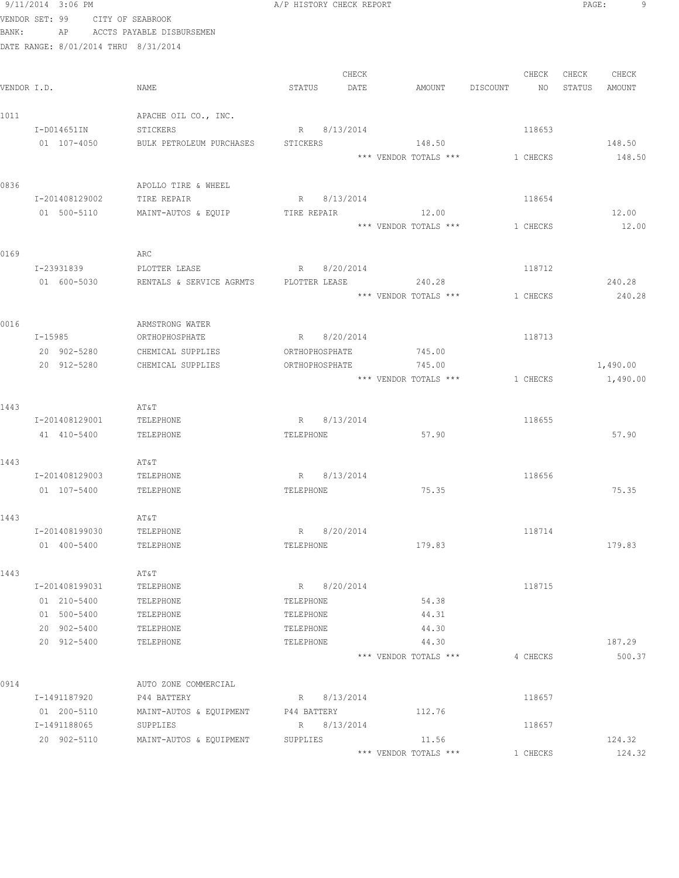|             | 9/11/2014 3:06 PM                    |                           | A/P HISTORY CHECK REPORT |                       |                 | 9<br>PAGE:       |
|-------------|--------------------------------------|---------------------------|--------------------------|-----------------------|-----------------|------------------|
|             | VENDOR SET: 99                       | CITY OF SEABROOK          |                          |                       |                 |                  |
| BANK:       | AP                                   | ACCTS PAYABLE DISBURSEMEN |                          |                       |                 |                  |
|             | DATE RANGE: 8/01/2014 THRU 8/31/2014 |                           |                          |                       |                 |                  |
|             |                                      |                           |                          |                       |                 |                  |
|             |                                      |                           | CHECK                    |                       | CHECK           | CHECK<br>CHECK   |
| VENDOR I.D. |                                      | NAME                      | STATUS<br>DATE           | AMOUNT                | DISCOUNT<br>NO. | STATUS<br>AMOUNT |
| 1011        |                                      | APACHE OIL CO., INC.      |                          |                       |                 |                  |
|             | I-D014651IN                          | STICKERS                  | R 8/13/2014              |                       | 118653          |                  |
|             | 01 107-4050                          | BULK PETROLEUM PURCHASES  | STICKERS                 | 148.50                |                 | 148.50           |
|             |                                      |                           |                          | *** VENDOR TOTALS *** | 1 CHECKS        | 148.50           |
|             |                                      |                           |                          |                       |                 |                  |
| 0836        |                                      | APOLLO TIRE & WHEEL       |                          |                       |                 |                  |
|             | I-201408129002                       | TIRE REPAIR               | R 8/13/2014              |                       | 118654          |                  |
|             | 01 500-5110                          | MAINT-AUTOS & EQUIP       | TIRE REPAIR              | 12.00                 |                 | 12.00            |
|             |                                      |                           |                          | *** VENDOR TOTALS *** | 1 CHECKS        | 12.00            |
|             |                                      |                           |                          |                       |                 |                  |
| 0169        |                                      | ARC                       |                          |                       |                 |                  |
|             | I-23931839                           | PLOTTER LEASE             | R<br>8/20/2014           |                       | 118712          |                  |
|             | 01 600-5030                          | RENTALS & SERVICE AGRMTS  | PLOTTER LEASE 240.28     |                       |                 | 240.28           |
|             |                                      |                           |                          | *** VENDOR TOTALS *** | 1 CHECKS        | 240.28           |
| 0016        |                                      | ARMSTRONG WATER           |                          |                       |                 |                  |
|             | I-15985                              | ORTHOPHOSPHATE            | R 8/20/2014              |                       | 118713          |                  |
|             | 20 902-5280                          | CHEMICAL SUPPLIES         | ORTHOPHOSPHATE           | 745.00                |                 |                  |
|             | 20 912-5280                          | CHEMICAL SUPPLIES         | ORTHOPHOSPHATE           | 745.00                |                 | 1,490.00         |
|             |                                      |                           |                          | *** VENDOR TOTALS *** | 1 CHECKS        | 1,490.00         |
|             |                                      |                           |                          |                       |                 |                  |
| 1443        |                                      | AT&T                      |                          |                       |                 |                  |
|             | I-201408129001                       | TELEPHONE                 | R 8/13/2014              |                       | 118655          |                  |
|             | 41 410-5400                          | TELEPHONE                 | TELEPHONE                | 57.90                 |                 | 57.90            |
| 1443        |                                      | AT&T                      |                          |                       |                 |                  |
|             | I-201408129003                       | TELEPHONE                 | R 8/13/2014              |                       | 118656          |                  |
|             | 01 107-5400                          | TELEPHONE                 | TELEPHONE                | 75.35                 |                 | 75.35            |
|             |                                      |                           |                          |                       |                 |                  |
| 1443        |                                      | AT&T                      |                          |                       |                 |                  |
|             | I-201408199030                       | TELEPHONE                 | R 8/20/2014              |                       | 118714          |                  |
|             | 01 400-5400                          | TELEPHONE                 | TELEPHONE                | 179.83                |                 | 179.83           |
|             |                                      |                           |                          |                       |                 |                  |
| 1443        |                                      | AT&T                      |                          |                       |                 |                  |
|             | I-201408199031                       | TELEPHONE                 | R 8/20/2014              |                       | 118715          |                  |
|             | 01 210-5400<br>01 500-5400           | TELEPHONE<br>TELEPHONE    | TELEPHONE<br>TELEPHONE   | 54.38<br>44.31        |                 |                  |
|             | 20 902-5400                          | TELEPHONE                 | TELEPHONE                | 44.30                 |                 |                  |
|             | 20 912-5400                          | TELEPHONE                 | TELEPHONE                | 44.30                 |                 | 187.29           |
|             |                                      |                           |                          | *** VENDOR TOTALS *** | 4 CHECKS        | 500.37           |
|             |                                      |                           |                          |                       |                 |                  |
| 0914        |                                      | AUTO ZONE COMMERCIAL      |                          |                       |                 |                  |
|             | I-1491187920                         | P44 BATTERY               | R 8/13/2014              |                       | 118657          |                  |
|             | 01 200-5110                          | MAINT-AUTOS & EQUIPMENT   | P44 BATTERY              | 112.76                |                 |                  |
|             | I-1491188065                         | SUPPLIES                  | R 8/13/2014              |                       | 118657          |                  |
|             | 20 902-5110                          | MAINT-AUTOS & EQUIPMENT   | SUPPLIES                 | 11.56                 |                 | 124.32           |
|             |                                      |                           |                          | *** VENDOR TOTALS *** | 1 CHECKS        | 124.32           |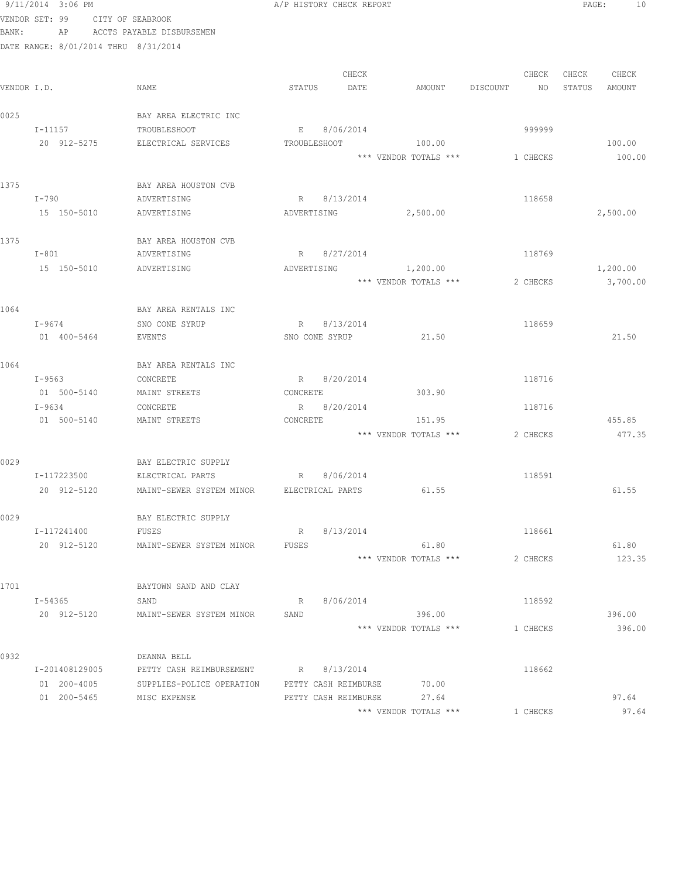|       | 9/11/2014 3:06 PM                    |                                            | A/P HISTORY CHECK REPORT                                       | PAGE:<br>10      |
|-------|--------------------------------------|--------------------------------------------|----------------------------------------------------------------|------------------|
|       | VENDOR SET: 99                       | CITY OF SEABROOK                           |                                                                |                  |
| BANK: |                                      | AP ACCTS PAYABLE DISBURSEMEN               |                                                                |                  |
|       | DATE RANGE: 8/01/2014 THRU 8/31/2014 |                                            |                                                                |                  |
|       |                                      |                                            |                                                                |                  |
|       |                                      |                                            | CHECK<br>CHECK                                                 | CHECK<br>CHECK   |
|       | VENDOR I.D.                          | NAME                                       | STATUS<br>DATE<br>DISCOUNT<br>AMOUNT<br>NO                     | STATUS<br>AMOUNT |
|       |                                      |                                            |                                                                |                  |
| 0025  |                                      | BAY AREA ELECTRIC INC                      |                                                                |                  |
|       | I-11157<br>20 912-5275               | TROUBLESHOOT<br>ELECTRICAL SERVICES        | E 8/06/2014<br>999999<br><b>TROUBLESHOOT</b><br>100.00         | 100.00           |
|       |                                      |                                            | *** VENDOR TOTALS ***<br>1 CHECKS                              | 100.00           |
|       |                                      |                                            |                                                                |                  |
| 1375  |                                      | BAY AREA HOUSTON CVB                       |                                                                |                  |
|       | I-790                                | ADVERTISING                                | R 8/13/2014<br>118658                                          |                  |
|       | 15 150-5010                          | ADVERTISING                                | 2,500.00<br>ADVERTISING                                        | 2,500.00         |
|       |                                      |                                            |                                                                |                  |
| 1375  |                                      | BAY AREA HOUSTON CVB                       |                                                                |                  |
|       | $I-801$                              | ADVERTISING                                | 118769<br>8/27/2014<br>R                                       |                  |
|       | 15 150-5010                          | ADVERTISING                                | 1,200.00<br>ADVERTISING                                        | 1,200.00         |
|       |                                      |                                            | *** VENDOR TOTALS ***<br>2 CHECKS                              | 3,700.00         |
|       |                                      |                                            |                                                                |                  |
| 1064  |                                      | BAY AREA RENTALS INC                       |                                                                |                  |
|       | $I - 9674$<br>01 400-5464            | SNO CONE SYRUP<br>EVENTS                   | 8/13/2014<br>R<br>118659<br>21.50<br>SNO CONE SYRUP            | 21.50            |
|       |                                      |                                            |                                                                |                  |
| 1064  |                                      | BAY AREA RENTALS INC                       |                                                                |                  |
|       | I-9563                               | CONCRETE                                   | R 8/20/2014<br>118716                                          |                  |
|       | 01 500-5140                          | MAINT STREETS                              | 303.90<br>CONCRETE                                             |                  |
|       | I-9634                               | CONCRETE                                   | R 8/20/2014<br>118716                                          |                  |
|       | 01 500-5140                          | MAINT STREETS                              | CONCRETE<br>151.95                                             | 455.85           |
|       |                                      |                                            | *** VENDOR TOTALS ***<br>2 CHECKS                              | 477.35           |
|       |                                      |                                            |                                                                |                  |
| 0029  |                                      | BAY ELECTRIC SUPPLY                        |                                                                |                  |
|       | I-117223500                          | ELECTRICAL PARTS                           | R 8/06/2014<br>118591                                          |                  |
|       | 20 912-5120                          | MAINT-SEWER SYSTEM MINOR FELECTRICAL PARTS | 61.55                                                          | 61.55            |
| 0029  |                                      | BAY ELECTRIC SUPPLY                        |                                                                |                  |
|       | I-117241400                          | FUSES                                      | R<br>8/13/2014<br>118661                                       |                  |
|       | 20 912-5120                          | MAINT-SEWER SYSTEM MINOR                   | 61.80<br>FUSES                                                 | 61.80            |
|       |                                      |                                            | *** VENDOR TOTALS ***<br>2 CHECKS                              | 123.35           |
|       |                                      |                                            |                                                                |                  |
| 1701  |                                      | BAYTOWN SAND AND CLAY                      |                                                                |                  |
|       | I-54365                              | SAND                                       | R 8/06/2014<br>118592                                          |                  |
|       | 20 912-5120                          | MAINT-SEWER SYSTEM MINOR                   | SAND<br>396.00                                                 | 396.00           |
|       |                                      |                                            | *** VENDOR TOTALS ***<br>1 CHECKS                              | 396.00           |
|       |                                      |                                            |                                                                |                  |
| 0932  |                                      | DEANNA BELL                                |                                                                |                  |
|       | I-201408129005                       | PETTY CASH REIMBURSEMENT                   | R 8/13/2014<br>118662                                          |                  |
|       | 01 200-4005<br>01 200-5465           | SUPPLIES-POLICE OPERATION<br>MISC EXPENSE  | 70.00<br>PETTY CASH REIMBURSE<br>27.64<br>PETTY CASH REIMBURSE | 97.64            |
|       |                                      |                                            | *** VENDOR TOTALS ***<br>1 CHECKS                              | 97.64            |
|       |                                      |                                            |                                                                |                  |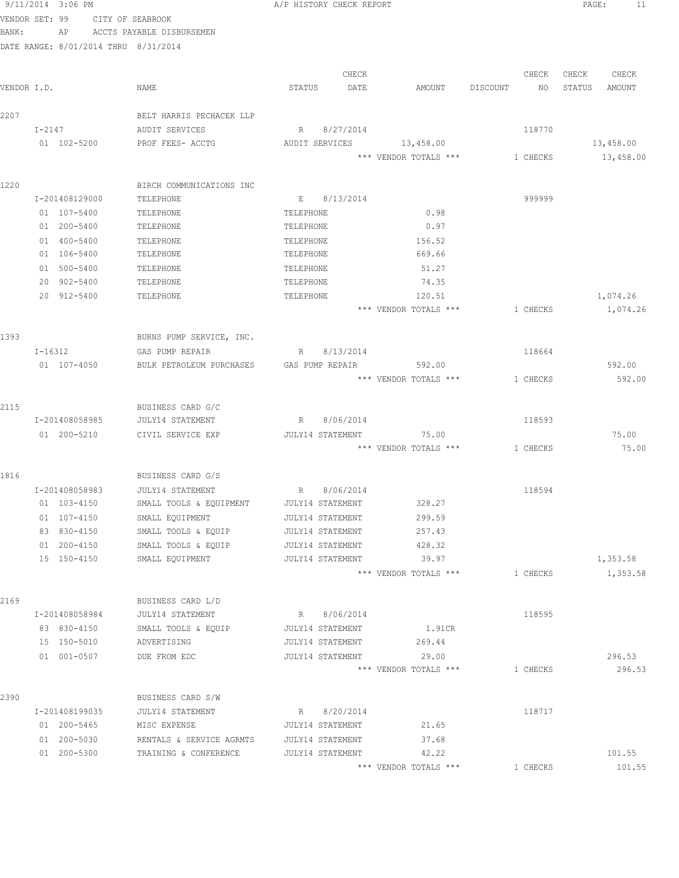|             |        | 9/11/2014 3:06 PM          |                                      | A/P HISTORY CHECK REPORT |                  |                                |          |          | PAGE:  | 11                   |
|-------------|--------|----------------------------|--------------------------------------|--------------------------|------------------|--------------------------------|----------|----------|--------|----------------------|
|             |        |                            | VENDOR SET: 99 CITY OF SEABROOK      |                          |                  |                                |          |          |        |                      |
| BANK:       |        |                            | AP ACCTS PAYABLE DISBURSEMEN         |                          |                  |                                |          |          |        |                      |
|             |        |                            | DATE RANGE: 8/01/2014 THRU 8/31/2014 |                          |                  |                                |          |          |        |                      |
|             |        |                            |                                      |                          |                  |                                |          |          |        |                      |
|             |        |                            |                                      |                          | CHECK            |                                |          | CHECK    | CHECK  | CHECK                |
| VENDOR I.D. |        |                            | NAME                                 | STATUS                   | DATE             | AMOUNT                         | DISCOUNT | NO       | STATUS | AMOUNT               |
|             |        |                            |                                      |                          |                  |                                |          |          |        |                      |
| 2207        |        |                            | BELT HARRIS PECHACEK LLP             |                          |                  |                                |          |          |        |                      |
|             | I-2147 |                            | AUDIT SERVICES                       |                          | R 8/27/2014      |                                |          | 118770   |        |                      |
|             |        | 01 102-5200                | PROF FEES- ACCTG                     | AUDIT SERVICES           |                  | 13,458.00                      |          |          |        | 13,458.00            |
|             |        |                            |                                      |                          |                  | *** VENDOR TOTALS *** 1 CHECKS |          |          |        | 13,458.00            |
|             |        |                            |                                      |                          |                  |                                |          |          |        |                      |
| 1220        |        |                            | BIRCH COMMUNICATIONS INC             |                          |                  |                                |          |          |        |                      |
|             |        | I-201408129000             | TELEPHONE                            |                          | E 8/13/2014      |                                |          | 999999   |        |                      |
|             |        | 01 107-5400                | TELEPHONE                            | TELEPHONE                |                  | 0.98                           |          |          |        |                      |
|             |        | 01 200-5400                | TELEPHONE                            | TELEPHONE                |                  | 0.97                           |          |          |        |                      |
|             |        | 01 400-5400                | TELEPHONE                            | TELEPHONE                |                  | 156.52                         |          |          |        |                      |
|             |        | 01 106-5400                | TELEPHONE                            | TELEPHONE                |                  | 669.66                         |          |          |        |                      |
|             |        | 01 500-5400<br>20 902-5400 | TELEPHONE                            | TELEPHONE                |                  | 51.27                          |          |          |        |                      |
|             |        | 20 912-5400                | TELEPHONE                            | TELEPHONE                |                  | 74.35<br>120.51                |          |          |        |                      |
|             |        |                            | TELEPHONE                            | TELEPHONE                |                  | *** VENDOR TOTALS ***          |          | 1 CHECKS |        | 1,074.26<br>1,074.26 |
|             |        |                            |                                      |                          |                  |                                |          |          |        |                      |
| 1393        |        |                            | BURNS PUMP SERVICE, INC.             |                          |                  |                                |          |          |        |                      |
|             |        | $I - 16312$                | GAS PUMP REPAIR                      | R                        | 8/13/2014        |                                |          | 118664   |        |                      |
|             |        | 01 107-4050                | BULK PETROLEUM PURCHASES             | GAS PUMP REPAIR          |                  | 592.00                         |          |          |        | 592.00               |
|             |        |                            |                                      |                          |                  | *** VENDOR TOTALS ***          |          | 1 CHECKS |        | 592.00               |
|             |        |                            |                                      |                          |                  |                                |          |          |        |                      |
| 2115        |        |                            | BUSINESS CARD G/C                    |                          |                  |                                |          |          |        |                      |
|             |        | I-201408058985             | JULY14 STATEMENT                     |                          | R 8/06/2014      |                                |          | 118593   |        |                      |
|             |        | 01 200-5210                | CIVIL SERVICE EXP                    |                          | JULY14 STATEMENT | 75.00                          |          |          |        | 75.00                |
|             |        |                            |                                      |                          |                  | *** VENDOR TOTALS *** 1 CHECKS |          |          |        | 75.00                |
|             |        |                            |                                      |                          |                  |                                |          |          |        |                      |
| 1816        |        |                            | BUSINESS CARD G/S                    |                          |                  |                                |          |          |        |                      |
|             |        | I-201408058983             | JULY14 STATEMENT                     | R 8/06/2014              |                  |                                |          | 118594   |        |                      |
|             |        | 01 103-4150                | SMALL TOOLS & EQUIPMENT              | <b>JULY14 STATEMENT</b>  |                  | 328.27                         |          |          |        |                      |
|             |        | 01 107-4150                | SMALL EQUIPMENT                      | JULY14 STATEMENT         |                  | 299.59                         |          |          |        |                      |
|             |        | 83 830-4150                | SMALL TOOLS & EQUIP                  | JULY14 STATEMENT         |                  | 257.43                         |          |          |        |                      |
|             |        | 01 200-4150                | SMALL TOOLS & EQUIP                  | JULY14 STATEMENT         |                  | 428.32                         |          |          |        |                      |
|             |        | 15 150-4150                | SMALL EQUIPMENT                      | JULY14 STATEMENT         |                  | 39.97                          |          |          |        | 1,353.58             |
|             |        |                            |                                      |                          |                  | *** VENDOR TOTALS ***          |          | 1 CHECKS |        | 1,353.58             |
| 2169        |        |                            | BUSINESS CARD L/D                    |                          |                  |                                |          |          |        |                      |
|             |        | I-201408058984             | JULY14 STATEMENT                     |                          | R 8/06/2014      |                                |          | 118595   |        |                      |
|             |        | 83 830-4150                | SMALL TOOLS & EQUIP                  | JULY14 STATEMENT         |                  | 1.91CR                         |          |          |        |                      |
|             |        | 15 150-5010                | ADVERTISING                          | JULY14 STATEMENT         |                  | 269.44                         |          |          |        |                      |
|             |        | 01 001-0507                | DUE FROM EDC                         | JULY14 STATEMENT         |                  | 29.00                          |          |          |        | 296.53               |
|             |        |                            |                                      |                          |                  | *** VENDOR TOTALS ***          |          | 1 CHECKS |        | 296.53               |
|             |        |                            |                                      |                          |                  |                                |          |          |        |                      |
| 2390        |        |                            | BUSINESS CARD S/W                    |                          |                  |                                |          |          |        |                      |
|             |        | I-201408199035             | JULY14 STATEMENT                     | R                        | 8/20/2014        |                                |          | 118717   |        |                      |
|             |        | 01 200-5465                | MISC EXPENSE                         | JULY14 STATEMENT         |                  | 21.65                          |          |          |        |                      |
|             |        | 01 200-5030                | RENTALS & SERVICE AGRMTS             | JULY14 STATEMENT         |                  | 37.68                          |          |          |        |                      |
|             |        | 01 200-5300                | TRAINING & CONFERENCE                | JULY14 STATEMENT         |                  | 42.22                          |          |          |        | 101.55               |
|             |        |                            |                                      |                          |                  | *** VENDOR TOTALS ***          |          | 1 CHECKS |        | 101.55               |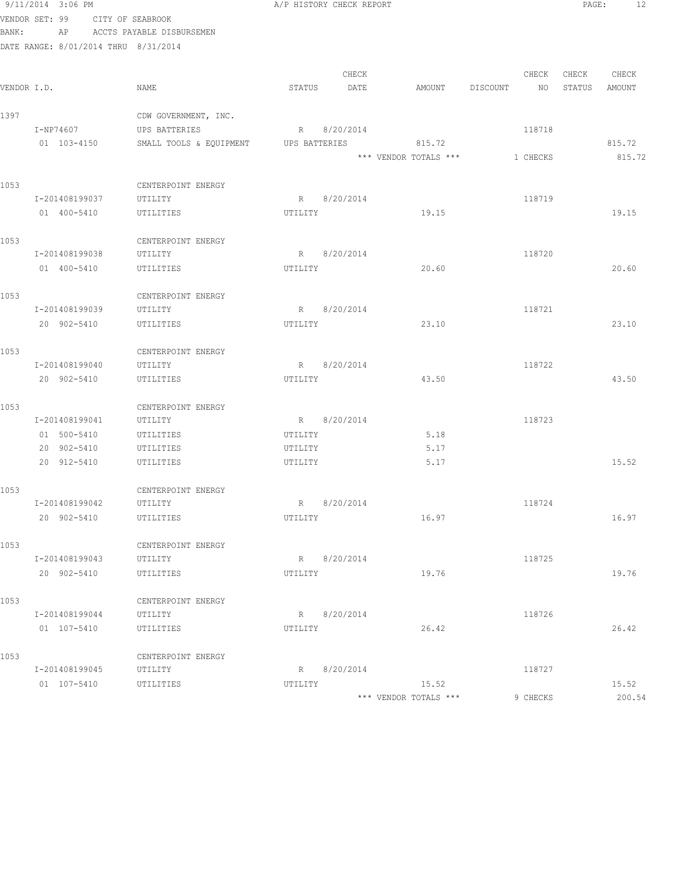|       | 9/11/2014 3:06 PM                    |                                       |         | A/P HISTORY CHECK REPORT |                       |                | PAGE:  | 12     |
|-------|--------------------------------------|---------------------------------------|---------|--------------------------|-----------------------|----------------|--------|--------|
|       | VENDOR SET: 99                       | CITY OF SEABROOK                      |         |                          |                       |                |        |        |
| BANK: | AP                                   | ACCTS PAYABLE DISBURSEMEN             |         |                          |                       |                |        |        |
|       | DATE RANGE: 8/01/2014 THRU 8/31/2014 |                                       |         |                          |                       |                |        |        |
|       |                                      |                                       |         |                          |                       |                |        |        |
|       |                                      |                                       |         | CHECK                    |                       | CHECK          | CHECK  | CHECK  |
|       | VENDOR I.D.                          | NAME                                  | STATUS  | DATE                     | AMOUNT                | DISCOUNT<br>NO | STATUS | AMOUNT |
| 1397  |                                      | CDW GOVERNMENT, INC.                  |         |                          |                       |                |        |        |
|       | I-NP74607                            | UPS BATTERIES                         |         | R 8/20/2014              |                       | 118718         |        |        |
|       | 01 103-4150                          | SMALL TOOLS & EQUIPMENT UPS BATTERIES |         |                          | 815.72                |                |        | 815.72 |
|       |                                      |                                       |         |                          | *** VENDOR TOTALS *** | 1 CHECKS       |        | 815.72 |
|       |                                      |                                       |         |                          |                       |                |        |        |
| 1053  |                                      | CENTERPOINT ENERGY                    |         |                          |                       |                |        |        |
|       | I-201408199037                       | UTILITY                               |         | R 8/20/2014              |                       | 118719         |        |        |
|       | 01 400-5410                          | UTILITIES                             | UTILITY |                          | 19.15                 |                |        | 19.15  |
|       |                                      |                                       |         |                          |                       |                |        |        |
| 1053  |                                      | CENTERPOINT ENERGY                    |         |                          |                       |                |        |        |
|       | I-201408199038                       | UTILITY                               |         | R 8/20/2014              |                       | 118720         |        |        |
|       | 01 400-5410                          | UTILITIES                             | UTILITY |                          | 20.60                 |                |        | 20.60  |
|       |                                      |                                       |         |                          |                       |                |        |        |
| 1053  |                                      | CENTERPOINT ENERGY                    |         |                          |                       |                |        |        |
|       | I-201408199039                       | UTILITY                               |         | R 8/20/2014              |                       | 118721         |        |        |
|       | 20 902-5410                          | UTILITIES                             | UTILITY |                          | 23.10                 |                |        | 23.10  |
|       |                                      |                                       |         |                          |                       |                |        |        |
| 1053  |                                      | CENTERPOINT ENERGY                    |         |                          |                       |                |        |        |
|       | I-201408199040                       | UTILITY                               | R       | 8/20/2014                |                       | 118722         |        |        |
|       | 20 902-5410                          | UTILITIES                             | UTILITY |                          | 43.50                 |                |        | 43.50  |
|       |                                      |                                       |         |                          |                       |                |        |        |
| 1053  |                                      | CENTERPOINT ENERGY                    |         |                          |                       |                |        |        |
|       | I-201408199041                       | UTILITY                               |         | R 8/20/2014              |                       | 118723         |        |        |
|       | 01 500-5410                          | UTILITIES                             | UTILITY |                          | 5.18                  |                |        |        |
|       | 20 902-5410                          | UTILITIES                             | UTILITY |                          | 5.17                  |                |        |        |
|       | 20 912-5410                          | UTILITIES                             | UTILITY |                          | 5.17                  |                |        | 15.52  |
|       |                                      |                                       |         |                          |                       |                |        |        |
| 1053  |                                      | CENTERPOINT ENERGY                    |         |                          |                       |                |        |        |
|       | I-201408199042                       | UTILITY                               |         | R 8/20/2014              |                       | 118724         |        |        |
|       | 20 902-5410                          | UTILITIES                             | UTILITY |                          | 16.97                 |                |        | 16.97  |
|       |                                      |                                       |         |                          |                       |                |        |        |
| 1053  |                                      | CENTERPOINT ENERGY                    |         |                          |                       |                |        |        |
|       | I-201408199043                       | UTILITY                               |         | R 8/20/2014              |                       | 118725         |        |        |
|       | 20 902-5410                          | UTILITIES                             | UTILITY |                          | 19.76                 |                |        | 19.76  |
| 1053  |                                      | CENTERPOINT ENERGY                    |         |                          |                       |                |        |        |
|       | I-201408199044                       | UTILITY                               |         | R 8/20/2014              |                       | 118726         |        |        |
|       | 01 107-5410                          | UTILITIES                             | UTILITY |                          | 26.42                 |                |        | 26.42  |
|       |                                      |                                       |         |                          |                       |                |        |        |
| 1053  |                                      | CENTERPOINT ENERGY                    |         |                          |                       |                |        |        |
|       | I-201408199045                       | UTILITY                               |         | R 8/20/2014              |                       | 118727         |        |        |
|       | 01 107-5410                          | UTILITIES                             | UTILITY |                          | 15.52                 |                |        | 15.52  |
|       |                                      |                                       |         |                          | *** VENDOR TOTALS *** | 9 CHECKS       |        | 200.54 |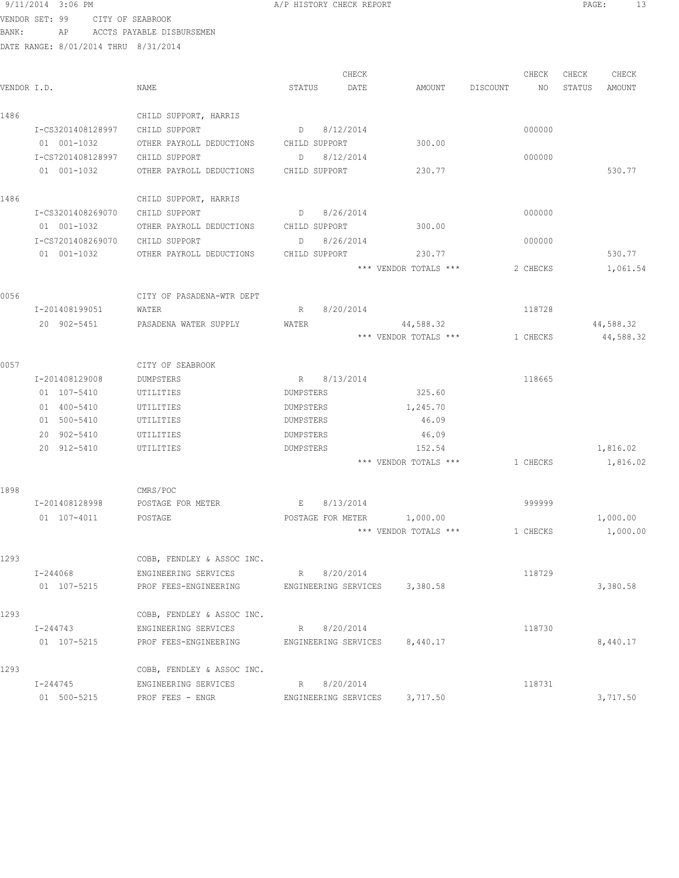|             | 9/11/2014 3:06 PM |                   |                                        |               | A/P HISTORY CHECK REPORT |                       |                         |                 | PAGE:<br>13     |
|-------------|-------------------|-------------------|----------------------------------------|---------------|--------------------------|-----------------------|-------------------------|-----------------|-----------------|
|             | VENDOR SET: 99    | CITY OF SEABROOK  |                                        |               |                          |                       |                         |                 |                 |
| BANK:       | AP                |                   | ACCTS PAYABLE DISBURSEMEN              |               |                          |                       |                         |                 |                 |
|             |                   |                   | DATE RANGE: 8/01/2014 THRU 8/31/2014   |               |                          |                       |                         |                 |                 |
|             |                   |                   |                                        |               |                          |                       |                         |                 |                 |
| VENDOR I.D. |                   |                   | NAME                                   | STATUS        | CHECK<br>DATE            | AMOUNT                | CHECK<br>DISCOUNT<br>NO | CHECK<br>STATUS | CHECK<br>AMOUNT |
|             |                   |                   |                                        |               |                          |                       |                         |                 |                 |
| 1486        |                   |                   | CHILD SUPPORT, HARRIS                  |               |                          |                       |                         |                 |                 |
|             | I-CS3201408128997 |                   | CHILD SUPPORT                          |               | D 8/12/2014              |                       | 000000                  |                 |                 |
|             | 01 001-1032       |                   | OTHER PAYROLL DEDUCTIONS CHILD SUPPORT |               |                          | 300.00                |                         |                 |                 |
|             |                   | I-CS7201408128997 | CHILD SUPPORT                          | D             | 8/12/2014                |                       | 000000                  |                 |                 |
|             | 01 001-1032       |                   | OTHER PAYROLL DEDUCTIONS               | CHILD SUPPORT |                          | 230.77                |                         |                 | 530.77          |
| 1486        |                   |                   | CHILD SUPPORT, HARRIS                  |               |                          |                       |                         |                 |                 |
|             | I-CS3201408269070 |                   | CHILD SUPPORT                          |               | D 8/26/2014              |                       | 000000                  |                 |                 |
|             | 01 001-1032       |                   | OTHER PAYROLL DEDUCTIONS CHILD SUPPORT |               |                          | 300.00                |                         |                 |                 |
|             | I-CS7201408269070 |                   | CHILD SUPPORT                          |               | D 8/26/2014              |                       | 000000                  |                 |                 |
|             | 01 001-1032       |                   | OTHER PAYROLL DEDUCTIONS               | CHILD SUPPORT |                          | 230.77                |                         |                 | 530.77          |
|             |                   |                   |                                        |               |                          | *** VENDOR TOTALS *** | 2 CHECKS                |                 | 1,061.54        |
| 0056        |                   |                   | CITY OF PASADENA-WTR DEPT              |               |                          |                       |                         |                 |                 |
|             | I-201408199051    |                   | WATER                                  |               | R 8/20/2014              |                       | 118728                  |                 |                 |
|             | 20 902-5451       |                   | PASADENA WATER SUPPLY                  | WATER         |                          | 44,588.32             |                         |                 | 44,588.32       |
|             |                   |                   |                                        |               |                          | *** VENDOR TOTALS *** | 1 CHECKS                |                 | 44,588.32       |
| 0057        |                   |                   | CITY OF SEABROOK                       |               |                          |                       |                         |                 |                 |
|             | I-201408129008    |                   | DUMPSTERS                              |               | R 8/13/2014              |                       | 118665                  |                 |                 |
|             | 01 107-5410       |                   | UTILITIES                              | DUMPSTERS     |                          | 325.60                |                         |                 |                 |
|             | 01 400-5410       |                   | UTILITIES                              | DUMPSTERS     |                          | 1,245.70              |                         |                 |                 |
|             | 01 500-5410       |                   | UTILITIES                              | DUMPSTERS     |                          | 46.09                 |                         |                 |                 |
|             | 20 902-5410       |                   | UTILITIES                              | DUMPSTERS     |                          | 46.09                 |                         |                 |                 |
|             | 20 912-5410       |                   | UTILITIES                              | DUMPSTERS     |                          | 152.54                |                         |                 | 1,816.02        |
|             |                   |                   |                                        |               |                          | *** VENDOR TOTALS *** | 1 CHECKS                |                 | 1,816.02        |
| 1898        |                   |                   | CMRS/POC                               |               |                          |                       |                         |                 |                 |
|             | I-201408128998    |                   | POSTAGE FOR METER                      | E             | 8/13/2014                |                       | 999999                  |                 |                 |
|             | 01 107-4011       |                   | POSTAGE                                |               | POSTAGE FOR METER        | 1,000.00              |                         |                 | 1,000.00        |
|             |                   |                   |                                        |               |                          | *** VENDOR TOTALS *** | 1 CHECKS                |                 | 1,000.00        |
| 1293        |                   |                   | COBB, FENDLEY & ASSOC INC.             |               |                          |                       |                         |                 |                 |
|             | I-244068          |                   | ENGINEERING SERVICES                   |               | R 8/20/2014              |                       | 118729                  |                 |                 |
|             | 01 107-5215       |                   | PROF FEES-ENGINEERING                  |               | ENGINEERING SERVICES     | 3,380.58              |                         |                 | 3,380.58        |
| 1293        |                   |                   | COBB, FENDLEY & ASSOC INC.             |               |                          |                       |                         |                 |                 |
|             | I-244743          |                   | ENGINEERING SERVICES                   | R             | 8/20/2014                |                       | 118730                  |                 |                 |

01 107-5215 PROF FEES-ENGINEERING ENGINEERING SERVICES 8,440.17 8,440.17

01 500-5215 PROF FEES - ENGR ENGRETING SERVICES 3,717.50 3,717.50

I-244745 ENGINEERING SERVICES R 8/20/2014 118731

1293 COBB, FENDLEY & ASSOC INC.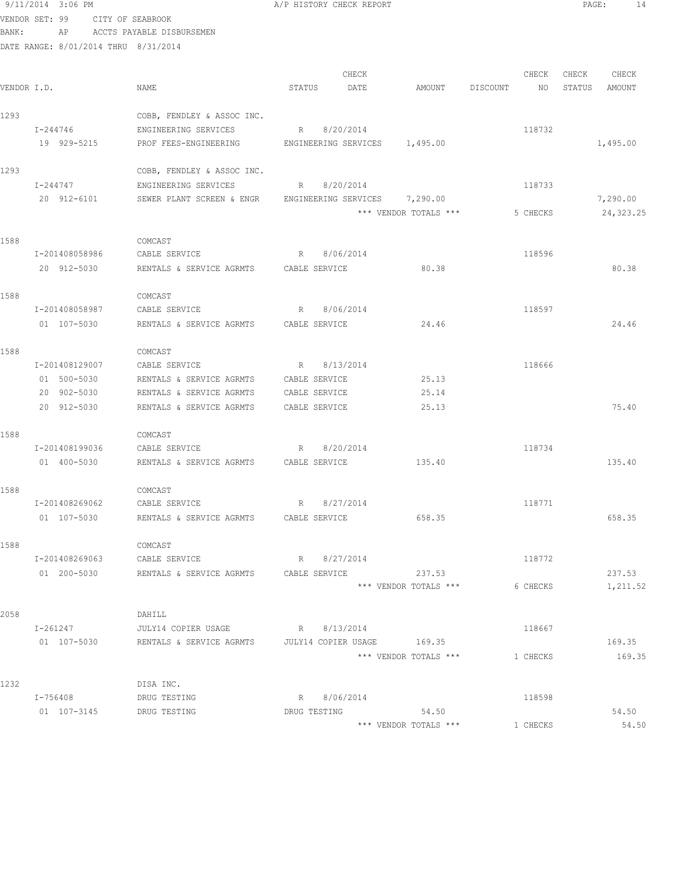|             | 9/11/2014 3:06 PM                    |                                               | A/P HISTORY CHECK REPORT                     |                       |                | PAGE:<br>-14     |
|-------------|--------------------------------------|-----------------------------------------------|----------------------------------------------|-----------------------|----------------|------------------|
|             | VENDOR SET: 99 CITY OF SEABROOK      |                                               |                                              |                       |                |                  |
| BANK:       | AP                                   | ACCTS PAYABLE DISBURSEMEN                     |                                              |                       |                |                  |
|             | DATE RANGE: 8/01/2014 THRU 8/31/2014 |                                               |                                              |                       |                |                  |
|             |                                      |                                               |                                              |                       |                |                  |
|             |                                      |                                               | CHECK                                        |                       | CHECK          | CHECK<br>CHECK   |
| VENDOR I.D. |                                      | NAME                                          | STATUS<br>DATE                               | AMOUNT                | DISCOUNT<br>NO | STATUS<br>AMOUNT |
|             |                                      |                                               |                                              |                       |                |                  |
| 1293        |                                      | COBB, FENDLEY & ASSOC INC.                    |                                              |                       |                |                  |
|             | I-244746<br>19 929-5215              | ENGINEERING SERVICES<br>PROF FEES-ENGINEERING | R 8/20/2014<br>ENGINEERING SERVICES 1,495.00 |                       | 118732         | 1,495.00         |
|             |                                      |                                               |                                              |                       |                |                  |
| 1293        |                                      | COBB, FENDLEY & ASSOC INC.                    |                                              |                       |                |                  |
|             | I-244747                             | ENGINEERING SERVICES                          | 8/20/2014<br>R                               |                       | 118733         |                  |
|             | 20 912-6101                          | SEWER PLANT SCREEN & ENGR                     | ENGINEERING SERVICES 7,290.00                |                       |                | 7,290.00         |
|             |                                      |                                               |                                              | *** VENDOR TOTALS *** | 5 CHECKS       | 24,323.25        |
|             |                                      |                                               |                                              |                       |                |                  |
| 1588        |                                      | COMCAST                                       |                                              |                       |                |                  |
|             | I-201408058986                       | CABLE SERVICE                                 | 8/06/2014<br>R                               |                       | 118596         |                  |
|             | 20 912-5030                          | RENTALS & SERVICE AGRMTS CABLE SERVICE        |                                              | 80.38                 |                | 80.38            |
|             |                                      |                                               |                                              |                       |                |                  |
| 1588        | I-201408058987                       | COMCAST<br>CABLE SERVICE                      | 8/06/2014<br>R                               |                       | 118597         |                  |
|             | 01 107-5030                          | RENTALS & SERVICE AGRMTS                      | CABLE SERVICE                                | 24.46                 |                | 24.46            |
|             |                                      |                                               |                                              |                       |                |                  |
| 1588        |                                      | COMCAST                                       |                                              |                       |                |                  |
|             | I-201408129007                       | CABLE SERVICE                                 | R 8/13/2014                                  |                       | 118666         |                  |
|             | 01 500-5030                          | RENTALS & SERVICE AGRMTS                      | CABLE SERVICE                                | 25.13                 |                |                  |
|             | 20 902-5030                          | RENTALS & SERVICE AGRMTS                      | CABLE SERVICE                                | 25.14                 |                |                  |
|             | 20 912-5030                          | RENTALS & SERVICE AGRMTS                      | CABLE SERVICE                                | 25.13                 |                | 75.40            |
|             |                                      |                                               |                                              |                       |                |                  |
| 1588        |                                      | COMCAST                                       |                                              |                       |                |                  |
|             | I-201408199036                       | CABLE SERVICE                                 | R 8/20/2014                                  |                       | 118734         |                  |
|             | 01 400-5030                          | RENTALS & SERVICE AGRMTS  CABLE SERVICE       |                                              | 135.40                |                | 135.40           |
| 1588        |                                      | COMCAST                                       |                                              |                       |                |                  |
|             | I-201408269062                       | CABLE SERVICE                                 | 8/27/2014<br>R                               |                       | 118771         |                  |
|             | 01 107-5030                          | RENTALS & SERVICE AGRMTS                      | CABLE SERVICE                                | 658.35                |                | 658.35           |
|             |                                      |                                               |                                              |                       |                |                  |
| 1588        |                                      | COMCAST                                       |                                              |                       |                |                  |
|             | I-201408269063                       | CABLE SERVICE                                 | R 8/27/2014                                  |                       | 118772         |                  |
|             | 01 200-5030                          | RENTALS & SERVICE AGRMTS                      | CABLE SERVICE                                | 237.53                |                | 237.53           |
|             |                                      |                                               |                                              | *** VENDOR TOTALS *** | 6 CHECKS       | 1,211.52         |
|             |                                      |                                               |                                              |                       |                |                  |
| 2058        |                                      | DAHILL                                        |                                              |                       |                |                  |
|             | I-261247                             | JULY14 COPIER USAGE                           | R 8/13/2014                                  |                       | 118667         | 169.35           |
|             | 01 107-5030                          | RENTALS & SERVICE AGRMTS                      | JULY14 COPIER USAGE 169.35                   | *** VENDOR TOTALS *** |                |                  |
|             |                                      |                                               |                                              |                       | 1 CHECKS       | 169.35           |
| 1232        |                                      | DISA INC.                                     |                                              |                       |                |                  |
|             | I-756408                             | DRUG TESTING                                  | R 8/06/2014                                  |                       | 118598         |                  |
|             | 01 107-3145                          | DRUG TESTING                                  | DRUG TESTING                                 | 54.50                 |                | 54.50            |
|             |                                      |                                               |                                              | *** VENDOR TOTALS *** | 1 CHECKS       | 54.50            |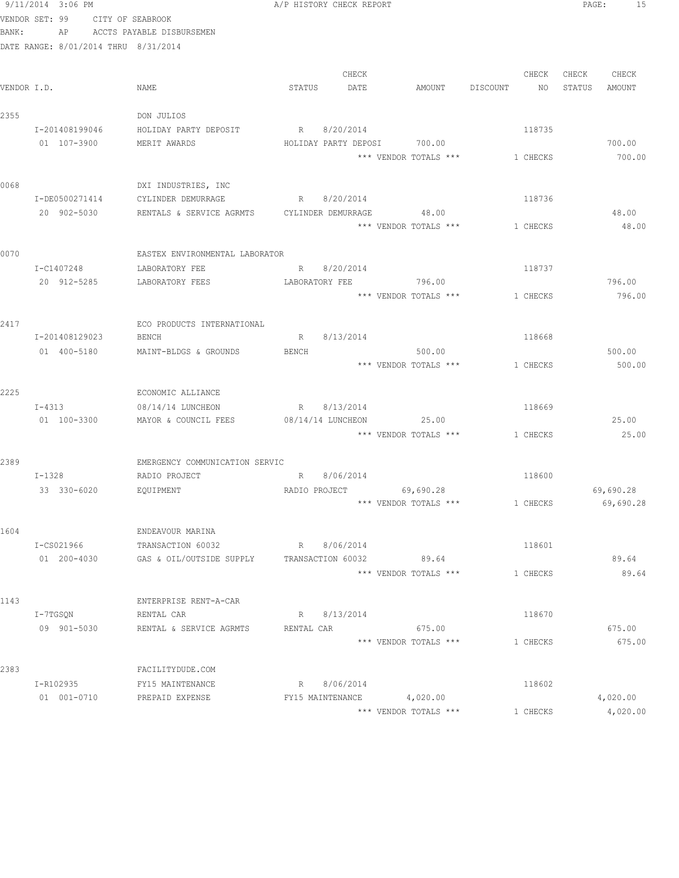|             | 9/11/2014 3:06 PM                    |                                                         | A/P HISTORY CHECK REPORT             |                                        |                    | PAGE:<br>15      |
|-------------|--------------------------------------|---------------------------------------------------------|--------------------------------------|----------------------------------------|--------------------|------------------|
|             | VENDOR SET: 99 CITY OF SEABROOK      |                                                         |                                      |                                        |                    |                  |
| BANK:       |                                      | AP ACCTS PAYABLE DISBURSEMEN                            |                                      |                                        |                    |                  |
|             | DATE RANGE: 8/01/2014 THRU 8/31/2014 |                                                         |                                      |                                        |                    |                  |
|             |                                      |                                                         |                                      |                                        |                    |                  |
|             |                                      |                                                         | CHECK                                |                                        | CHECK              | CHECK CHECK      |
| VENDOR I.D. |                                      | NAME                                                    | STATUS DATE                          |                                        | AMOUNT DISCOUNT NO | STATUS<br>AMOUNT |
| 2355        |                                      | DON JULIOS                                              |                                      |                                        |                    |                  |
|             | I-201408199046                       | HOLIDAY PARTY DEPOSIT                                   | R 8/20/2014                          |                                        | 118735             |                  |
|             | 01 107-3900                          | MERIT AWARDS                                            |                                      | HOLIDAY PARTY DEPOSI 700.00            |                    | 700.00           |
|             |                                      |                                                         |                                      | $***$ VENDOR TOTALS $***$ $1\,$ CHECKS |                    | 700.00           |
|             |                                      |                                                         |                                      |                                        |                    |                  |
| 0068        |                                      | DXI INDUSTRIES, INC                                     |                                      |                                        |                    |                  |
|             | I-DE0500271414                       | CYLINDER DEMURRAGE                                      | R 8/20/2014                          |                                        | 118736             |                  |
|             |                                      | 20 902-5030 RENTALS & SERVICE AGRMTS CYLINDER DEMURRAGE |                                      | 48.00                                  |                    | 48.00            |
|             |                                      |                                                         |                                      | *** VENDOR TOTALS ***                  | 1 CHECKS           | 48.00            |
|             |                                      |                                                         |                                      |                                        |                    |                  |
| 0070        |                                      | EASTEX ENVIRONMENTAL LABORATOR                          |                                      |                                        |                    |                  |
|             | I-C1407248<br>20 912-5285            | LABORATORY FEE<br>LABORATORY FEES                       | R 8/20/2014<br>LABORATORY FEE 796.00 |                                        | 118737             | 796.00           |
|             |                                      |                                                         |                                      | *** VENDOR TOTALS *** 1 CHECKS         |                    | 796.00           |
|             |                                      |                                                         |                                      |                                        |                    |                  |
| 2417        |                                      | ECO PRODUCTS INTERNATIONAL                              |                                      |                                        |                    |                  |
|             | I-201408129023                       | BENCH                                                   | R 8/13/2014                          |                                        | 118668             |                  |
|             | 01 400-5180                          | MAINT-BLDGS & GROUNDS                                   | BENCH                                | 500.00                                 |                    | 500.00           |
|             |                                      |                                                         |                                      | *** VENDOR TOTALS *** 1 CHECKS         |                    | 500.00           |
|             |                                      |                                                         |                                      |                                        |                    |                  |
| 2225        |                                      | ECONOMIC ALLIANCE                                       |                                      |                                        |                    |                  |
|             | $I - 4313$                           | 08/14/14 LUNCHEON                                       | R 8/13/2014                          |                                        | 118669             |                  |
|             | 01 100-3300                          | MAYOR & COUNCIL FEES                                    | 08/14/14 LUNCHEON                    | 25.00                                  |                    | 25.00            |
|             |                                      |                                                         |                                      | *** VENDOR TOTALS *** 1 CHECKS         |                    | 25.00            |
|             |                                      | EMERGENCY COMMUNICATION SERVIC                          |                                      |                                        |                    |                  |
| 2389        | I-1328 RADIO PROJECT                 |                                                         | R 8/06/2014                          |                                        | 118600             |                  |
|             | 33 330-6020                          | EQUIPMENT                                               | RADIO PROJECT 69,690.28              |                                        |                    | 69,690.28        |
|             |                                      |                                                         |                                      | *** VENDOR TOTALS ***                  | 1 CHECKS           | 69,690.28        |
|             |                                      |                                                         |                                      |                                        |                    |                  |
| 1604        |                                      | ENDEAVOUR MARINA                                        |                                      |                                        |                    |                  |
|             | I-CS021966                           | TRANSACTION 60032                                       | R 8/06/2014                          |                                        | 118601             |                  |
|             | 01 200-4030                          | GAS & OIL/OUTSIDE SUPPLY TRANSACTION 60032              |                                      | 89.64                                  |                    | 89.64            |
|             |                                      |                                                         |                                      | *** VENDOR TOTALS ***                  | 1 CHECKS           | 89.64            |
|             |                                      |                                                         |                                      |                                        |                    |                  |
| 1143        |                                      | ENTERPRISE RENT-A-CAR                                   |                                      |                                        |                    |                  |
|             | I-7TGSQN                             | RENTAL CAR                                              | R 8/13/2014                          |                                        | 118670             |                  |
|             | 09 901-5030                          | RENTAL & SERVICE AGRMTS                                 | RENTAL CAR                           | 675.00<br>*** VENDOR TOTALS ***        | 1 CHECKS           | 675.00<br>675.00 |
|             |                                      |                                                         |                                      |                                        |                    |                  |
| 2383        |                                      | FACILITYDUDE.COM                                        |                                      |                                        |                    |                  |
|             | I-R102935                            | FY15 MAINTENANCE                                        | R 8/06/2014                          |                                        | 118602             |                  |
|             | 01 001-0710                          | PREPAID EXPENSE                                         | FY15 MAINTENANCE 4,020.00            |                                        |                    | 4,020.00         |
|             |                                      |                                                         |                                      | *** VENDOR TOTALS ***                  | 1 CHECKS           | 4,020.00         |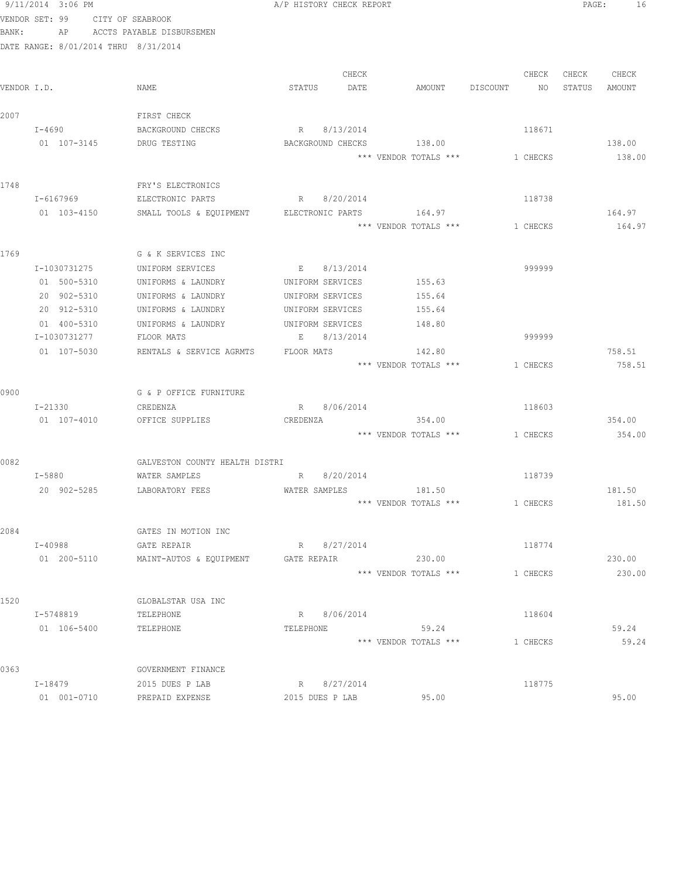|             | 9/11/2014 3:06 PM                    |                                          | A/P HISTORY CHECK REPORT |                                 |                | PAGE:<br>- 16    |
|-------------|--------------------------------------|------------------------------------------|--------------------------|---------------------------------|----------------|------------------|
|             | VENDOR SET: 99 CITY OF SEABROOK      |                                          |                          |                                 |                |                  |
| BANK:       |                                      | AP ACCTS PAYABLE DISBURSEMEN             |                          |                                 |                |                  |
|             | DATE RANGE: 8/01/2014 THRU 8/31/2014 |                                          |                          |                                 |                |                  |
|             |                                      |                                          |                          |                                 |                |                  |
|             |                                      |                                          | CHECK                    |                                 | CHECK          | CHECK<br>CHECK   |
| VENDOR I.D. |                                      | NAME                                     | STATUS<br>DATE           | AMOUNT                          | DISCOUNT<br>NO | STATUS<br>AMOUNT |
|             |                                      |                                          |                          |                                 |                |                  |
| 2007        |                                      | FIRST CHECK                              |                          |                                 |                |                  |
|             | I-4690                               | BACKGROUND CHECKS                        | R 8/13/2014              |                                 | 118671         |                  |
|             | 01 107-3145                          | DRUG TESTING                             | BACKGROUND CHECKS        | 138.00                          |                | 138.00           |
|             |                                      |                                          |                          | *** VENDOR TOTALS ***           | 1 CHECKS       | 138.00           |
|             |                                      |                                          |                          |                                 |                |                  |
| 1748        | I-6167969                            | FRY'S ELECTRONICS<br>ELECTRONIC PARTS    | R 8/20/2014              |                                 | 118738         |                  |
|             |                                      |                                          |                          | 164.97                          |                |                  |
|             | 01 103-4150                          | SMALL TOOLS & EQUIPMENT ELECTRONIC PARTS |                          | *** VENDOR TOTALS ***           | 1 CHECKS       | 164.97<br>164.97 |
|             |                                      |                                          |                          |                                 |                |                  |
| 1769        |                                      | G & K SERVICES INC                       |                          |                                 |                |                  |
|             | I-1030731275                         | UNIFORM SERVICES                         | E 8/13/2014              |                                 | 999999         |                  |
|             | 01 500-5310                          | UNIFORMS & LAUNDRY                       | UNIFORM SERVICES         | 155.63                          |                |                  |
|             | 20 902-5310                          | UNIFORMS & LAUNDRY                       | UNIFORM SERVICES         | 155.64                          |                |                  |
|             | 20 912-5310                          | UNIFORMS & LAUNDRY                       | UNIFORM SERVICES         | 155.64                          |                |                  |
|             | 01 400-5310                          | UNIFORMS & LAUNDRY                       | UNIFORM SERVICES         | 148.80                          |                |                  |
|             | I-1030731277                         | FLOOR MATS                               | E<br>8/13/2014           |                                 | 999999         |                  |
|             | 01 107-5030                          | RENTALS & SERVICE AGRMTS                 | FLOOR MATS               | 142.80                          |                | 758.51           |
|             |                                      |                                          |                          | *** VENDOR TOTALS ***           | 1 CHECKS       | 758.51           |
|             |                                      |                                          |                          |                                 |                |                  |
| 0900        |                                      | G & P OFFICE FURNITURE                   |                          |                                 |                |                  |
|             | I-21330                              | CREDENZA                                 | R 8/06/2014              |                                 | 118603         |                  |
|             | 01 107-4010                          | OFFICE SUPPLIES                          | CREDENZA                 | 354.00                          |                | 354.00           |
|             |                                      |                                          |                          | *** VENDOR TOTALS *** 1 CHECKS  |                | 354.00           |
|             |                                      |                                          |                          |                                 |                |                  |
| 0082        |                                      | GALVESTON COUNTY HEALTH DISTRI           |                          |                                 |                |                  |
|             | $I - 5880$                           | WATER SAMPLES                            | R 8/20/2014              |                                 | 118739         |                  |
|             | 20 902-5285                          | LABORATORY FEES                          | WATER SAMPLES            | 181.50<br>*** VENDOR TOTALS *** |                | 181.50           |
|             |                                      |                                          |                          |                                 | 1 CHECKS       | 181.50           |
| 2084        |                                      | GATES IN MOTION INC                      |                          |                                 |                |                  |
|             | I-40988                              | GATE REPAIR                              | R 8/27/2014              |                                 | 118774         |                  |
|             | 01 200-5110                          | MAINT-AUTOS & EQUIPMENT                  | GATE REPAIR              | 230.00                          |                | 230.00           |
|             |                                      |                                          |                          | *** VENDOR TOTALS ***           | 1 CHECKS       | 230.00           |
|             |                                      |                                          |                          |                                 |                |                  |
| 1520        |                                      | GLOBALSTAR USA INC                       |                          |                                 |                |                  |
|             | I-5748819                            | TELEPHONE                                | R 8/06/2014              |                                 | 118604         |                  |
|             | 01 106-5400                          | TELEPHONE                                | TELEPHONE                | 59.24                           |                | 59.24            |
|             |                                      |                                          |                          | *** VENDOR TOTALS ***           | 1 CHECKS       | 59.24            |
|             |                                      |                                          |                          |                                 |                |                  |
| 0363        |                                      | GOVERNMENT FINANCE                       |                          |                                 |                |                  |
|             | I-18479                              | 2015 DUES P LAB                          | R 8/27/2014              |                                 | 118775         |                  |
|             | 01 001-0710                          | PREPAID EXPENSE                          | 2015 DUES P LAB          | 95.00                           |                | 95.00            |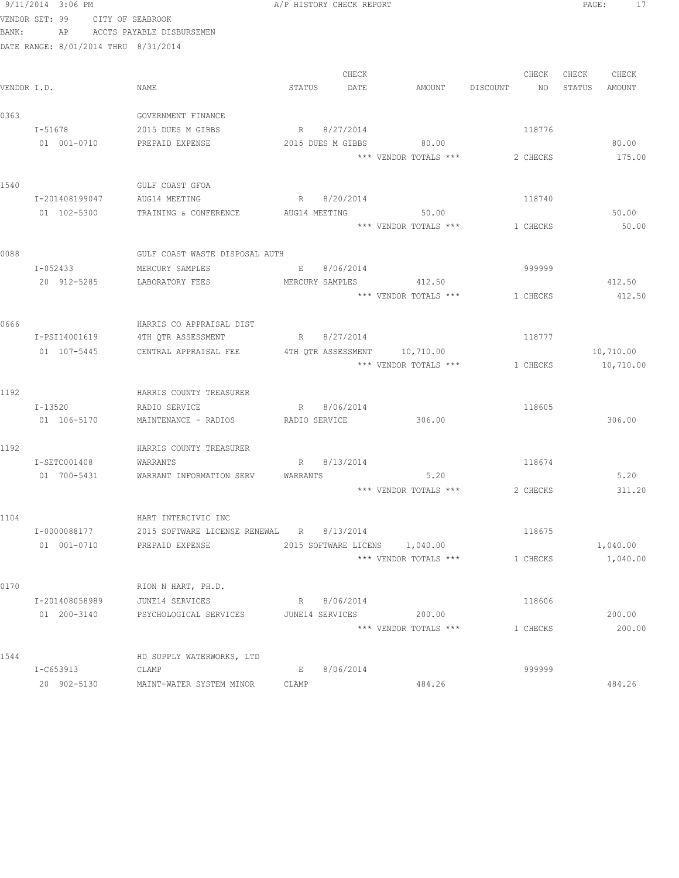|             | 9/11/2014 3:06 PM                    |                                           | A/P HISTORY CHECK REPORT |             |                                |                | PAGE:  | 17        |
|-------------|--------------------------------------|-------------------------------------------|--------------------------|-------------|--------------------------------|----------------|--------|-----------|
|             | VENDOR SET: 99                       | CITY OF SEABROOK                          |                          |             |                                |                |        |           |
| BANK:       | AP                                   | ACCTS PAYABLE DISBURSEMEN                 |                          |             |                                |                |        |           |
|             | DATE RANGE: 8/01/2014 THRU 8/31/2014 |                                           |                          |             |                                |                |        |           |
|             |                                      |                                           |                          |             |                                |                |        |           |
|             |                                      |                                           |                          | CHECK       |                                | CHECK          | CHECK  | CHECK     |
| VENDOR I.D. |                                      | NAME                                      | STATUS                   | DATE        | AMOUNT                         | DISCOUNT<br>NO | STATUS | AMOUNT    |
|             |                                      |                                           |                          |             |                                |                |        |           |
| 0363        |                                      | GOVERNMENT FINANCE                        |                          |             |                                |                |        |           |
|             | I-51678                              | 2015 DUES M GIBBS                         |                          | R 8/27/2014 |                                | 118776         |        |           |
|             | 01 001-0710                          | PREPAID EXPENSE                           | 2015 DUES M GIBBS        |             | 80.00<br>*** VENDOR TOTALS *** |                |        | 80.00     |
|             |                                      |                                           |                          |             |                                | 2 CHECKS       |        | 175.00    |
| 1540        |                                      | GULF COAST GFOA                           |                          |             |                                |                |        |           |
|             | I-201408199047                       | AUG14 MEETING                             | R 8/20/2014              |             |                                | 118740         |        |           |
|             | 01 102-5300                          | TRAINING & CONFERENCE                     | AUG14 MEETING            |             | 50.00                          |                |        | 50.00     |
|             |                                      |                                           |                          |             | *** VENDOR TOTALS ***          | 1 CHECKS       |        | 50.00     |
|             |                                      |                                           |                          |             |                                |                |        |           |
| 0088        |                                      | GULF COAST WASTE DISPOSAL AUTH            |                          |             |                                |                |        |           |
|             | I-052433                             | MERCURY SAMPLES                           |                          | E 8/06/2014 |                                | 999999         |        |           |
|             | 20 912-5285                          | LABORATORY FEES                           |                          |             | MERCURY SAMPLES 412.50         |                |        | 412.50    |
|             |                                      |                                           |                          |             | *** VENDOR TOTALS ***          | 1 CHECKS       |        | 412.50    |
|             |                                      |                                           |                          |             |                                |                |        |           |
| 0666        |                                      | HARRIS CO APPRAISAL DIST                  |                          |             |                                |                |        |           |
|             | I-PSI14001619                        | 4TH QTR ASSESSMENT                        | R 8/27/2014              |             |                                | 118777         |        |           |
|             | 01 107-5445                          | CENTRAL APPRAISAL FEE                     | 4TH QTR ASSESSMENT       |             | 10,710.00                      |                |        | 10,710.00 |
|             |                                      |                                           |                          |             | *** VENDOR TOTALS ***          | 1 CHECKS       |        | 10,710.00 |
|             |                                      |                                           |                          |             |                                |                |        |           |
| 1192        |                                      | HARRIS COUNTY TREASURER                   |                          |             |                                | 118605         |        |           |
|             | I-13520<br>01 106-5170               | RADIO SERVICE<br>MAINTENANCE - RADIOS     | RADIO SERVICE            | R 8/06/2014 | 306.00                         |                |        | 306.00    |
|             |                                      |                                           |                          |             |                                |                |        |           |
| 1192        |                                      | HARRIS COUNTY TREASURER                   |                          |             |                                |                |        |           |
|             | I-SETC001408                         | WARRANTS                                  | R                        | 8/13/2014   |                                | 118674         |        |           |
|             | 01 700-5431                          | WARRANT INFORMATION SERV                  | WARRANTS                 |             | 5.20                           |                |        | 5.20      |
|             |                                      |                                           |                          |             | *** VENDOR TOTALS ***          | 2 CHECKS       |        | 311.20    |
|             |                                      |                                           |                          |             |                                |                |        |           |
| 1104        |                                      | HART INTERCIVIC INC                       |                          |             |                                |                |        |           |
|             | I-0000088177                         | 2015 SOFTWARE LICENSE RENEWAL R 8/13/2014 |                          |             |                                | 118675         |        |           |
|             | 01 001-0710                          | PREPAID EXPENSE                           |                          |             | 2015 SOFTWARE LICENS 1,040.00  |                |        | 1,040.00  |
|             |                                      |                                           |                          |             | *** VENDOR TOTALS ***          | 1 CHECKS       |        | 1,040.00  |
|             |                                      |                                           |                          |             |                                |                |        |           |
| 0170        |                                      | RION N HART, PH.D.                        |                          |             |                                |                |        |           |
|             | I-201408058989                       | JUNE14 SERVICES                           |                          | R 8/06/2014 |                                | 118606         |        |           |
|             | 01 200-3140                          | PSYCHOLOGICAL SERVICES                    | JUNE14 SERVICES          |             | 200.00                         |                |        | 200.00    |
|             |                                      |                                           |                          |             | *** VENDOR TOTALS ***          | 1 CHECKS       |        | 200.00    |
| 1544        |                                      | HD SUPPLY WATERWORKS, LTD                 |                          |             |                                |                |        |           |
|             | I-C653913                            | CLAMP                                     | E                        | 8/06/2014   |                                | 999999         |        |           |
|             | 20 902-5130                          | MAINT-WATER SYSTEM MINOR                  | CLAMP                    |             | 484.26                         |                |        | 484.26    |
|             |                                      |                                           |                          |             |                                |                |        |           |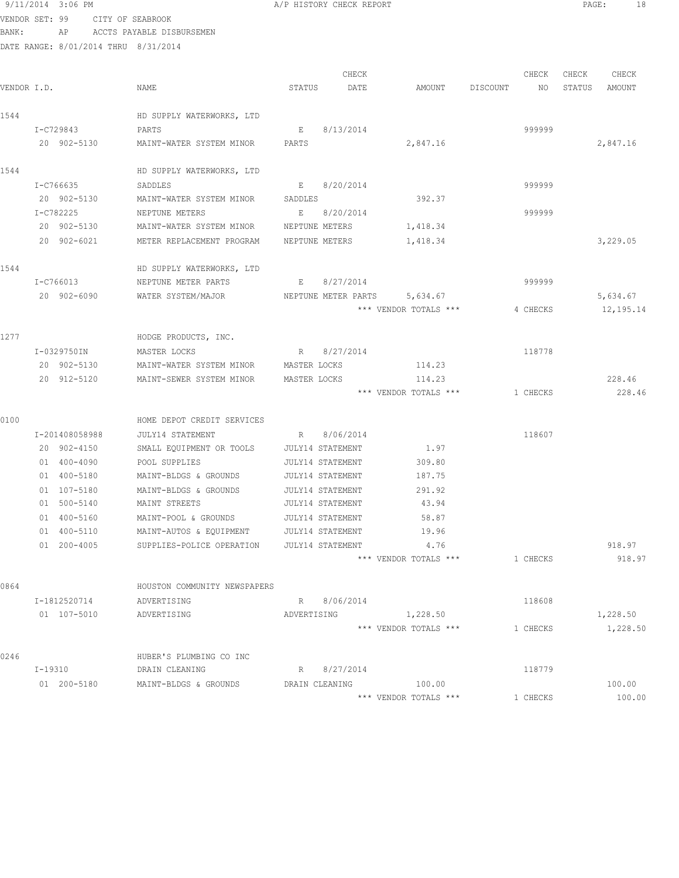# VENDOR SET: 99 CITY OF SEABROOK

| 9/11/2014 3:06 PM |                                    | A/P HISTORY CHECK REPORT | PAGE: | 18 |
|-------------------|------------------------------------|--------------------------|-------|----|
|                   | VENDOR SET: 99 CITY OF SEABROOK    |                          |       |    |
| BANK:             | AP ACCTS PAYABLE DISBURSEMEN       |                          |       |    |
|                   | 0/01/001 0/01/0014 munit 0/01/0014 |                          |       |    |

|             |                |                              |                         | CHECK       |                              |          | CHECK    | CHECK  | CHECK     |
|-------------|----------------|------------------------------|-------------------------|-------------|------------------------------|----------|----------|--------|-----------|
| VENDOR I.D. |                | NAME                         | STATUS                  | DATE        | AMOUNT                       | DISCOUNT | NO.      | STATUS | AMOUNT    |
| 1544        |                | HD SUPPLY WATERWORKS, LTD    |                         |             |                              |          |          |        |           |
|             | I-C729843      | PARTS                        | $E =$                   | 8/13/2014   |                              |          | 999999   |        |           |
|             | 20 902-5130    | MAINT-WATER SYSTEM MINOR     | PARTS                   |             | 2,847.16                     |          |          |        | 2,847.16  |
| 1544        |                | HD SUPPLY WATERWORKS, LTD    |                         |             |                              |          |          |        |           |
|             | I-C766635      | SADDLES                      | E and                   | 8/20/2014   |                              |          | 999999   |        |           |
|             | 20 902-5130    | MAINT-WATER SYSTEM MINOR     | SADDLES                 |             | 392.37                       |          |          |        |           |
|             | I-C782225      | NEPTUNE METERS               |                         | E 8/20/2014 |                              |          | 999999   |        |           |
|             | 20 902-5130    | MAINT-WATER SYSTEM MINOR     | NEPTUNE METERS          |             | 1,418.34                     |          |          |        |           |
|             | 20 902-6021    | METER REPLACEMENT PROGRAM    | NEPTUNE METERS          |             | 1,418.34                     |          |          |        | 3,229.05  |
| 1544        |                | HD SUPPLY WATERWORKS, LTD    |                         |             |                              |          |          |        |           |
|             | I-C766013      | NEPTUNE METER PARTS          | E                       | 8/27/2014   |                              |          | 999999   |        |           |
|             | 20 902-6090    | WATER SYSTEM/MAJOR           |                         |             | NEPTUNE METER PARTS 5,634.67 |          |          |        | 5,634.67  |
|             |                |                              |                         |             | *** VENDOR TOTALS ***        |          | 4 CHECKS |        | 12,195.14 |
| 1277        |                | HODGE PRODUCTS, INC.         |                         |             |                              |          |          |        |           |
|             | I-0329750IN    | MASTER LOCKS                 | R                       | 8/27/2014   |                              |          | 118778   |        |           |
|             | 20 902-5130    | MAINT-WATER SYSTEM MINOR     | MASTER LOCKS            |             | 114.23                       |          |          |        |           |
|             | 20 912-5120    | MAINT-SEWER SYSTEM MINOR     | MASTER LOCKS            |             | 114.23                       |          |          |        | 228.46    |
|             |                |                              |                         |             | *** VENDOR TOTALS ***        |          | 1 CHECKS |        | 228.46    |
| 0100        |                | HOME DEPOT CREDIT SERVICES   |                         |             |                              |          |          |        |           |
|             | I-201408058988 | JULY14 STATEMENT             |                         | R 8/06/2014 |                              |          | 118607   |        |           |
|             | 20 902-4150    | SMALL EQUIPMENT OR TOOLS     | JULY14 STATEMENT        |             | 1.97                         |          |          |        |           |
|             | 01 400-4090    | POOL SUPPLIES                | JULY14 STATEMENT        |             | 309.80                       |          |          |        |           |
|             | 01 400-5180    | MAINT-BLDGS & GROUNDS        | <b>JULY14 STATEMENT</b> |             | 187.75                       |          |          |        |           |
|             | 01 107-5180    | MAINT-BLDGS & GROUNDS        | <b>JULY14 STATEMENT</b> |             | 291.92                       |          |          |        |           |
|             | 01 500-5140    | MAINT STREETS                | JULY14 STATEMENT        |             | 43.94                        |          |          |        |           |
|             | 01 400-5160    | MAINT-POOL & GROUNDS         | <b>JULY14 STATEMENT</b> |             | 58.87                        |          |          |        |           |
|             | 01 400-5110    | MAINT-AUTOS & EQUIPMENT      | JULY14 STATEMENT        |             | 19.96                        |          |          |        |           |
|             | 01 200-4005    | SUPPLIES-POLICE OPERATION    | JULY14 STATEMENT        |             | 4.76                         |          |          |        | 918.97    |
|             |                |                              |                         |             | *** VENDOR TOTALS ***        |          | 1 CHECKS |        | 918.97    |
| 0864        |                | HOUSTON COMMUNITY NEWSPAPERS |                         |             |                              |          |          |        |           |
|             | I-1812520714   | ADVERTISING                  |                         | R 8/06/2014 |                              |          | 118608   |        |           |
|             | 01 107-5010    | ADVERTISING                  | ADVERTISING             |             | 1,228.50                     |          |          |        | 1,228.50  |
|             |                |                              |                         |             | *** VENDOR TOTALS ***        |          | 1 CHECKS |        | 1,228.50  |
| 0246        |                | HUBER'S PLUMBING CO INC      |                         |             |                              |          |          |        |           |
|             | $I-19310$      | DRAIN CLEANING               | R                       | 8/27/2014   |                              |          | 118779   |        |           |
|             | 01 200-5180    | MAINT-BLDGS & GROUNDS        | DRAIN CLEANING          |             | 100.00                       |          |          |        | 100.00    |
|             |                |                              |                         |             | *** VENDOR TOTALS ***        |          | 1 CHECKS |        | 100.00    |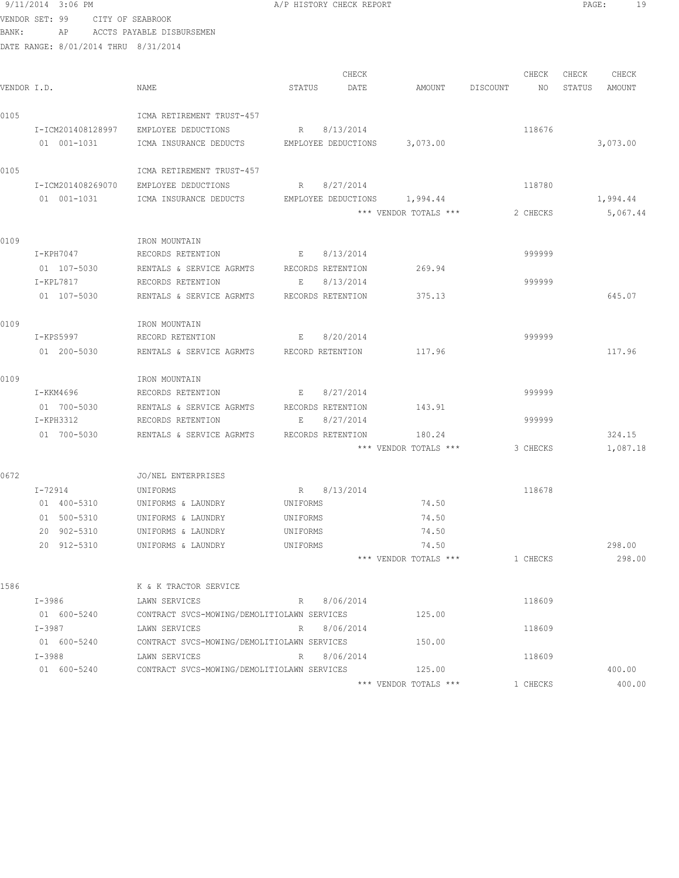9/11/2014 3:06 PM A/P HISTORY CHECK REPORT PAGE: 19 VENDOR SET: 99 CITY OF SEABROOK BANK: AP ACCTS PAYABLE DISBURSEMEN DATE RANGE: 8/01/2014 THRU 8/31/2014 CHECK CHECK CHECK CHECK VENDOR I.D. NAME STATUS DATE AMOUNT DISCOUNT NO STATUS AMOUNT 0105 ICMA RETIREMENT TRUST-457 I-ICM201408128997 EMPLOYEE DEDUCTIONS R 8/13/2014 118676 01 001-1031 ICMA INSURANCE DEDUCTS EMPLOYEE DEDUCTIONS 3,073.00 S,073.00 0105 ICMA RETIREMENT TRUST-457 I-ICM201408269070 EMPLOYEE DEDUCTIONS R 8/27/2014 118780 01 001-1031 ICMA INSURANCE DEDUCTS EMPLOYEE DEDUCTIONS 1,994.44 1,994.44 1,994.44 \*\*\* VENDOR TOTALS \*\*\* 2 CHECKS 5,067.44 0109 IRON MOUNTAIN I-KPH7047 RECORDS RETENTION E 8/13/2014 999999 01 107-5030 RENTALS & SERVICE AGRMTS RECORDS RETENTION 269.94 I-KPL7817 RECORDS RETENTION E 8/13/2014 999999 01 107-5030 RENTALS & SERVICE AGRMTS RECORDS RETENTION 375.13 645.07 0109 IRON MOUNTAIN I-KPS5997 RECORD RETENTION E 8/20/2014 999999 01 200-5030 RENTALS & SERVICE AGRMTS RECORD RETENTION 117.96 117.96 117.96 0109 IRON MOUNTAIN I-KKM4696 RECORDS RETENTION E 8/27/2014 999999 01 700-5030 RENTALS & SERVICE AGRMTS RECORDS RETENTION 143.91 I-KPH3312 RECORDS RETENTION E 8/27/2014 999999 01 700-5030 RENTALS & SERVICE AGRMTS RECORDS RETENTION 180.24 304.15 \*\*\* VENDOR TOTALS \*\*\* 3 CHECKS 1,087.18 0672 JO/NEL ENTERPRISES I-72914 UNIFORMS R 8/13/2014 118678 01 400-5310 UNIFORMS & LAUNDRY UNIFORMS 74.50 01 500-5310 UNIFORMS & LAUNDRY UNIFORMS 74.50 20 902-5310 UNIFORMS & LAUNDRY UNIFORMS 74.50 20 912-5310 UNIFORMS & LAUNDRY UNIFORMS 74.50 298.00 \*\*\* VENDOR TOTALS \*\*\* 1 CHECKS 298.00 1586 K & K TRACTOR SERVICE I-3986 LAWN SERVICES R 8/06/2014 118609 01 600-5240 CONTRACT SVCS-MOWING/DEMOLITIOLAWN SERVICES 125.00 I-3987 LAWN SERVICES R 8/06/2014 118609 01 600-5240 CONTRACT SVCS-MOWING/DEMOLITIOLAWN SERVICES 150.00 I-3988 LAWN SERVICES R 8/06/2014 118609 01 600-5240 CONTRACT SVCS-MOWING/DEMOLITIOLAWN SERVICES 125.00 400.00 \*\*\* VENDOR TOTALS \*\*\* 1 CHECKS 400.00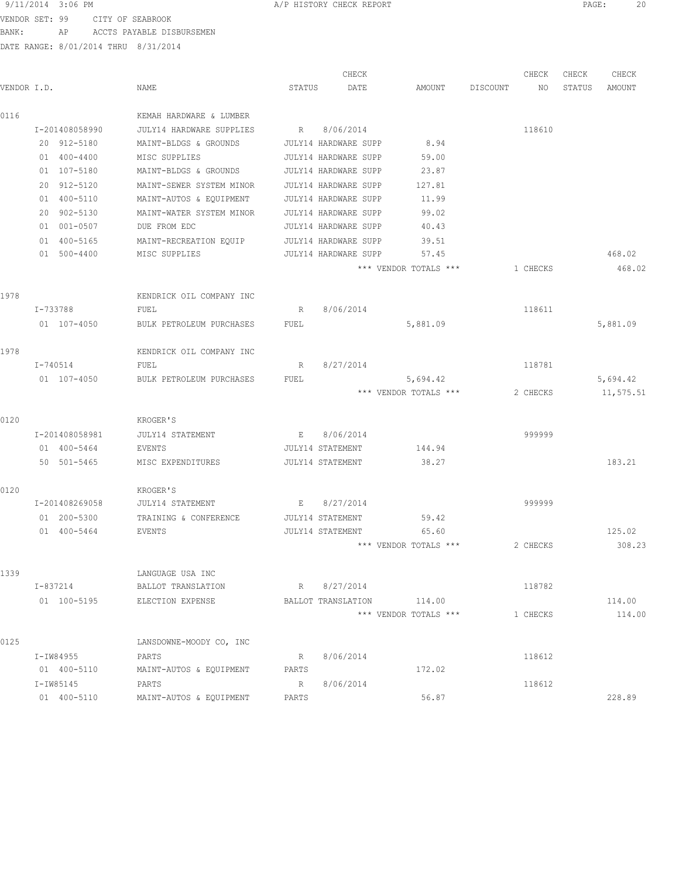### 9/11/2014 3:06 PM A/P HISTORY CHECK REPORT PAGE: 20

VENDOR SET: 99 CITY OF SEABROOK BANK: AP ACCTS PAYABLE DISBURSEMEN

|             |                |                                 |                         | CHECK                |                       |          | CHECK    | CHECK  | CHECK     |
|-------------|----------------|---------------------------------|-------------------------|----------------------|-----------------------|----------|----------|--------|-----------|
| VENDOR I.D. |                | NAME                            | STATUS                  | DATE                 | AMOUNT                | DISCOUNT | NO       | STATUS | AMOUNT    |
| 0116        |                | KEMAH HARDWARE & LUMBER         |                         |                      |                       |          |          |        |           |
|             | I-201408058990 | <b>JULY14 HARDWARE SUPPLIES</b> | R                       | 8/06/2014            |                       |          | 118610   |        |           |
|             | 20 912-5180    | MAINT-BLDGS & GROUNDS           |                         | JULY14 HARDWARE SUPP | 8.94                  |          |          |        |           |
|             | 01 400-4400    | MISC SUPPLIES                   |                         | JULY14 HARDWARE SUPP | 59.00                 |          |          |        |           |
|             | 01 107-5180    | MAINT-BLDGS & GROUNDS           |                         | JULY14 HARDWARE SUPP | 23.87                 |          |          |        |           |
|             | 20 912-5120    | MAINT-SEWER SYSTEM MINOR        |                         | JULY14 HARDWARE SUPP | 127.81                |          |          |        |           |
|             | 01 400-5110    | MAINT-AUTOS & EQUIPMENT         |                         | JULY14 HARDWARE SUPP | 11.99                 |          |          |        |           |
|             | 20 902-5130    | MAINT-WATER SYSTEM MINOR        |                         | JULY14 HARDWARE SUPP | 99.02                 |          |          |        |           |
|             | 01 001-0507    | DUE FROM EDC                    |                         | JULY14 HARDWARE SUPP | 40.43                 |          |          |        |           |
|             | 01 400-5165    | MAINT-RECREATION EQUIP          |                         | JULY14 HARDWARE SUPP | 39.51                 |          |          |        |           |
|             | 01 500-4400    | MISC SUPPLIES                   |                         | JULY14 HARDWARE SUPP | 57.45                 |          |          |        | 468.02    |
|             |                |                                 |                         |                      | *** VENDOR TOTALS *** |          | 1 CHECKS |        | 468.02    |
| 1978        |                | KENDRICK OIL COMPANY INC        |                         |                      |                       |          |          |        |           |
|             | I-733788       | FUEL                            | R                       | 8/06/2014            |                       |          | 118611   |        |           |
|             | 01 107-4050    | BULK PETROLEUM PURCHASES        | FUEL                    |                      | 5,881.09              |          |          |        | 5,881.09  |
| 1978        |                | KENDRICK OIL COMPANY INC        |                         |                      |                       |          |          |        |           |
|             | I-740514       | FUEL                            | R                       | 8/27/2014            |                       |          | 118781   |        |           |
|             | 01 107-4050    | BULK PETROLEUM PURCHASES        | FUEL                    |                      | 5,694.42              |          |          |        | 5,694.42  |
|             |                |                                 |                         |                      | *** VENDOR TOTALS *** |          | 2 CHECKS |        | 11,575.51 |
| 0120        |                | KROGER'S                        |                         |                      |                       |          |          |        |           |
|             | I-201408058981 | <b>JULY14 STATEMENT</b>         | E                       | 8/06/2014            |                       |          | 999999   |        |           |
|             | 01 400-5464    | EVENTS                          | JULY14 STATEMENT        |                      | 144.94                |          |          |        |           |
|             | 50 501-5465    | MISC EXPENDITURES               | JULY14 STATEMENT        |                      | 38.27                 |          |          |        | 183.21    |
| 0120        |                | KROGER'S                        |                         |                      |                       |          |          |        |           |
|             | I-201408269058 | JULY14 STATEMENT                | Е                       | 8/27/2014            |                       |          | 999999   |        |           |
|             | 01 200-5300    | TRAINING & CONFERENCE           | <b>JULY14 STATEMENT</b> |                      | 59.42                 |          |          |        |           |
|             | 01 400-5464    | EVENTS                          | <b>JULY14 STATEMENT</b> |                      | 65.60                 |          |          |        | 125.02    |
|             |                |                                 |                         |                      | *** VENDOR TOTALS *** |          | 2 CHECKS |        | 308.23    |
| 1339        |                | LANGUAGE USA INC                |                         |                      |                       |          |          |        |           |
|             | I-837214       | BALLOT TRANSLATION              |                         | R 8/27/2014          |                       |          | 118782   |        |           |
|             | 01 100-5195    | ELECTION EXPENSE                |                         | BALLOT TRANSLATION   | 114.00                |          |          |        | 114.00    |
|             |                |                                 |                         |                      | *** VENDOR TOTALS *** |          | 1 CHECKS |        | 114.00    |
| 0125        |                | LANSDOWNE-MOODY CO, INC         |                         |                      |                       |          |          |        |           |
|             | I-IW84955      | PARTS                           | R                       | 8/06/2014            |                       |          | 118612   |        |           |
|             | 01 400-5110    | MAINT-AUTOS & EQUIPMENT         | PARTS                   |                      | 172.02                |          |          |        |           |
|             | I-IW85145      | PARTS                           | R                       | 8/06/2014            |                       |          | 118612   |        |           |
|             | 01 400-5110    | MAINT-AUTOS & EQUIPMENT         | PARTS                   |                      | 56.87                 |          |          |        | 228.89    |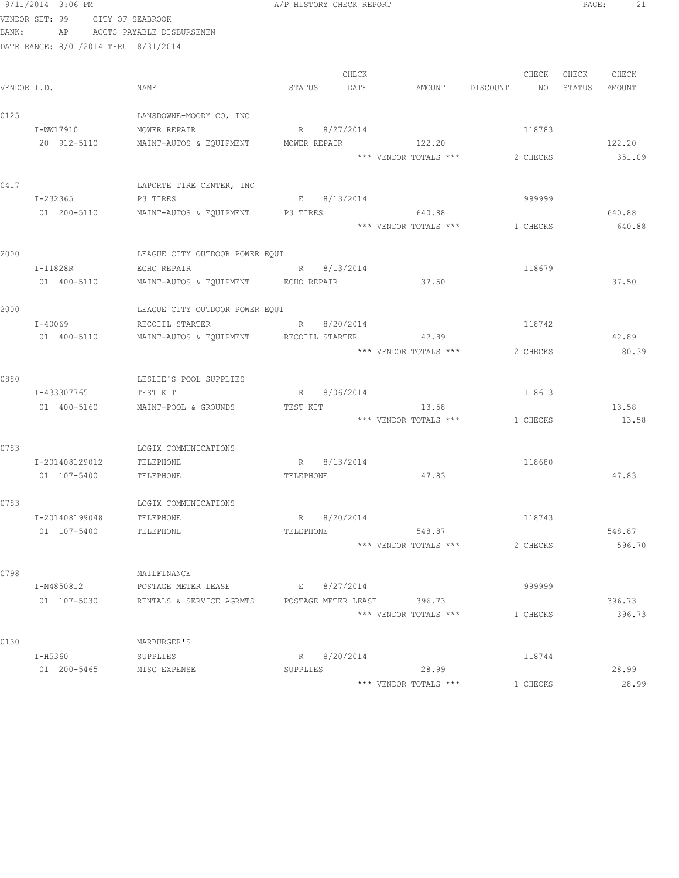|       | 9/11/2014 3:06 PM                    |                                                   | A/P HISTORY CHECK REPORT    |                                |                | 21<br>PAGE:      |  |
|-------|--------------------------------------|---------------------------------------------------|-----------------------------|--------------------------------|----------------|------------------|--|
|       | VENDOR SET: 99 CITY OF SEABROOK      |                                                   |                             |                                |                |                  |  |
| BANK: |                                      | AP ACCTS PAYABLE DISBURSEMEN                      |                             |                                |                |                  |  |
|       | DATE RANGE: 8/01/2014 THRU 8/31/2014 |                                                   |                             |                                |                |                  |  |
|       |                                      |                                                   |                             |                                |                |                  |  |
|       |                                      |                                                   | CHECK                       |                                | CHECK          | CHECK<br>CHECK   |  |
|       | VENDOR I.D.                          | NAME                                              | STATUS<br>DATE              | AMOUNT                         | DISCOUNT<br>NO | STATUS<br>AMOUNT |  |
| 0125  |                                      | LANSDOWNE-MOODY CO, INC                           |                             |                                |                |                  |  |
|       | I-WW17910                            | MOWER REPAIR                                      | R 8/27/2014                 |                                | 118783         |                  |  |
|       |                                      | 20 912-5110 MAINT-AUTOS & EQUIPMENT               | MOWER REPAIR                | 122.20                         |                | 122.20           |  |
|       |                                      |                                                   |                             | *** VENDOR TOTALS ***          | 2 CHECKS       | 351.09           |  |
|       |                                      |                                                   |                             |                                |                |                  |  |
| 0417  |                                      | LAPORTE TIRE CENTER, INC                          |                             |                                |                |                  |  |
|       | I-232365                             | P3 TIRES                                          | E 8/13/2014                 |                                | 999999         |                  |  |
|       |                                      | 01  200-5110   MAINT-AUTOS & EQUIPMENT   P3 TIRES |                             | 640.88                         |                | 640.88           |  |
|       |                                      |                                                   |                             | *** VENDOR TOTALS ***          | 1 CHECKS       | 640.88           |  |
|       |                                      |                                                   |                             |                                |                |                  |  |
| 2000  |                                      | LEAGUE CITY OUTDOOR POWER EQUI                    |                             |                                |                |                  |  |
|       | $I-11828R$                           | ECHO REPAIR                                       | R 8/13/2014                 |                                | 118679         |                  |  |
|       | 01 400-5110                          | MAINT-AUTOS & EQUIPMENT ECHO REPAIR               |                             | 37.50                          |                | 37.50            |  |
| 2000  |                                      |                                                   |                             |                                |                |                  |  |
|       | I-40069                              | LEAGUE CITY OUTDOOR POWER EQUI<br>RECOIIL STARTER | R 8/20/2014                 |                                | 118742         |                  |  |
|       | 01 400-5110                          | MAINT-AUTOS & EQUIPMENT RECOIIL STARTER           |                             | 42.89                          |                | 42.89            |  |
|       |                                      |                                                   |                             | *** VENDOR TOTALS ***          | 2 CHECKS       | 80.39            |  |
|       |                                      |                                                   |                             |                                |                |                  |  |
| 0880  |                                      | LESLIE'S POOL SUPPLIES                            |                             |                                |                |                  |  |
|       | I-433307765                          | TEST KIT                                          | R 8/06/2014                 |                                | 118613         |                  |  |
|       | 01 400-5160                          | MAINT-POOL & GROUNDS                              | TEST KIT                    | 13.58                          |                | 13.58            |  |
|       |                                      |                                                   |                             | *** VENDOR TOTALS *** 1 CHECKS |                | 13.58            |  |
|       |                                      |                                                   |                             |                                |                |                  |  |
| 0783  |                                      | LOGIX COMMUNICATIONS                              |                             |                                |                |                  |  |
|       | I-201408129012                       | TELEPHONE                                         | R 8/13/2014                 |                                | 118680         |                  |  |
|       | 01 107-5400                          | TELEPHONE                                         | TELEPHONE                   | 47.83                          |                | 47.83            |  |
|       |                                      |                                                   |                             |                                |                |                  |  |
| 0783  |                                      | LOGIX COMMUNICATIONS                              |                             |                                |                |                  |  |
|       | I-201408199048<br>01 107-5400        | TELEPHONE<br>TELEPHONE                            | 8/20/2014<br>R<br>TELEPHONE | 548.87                         | 118743         | 548.87           |  |
|       |                                      |                                                   |                             | *** VENDOR TOTALS ***          | 2 CHECKS       | 596.70           |  |
|       |                                      |                                                   |                             |                                |                |                  |  |
| 0798  |                                      | MAILFINANCE                                       |                             |                                |                |                  |  |
|       | I-N4850812                           | POSTAGE METER LEASE                               | E 8/27/2014                 |                                | 999999         |                  |  |
|       | 01 107-5030                          | RENTALS & SERVICE AGRMTS                          | POSTAGE METER LEASE 396.73  |                                |                | 396.73           |  |
|       |                                      |                                                   |                             | *** VENDOR TOTALS ***          | 1 CHECKS       | 396.73           |  |
|       |                                      |                                                   |                             |                                |                |                  |  |
| 0130  |                                      | MARBURGER'S                                       |                             |                                |                |                  |  |
|       | I-H5360                              | SUPPLIES                                          | R 8/20/2014                 |                                | 118744         |                  |  |
|       | 01 200-5465                          | MISC EXPENSE                                      | SUPPLIES                    | 28.99                          |                | 28.99            |  |
|       |                                      |                                                   |                             | *** VENDOR TOTALS ***          | 1 CHECKS       | 28.99            |  |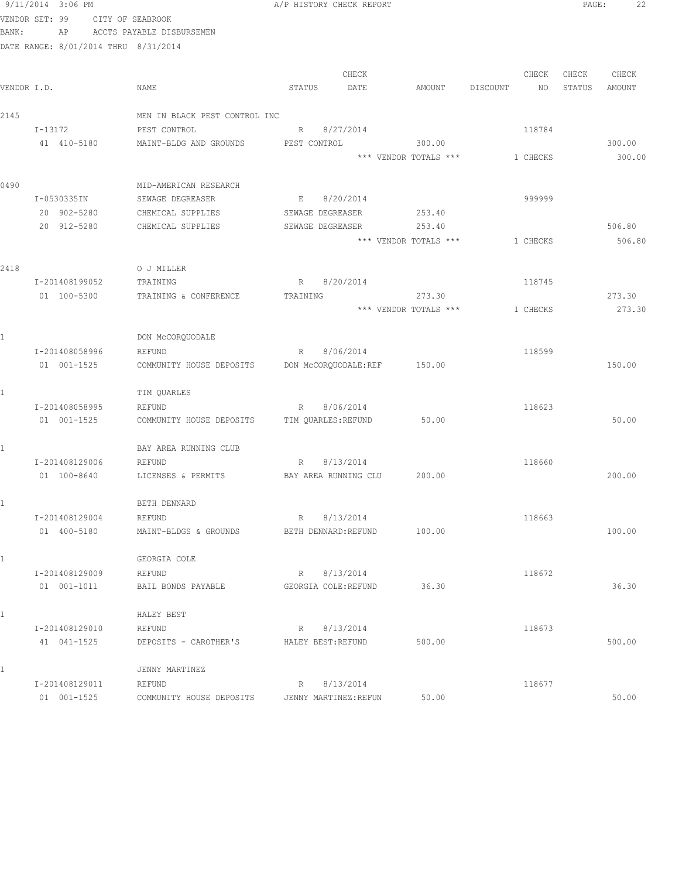|             | 9/11/2014 3:06 PM                    |                                    | A/P HISTORY CHECK REPORT               |                       |                 | PAGE:  | 22     |
|-------------|--------------------------------------|------------------------------------|----------------------------------------|-----------------------|-----------------|--------|--------|
|             | VENDOR SET: 99                       | CITY OF SEABROOK                   |                                        |                       |                 |        |        |
| BANK:       | AP                                   | ACCTS PAYABLE DISBURSEMEN          |                                        |                       |                 |        |        |
|             | DATE RANGE: 8/01/2014 THRU 8/31/2014 |                                    |                                        |                       |                 |        |        |
|             |                                      |                                    |                                        |                       |                 |        |        |
|             |                                      |                                    | CHECK                                  |                       | CHECK           | CHECK  | CHECK  |
| VENDOR I.D. |                                      | NAME                               | STATUS<br>DATE                         | AMOUNT                | DISCOUNT<br>NO. | STATUS | AMOUNT |
| 2145        |                                      | MEN IN BLACK PEST CONTROL INC      |                                        |                       |                 |        |        |
|             | I-13172                              | PEST CONTROL                       | R 8/27/2014                            |                       | 118784          |        |        |
|             | 41 410-5180                          | MAINT-BLDG AND GROUNDS             | PEST CONTROL                           | 300.00                |                 |        | 300.00 |
|             |                                      |                                    |                                        | *** VENDOR TOTALS *** | 1 CHECKS        |        | 300.00 |
|             |                                      |                                    |                                        |                       |                 |        |        |
| 0490        |                                      | MID-AMERICAN RESEARCH              |                                        |                       |                 |        |        |
|             | I-0530335IN                          | SEWAGE DEGREASER                   | 8/20/2014<br>E                         |                       | 999999          |        |        |
|             | 20 902-5280                          | CHEMICAL SUPPLIES                  | SEWAGE DEGREASER                       | 253.40                |                 |        |        |
|             | 20 912-5280                          | CHEMICAL SUPPLIES                  | SEWAGE DEGREASER                       | 253.40                |                 |        | 506.80 |
|             |                                      |                                    |                                        | *** VENDOR TOTALS *** | 1 CHECKS        |        | 506.80 |
|             |                                      |                                    |                                        |                       |                 |        |        |
| 2418        |                                      | O J MILLER                         |                                        |                       |                 |        |        |
|             | I-201408199052                       | TRAINING                           | 8/20/2014<br>R                         |                       | 118745          |        |        |
|             | 01 100-5300                          | TRAINING & CONFERENCE              | TRAINING                               | 273.30                |                 |        | 273.30 |
|             |                                      |                                    |                                        | *** VENDOR TOTALS *** | 1 CHECKS        |        | 273.30 |
|             |                                      |                                    |                                        |                       |                 |        |        |
|             |                                      | DON MCCORQUODALE                   |                                        |                       |                 |        |        |
|             | I-201408058996<br>01 001-1525        | REFUND<br>COMMUNITY HOUSE DEPOSITS | 8/06/2014<br>R<br>DON MCCORQUODALE:REF | 150.00                | 118599          |        | 150.00 |
|             |                                      |                                    |                                        |                       |                 |        |        |
|             |                                      | TIM QUARLES                        |                                        |                       |                 |        |        |
|             | I-201408058995                       | REFUND                             | R 8/06/2014                            |                       | 118623          |        |        |
|             | 01 001-1525                          | COMMUNITY HOUSE DEPOSITS           | TIM QUARLES: REFUND                    | 50.00                 |                 |        | 50.00  |
|             |                                      |                                    |                                        |                       |                 |        |        |
|             |                                      | BAY AREA RUNNING CLUB              |                                        |                       |                 |        |        |
|             | I-201408129006                       | REFUND                             | 8/13/2014<br>R                         |                       | 118660          |        |        |
|             | 01 100-8640                          | LICENSES & PERMITS                 | BAY AREA RUNNING CLU                   | 200.00                |                 |        | 200.00 |
|             |                                      |                                    |                                        |                       |                 |        |        |
|             |                                      | BETH DENNARD                       |                                        |                       |                 |        |        |
|             | I-201408129004                       | REFUND                             | 8/13/2014<br>R                         |                       | 118663          |        |        |
|             | 01 400-5180                          | MAINT-BLDGS & GROUNDS              | BETH DENNARD: REFUND                   | 100.00                |                 |        | 100.00 |
|             |                                      | GEORGIA COLE                       |                                        |                       |                 |        |        |
|             | I-201408129009                       | REFUND                             | 8/13/2014<br>R                         |                       | 118672          |        |        |
|             | 01 001-1011                          | BAIL BONDS PAYABLE                 | GEORGIA COLE: REFUND                   | 36.30                 |                 |        | 36.30  |
|             |                                      |                                    |                                        |                       |                 |        |        |
| 1           |                                      | HALEY BEST                         |                                        |                       |                 |        |        |
|             | I-201408129010                       | REFUND                             | R 8/13/2014                            |                       | 118673          |        |        |
|             | 41 041-1525                          | DEPOSITS - CAROTHER'S              | HALEY BEST: REFUND                     | 500.00                |                 |        | 500.00 |
|             |                                      | JENNY MARTINEZ                     |                                        |                       |                 |        |        |
|             | I-201408129011                       | REFUND                             | 8/13/2014<br>R                         |                       | 118677          |        |        |
|             | 01 001-1525                          | COMMUNITY HOUSE DEPOSITS           | JENNY MARTINEZ: REFUN                  | 50.00                 |                 |        | 50.00  |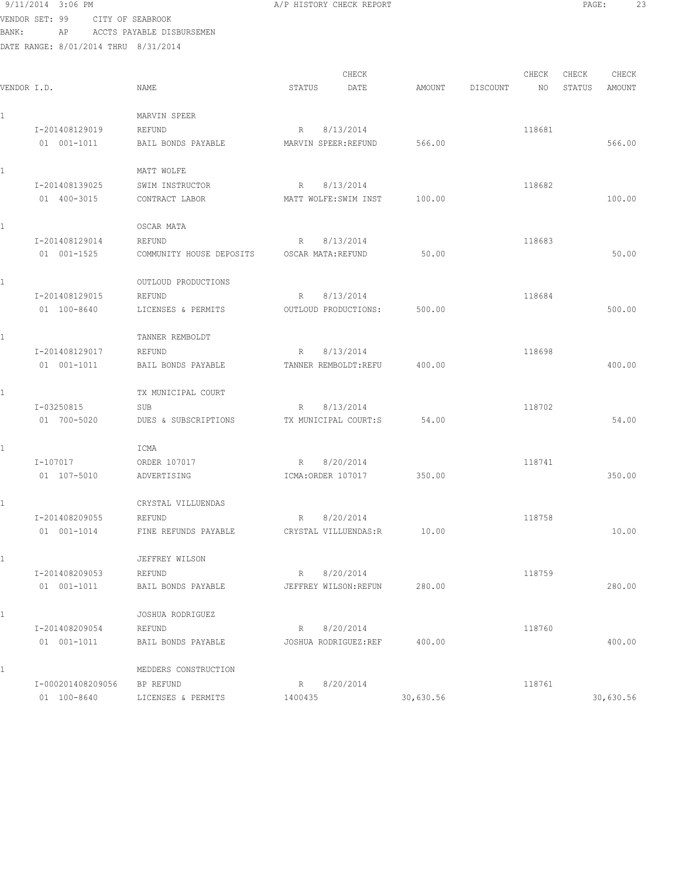9/11/2014 3:06 PM A/P HISTORY CHECK REPORT PAGE: 23 VENDOR SET: 99 CITY OF SEABROOK BANK: AP ACCTS PAYABLE DISBURSEMEN DATE RANGE: 8/01/2014 THRU 8/31/2014 CHECK CHECK CHECK CHECK

|             |                   |                          | ヘロロウレ                 |           | ヘロロウム          | <b>CHECK</b> | UHBUN         |
|-------------|-------------------|--------------------------|-----------------------|-----------|----------------|--------------|---------------|
| VENDOR I.D. |                   | NAME                     | STATUS<br>DATE        | AMOUNT    | DISCOUNT<br>NO | STATUS       | <b>AMOUNT</b> |
| 1           |                   | MARVIN SPEER             |                       |           |                |              |               |
|             | I-201408129019    | REFUND                   | 8/13/2014<br>R        |           | 118681         |              |               |
|             | 01 001-1011       | BAIL BONDS PAYABLE       | MARVIN SPEER: REFUND  | 566.00    |                |              | 566.00        |
|             |                   |                          |                       |           |                |              |               |
| 1           |                   | MATT WOLFE               |                       |           |                |              |               |
|             | I-201408139025    | SWIM INSTRUCTOR          | 8/13/2014<br>R        |           | 118682         |              |               |
|             | 01 400-3015       | CONTRACT LABOR           | MATT WOLFE: SWIM INST | 100.00    |                |              | 100.00        |
| 1           |                   | OSCAR MATA               |                       |           |                |              |               |
|             | I-201408129014    | REFUND                   | 8/13/2014<br>R        |           | 118683         |              |               |
|             | 01 001-1525       | COMMUNITY HOUSE DEPOSITS | OSCAR MATA: REFUND    | 50.00     |                |              | 50.00         |
| 1           |                   | OUTLOUD PRODUCTIONS      |                       |           |                |              |               |
|             | I-201408129015    | REFUND                   | 8/13/2014<br>R        |           | 118684         |              |               |
|             | 01 100-8640       | LICENSES & PERMITS       | OUTLOUD PRODUCTIONS:  | 500.00    |                |              | 500.00        |
|             |                   |                          |                       |           |                |              |               |
| 1           |                   | TANNER REMBOLDT          |                       |           |                |              |               |
|             | I-201408129017    | REFUND                   | 8/13/2014<br>R        |           | 118698         |              |               |
|             | $01 001 - 1011$   | BAIL BONDS PAYABLE       | TANNER REMBOLDT: REFU | 400.00    |                |              | 400.00        |
| 1           |                   | TX MUNICIPAL COURT       |                       |           |                |              |               |
|             | I-03250815        | SUB                      | 8/13/2014<br>R        |           | 118702         |              |               |
|             | 01 700-5020       | DUES & SUBSCRIPTIONS     | TX MUNICIPAL COURT:S  | 54.00     |                |              | 54.00         |
|             |                   | ICMA                     |                       |           |                |              |               |
|             |                   |                          |                       |           |                |              |               |
|             | I-107017          | ORDER 107017             | 8/20/2014<br>R        | 350.00    | 118741         |              | 350.00        |
|             | 01 107-5010       | ADVERTISING              | ICMA: ORDER 107017    |           |                |              |               |
|             |                   | CRYSTAL VILLUENDAS       |                       |           |                |              |               |
|             | I-201408209055    | REFUND                   | 8/20/2014<br>R        |           | 118758         |              |               |
|             | 01 001-1014       | FINE REFUNDS PAYABLE     | CRYSTAL VILLUENDAS: R | 10.00     |                |              | 10.00         |
| 1           |                   | JEFFREY WILSON           |                       |           |                |              |               |
|             | I-201408209053    | REFUND                   | R 8/20/2014           |           | 118759         |              |               |
|             | $01 001 - 1011$   | BAIL BONDS PAYABLE       | JEFFREY WILSON: REFUN | 280.00    |                |              | 280.00        |
| 1           |                   | JOSHUA RODRIGUEZ         |                       |           |                |              |               |
|             | I-201408209054    | REFUND                   | 8/20/2014<br>R        |           | 118760         |              |               |
|             | 01 001-1011       | BAIL BONDS PAYABLE       | JOSHUA RODRIGUEZ:REF  | 400.00    |                |              | 400.00        |
|             |                   |                          |                       |           |                |              |               |
| 1           |                   | MEDDERS CONSTRUCTION     |                       |           |                |              |               |
|             | I-000201408209056 | BP REFUND                | 8/20/2014<br>R        |           | 118761         |              |               |
|             | 01 100-8640       | LICENSES & PERMITS       | 1400435               | 30,630.56 |                |              | 30,630.56     |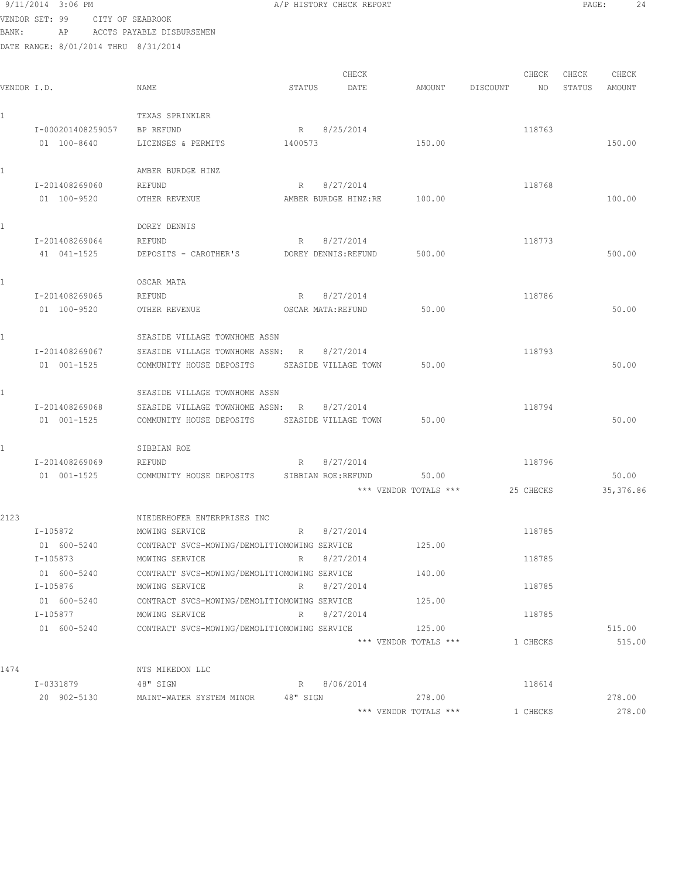|              | 9/11/2014 3:06 PM                    |                                                                | A/P HISTORY CHECK REPORT     |                       |          |           | PAGE:  | 24         |
|--------------|--------------------------------------|----------------------------------------------------------------|------------------------------|-----------------------|----------|-----------|--------|------------|
|              | VENDOR SET: 99                       | CITY OF SEABROOK                                               |                              |                       |          |           |        |            |
| BANK:        | AP                                   | ACCTS PAYABLE DISBURSEMEN                                      |                              |                       |          |           |        |            |
|              | DATE RANGE: 8/01/2014 THRU 8/31/2014 |                                                                |                              |                       |          |           |        |            |
|              |                                      |                                                                |                              |                       |          |           |        |            |
|              |                                      |                                                                | CHECK                        |                       |          | CHECK     | CHECK  | CHECK      |
| VENDOR I.D.  |                                      | NAME                                                           | STATUS<br>DATE               | AMOUNT                | DISCOUNT | NO.       | STATUS | AMOUNT     |
| $\mathbf{1}$ |                                      | TEXAS SPRINKLER                                                |                              |                       |          |           |        |            |
|              | I-000201408259057                    | BP REFUND                                                      | 8/25/2014<br>R               |                       |          | 118763    |        |            |
|              | 01 100-8640                          | LICENSES & PERMITS                                             | 1400573                      | 150.00                |          |           |        | 150.00     |
|              |                                      |                                                                |                              |                       |          |           |        |            |
| 1            |                                      | AMBER BURDGE HINZ                                              |                              |                       |          |           |        |            |
|              | I-201408269060                       | REFUND                                                         | 8/27/2014<br>R               |                       |          | 118768    |        |            |
|              | 01 100-9520                          | OTHER REVENUE                                                  | AMBER BURDGE HINZ:RE         | 100.00                |          |           |        | 100.00     |
|              |                                      |                                                                |                              |                       |          |           |        |            |
| 1            |                                      | DOREY DENNIS                                                   |                              |                       |          |           |        |            |
|              | I-201408269064                       | REFUND                                                         | 8/27/2014<br>R               |                       |          | 118773    |        |            |
|              | 41 041-1525                          | DEPOSITS - CAROTHER'S                                          | DOREY DENNIS: REFUND         | 500.00                |          |           |        | 500.00     |
|              |                                      |                                                                |                              |                       |          |           |        |            |
| 1            |                                      | OSCAR MATA                                                     |                              |                       |          |           |        |            |
|              | I-201408269065                       | REFUND                                                         | 8/27/2014<br>$R_{\parallel}$ |                       |          | 118786    |        |            |
|              | 01 100-9520                          | OTHER REVENUE                                                  | OSCAR MATA: REFUND           | 50.00                 |          |           |        | 50.00      |
|              |                                      | SEASIDE VILLAGE TOWNHOME ASSN                                  |                              |                       |          |           |        |            |
|              | I-201408269067                       | SEASIDE VILLAGE TOWNHOME ASSN:                                 | 8/27/2014<br>R               |                       |          | 118793    |        |            |
|              | 01 001-1525                          | COMMUNITY HOUSE DEPOSITS                                       | SEASIDE VILLAGE TOWN         | 50.00                 |          |           |        | 50.00      |
|              |                                      |                                                                |                              |                       |          |           |        |            |
| 1            |                                      | SEASIDE VILLAGE TOWNHOME ASSN                                  |                              |                       |          |           |        |            |
|              | I-201408269068                       | SEASIDE VILLAGE TOWNHOME ASSN:                                 | 8/27/2014<br>R               |                       |          | 118794    |        |            |
|              | 01 001-1525                          | COMMUNITY HOUSE DEPOSITS                                       | SEASIDE VILLAGE TOWN         | 50.00                 |          |           |        | 50.00      |
|              |                                      |                                                                |                              |                       |          |           |        |            |
| 1            |                                      | SIBBIAN ROE                                                    |                              |                       |          |           |        |            |
|              | I-201408269069                       | REFUND                                                         | 8/27/2014<br>R               |                       |          | 118796    |        |            |
|              | 01 001-1525                          | COMMUNITY HOUSE DEPOSITS                                       | SIBBIAN ROE: REFUND          | 50.00                 |          |           |        | 50.00      |
|              |                                      |                                                                |                              | *** VENDOR TOTALS *** |          | 25 CHECKS |        | 35, 376.86 |
|              |                                      |                                                                |                              |                       |          |           |        |            |
| 2123         |                                      | NIEDERHOFER ENTERPRISES INC                                    |                              |                       |          |           |        |            |
|              | I-105872                             | MOWING SERVICE                                                 | R 8/27/2014                  |                       |          | 118785    |        |            |
|              | 01 600-5240                          | CONTRACT SVCS-MOWING/DEMOLITIOMOWING SERVICE                   |                              | 125.00                |          |           |        |            |
|              | I-105873                             | MOWING SERVICE                                                 | R 8/27/2014                  |                       |          | 118785    |        |            |
|              | 01 600-5240<br>I-105876              | CONTRACT SVCS-MOWING/DEMOLITIOMOWING SERVICE<br>MOWING SERVICE | 8/27/2014<br>$R \sim$        | 140.00                |          | 118785    |        |            |
|              | 01 600-5240                          | CONTRACT SVCS-MOWING/DEMOLITIOMOWING SERVICE                   |                              | 125.00                |          |           |        |            |
|              | I-105877                             | MOWING SERVICE                                                 | 8/27/2014<br>$R \Box$        |                       |          | 118785    |        |            |
|              |                                      |                                                                |                              | 125.00                |          |           |        | 515.00     |
|              |                                      |                                                                |                              | *** VENDOR TOTALS *** |          | 1 CHECKS  |        | 515.00     |
|              |                                      |                                                                |                              |                       |          |           |        |            |
| 1474         |                                      | NTS MIKEDON LLC                                                |                              |                       |          |           |        |            |
|              | I-0331879                            | 48" SIGN                                                       | R 8/06/2014                  |                       |          | 118614    |        |            |
|              | 20 902-5130                          | MAINT-WATER SYSTEM MINOR 48" SIGN                              |                              | 278.00                |          |           |        | 278.00     |
|              |                                      |                                                                |                              | *** VENDOR TOTALS *** |          | 1 CHECKS  |        | 278.00     |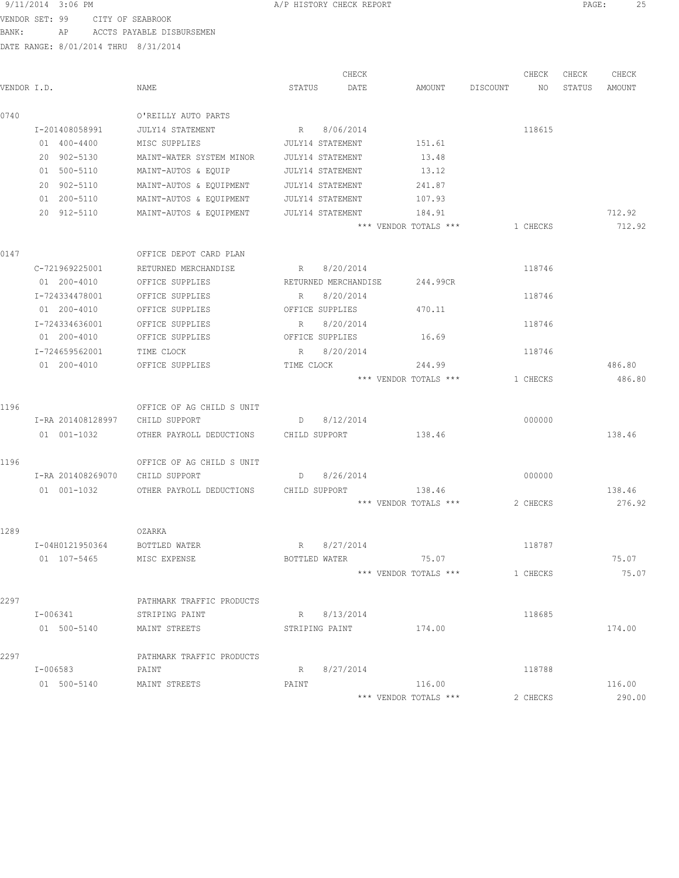VENDOR SET: 99 CITY OF SEABROOK

BANK: AP ACCTS PAYABLE DISBURSEMEN

| 9/11/2014 3:06 PM | A/P HISTORY CHECK REPORT | PAGE |  |
|-------------------|--------------------------|------|--|
|                   |                          |      |  |

|             |                                 |                                        | CHECK                 |                       |          | CHECK    | CHECK  | CHECK  |
|-------------|---------------------------------|----------------------------------------|-----------------------|-----------------------|----------|----------|--------|--------|
| VENDOR I.D. |                                 | NAME                                   | STATUS<br>DATE        | AMOUNT                | DISCOUNT | NO       | STATUS | AMOUNT |
| 0740        |                                 | O'REILLY AUTO PARTS                    |                       |                       |          |          |        |        |
|             | I-201408058991                  | JULY14 STATEMENT                       | R 8/06/2014           |                       |          | 118615   |        |        |
|             | 01 400-4400                     | MISC SUPPLIES                          | JULY14 STATEMENT      | 151.61                |          |          |        |        |
|             | 20 902-5130                     | MAINT-WATER SYSTEM MINOR               | JULY14 STATEMENT      | 13.48                 |          |          |        |        |
|             | 01 500-5110                     | MAINT-AUTOS & EQUIP                    | JULY14 STATEMENT      | 13.12                 |          |          |        |        |
|             | 20 902-5110                     | MAINT-AUTOS & EQUIPMENT                | JULY14 STATEMENT      | 241.87                |          |          |        |        |
|             | 01 200-5110                     | MAINT-AUTOS & EQUIPMENT                | JULY14 STATEMENT      | 107.93                |          |          |        |        |
|             | 20 912-5110                     | MAINT-AUTOS & EQUIPMENT                | JULY14 STATEMENT      | 184.91                |          |          |        | 712.92 |
|             |                                 |                                        |                       | *** VENDOR TOTALS *** |          | 1 CHECKS |        | 712.92 |
| 0147        |                                 | OFFICE DEPOT CARD PLAN                 |                       |                       |          |          |        |        |
|             | C-721969225001                  | RETURNED MERCHANDISE                   | R 8/20/2014           |                       |          | 118746   |        |        |
|             | 01 200-4010                     | OFFICE SUPPLIES                        | RETURNED MERCHANDISE  | 244.99CR              |          |          |        |        |
|             | I-724334478001                  | OFFICE SUPPLIES                        | 8/20/2014<br>R        |                       |          | 118746   |        |        |
|             | 01 200-4010                     | OFFICE SUPPLIES                        | OFFICE SUPPLIES       | 470.11                |          |          |        |        |
|             | I-724334636001                  | OFFICE SUPPLIES                        | 8/20/2014<br>R        |                       |          | 118746   |        |        |
|             | 01 200-4010                     | OFFICE SUPPLIES                        | OFFICE SUPPLIES       | 16.69                 |          |          |        |        |
|             | I-724659562001                  | TIME CLOCK                             | 8/20/2014<br>R        |                       |          | 118746   |        |        |
|             | 01 200-4010                     | OFFICE SUPPLIES                        | TIME CLOCK            | 244.99                |          |          |        | 486.80 |
|             |                                 |                                        |                       | *** VENDOR TOTALS *** |          | 1 CHECKS |        | 486.80 |
| 1196        |                                 | OFFICE OF AG CHILD S UNIT              |                       |                       |          |          |        |        |
|             | I-RA 201408128997               | CHILD SUPPORT                          | D 8/12/2014           |                       |          | 000000   |        |        |
|             | 01 001-1032                     | OTHER PAYROLL DEDUCTIONS CHILD SUPPORT |                       | 138.46                |          |          |        | 138.46 |
| 1196        |                                 | OFFICE OF AG CHILD S UNIT              |                       |                       |          |          |        |        |
|             | I-RA 201408269070 CHILD SUPPORT |                                        | D 8/26/2014           |                       |          | 000000   |        |        |
|             | 01 001-1032                     | OTHER PAYROLL DEDUCTIONS               | CHILD SUPPORT 138.46  |                       |          |          |        | 138.46 |
|             |                                 |                                        |                       | *** VENDOR TOTALS *** |          | 2 CHECKS |        | 276.92 |
| 1289        |                                 | OZARKA                                 |                       |                       |          |          |        |        |
|             | I-04H0121950364                 | BOTTLED WATER                          | R 8/27/2014           |                       |          | 118787   |        |        |
|             | 01 107-5465                     | MISC EXPENSE                           | BOTTLED WATER         | 75.07                 |          |          |        | 75.07  |
|             |                                 |                                        |                       | *** VENDOR TOTALS *** |          | 1 CHECKS |        | 75.07  |
| 2297        |                                 | PATHMARK TRAFFIC PRODUCTS              |                       |                       |          |          |        |        |
|             | I-006341                        | STRIPING PAINT                         | R 8/13/2014           |                       |          | 118685   |        |        |
|             | 01 500-5140                     | MAINT STREETS                          | STRIPING PAINT 174.00 |                       |          |          |        | 174.00 |
| 2297        |                                 | PATHMARK TRAFFIC PRODUCTS              |                       |                       |          |          |        |        |
|             | I-006583                        | PAINT                                  | 8/27/2014<br>R        |                       |          | 118788   |        |        |
|             | 01 500-5140                     | MAINT STREETS                          | PAINT                 | 116.00                |          |          |        | 116.00 |
|             |                                 |                                        |                       | *** VENDOR TOTALS *** |          | 2 CHECKS |        | 290.00 |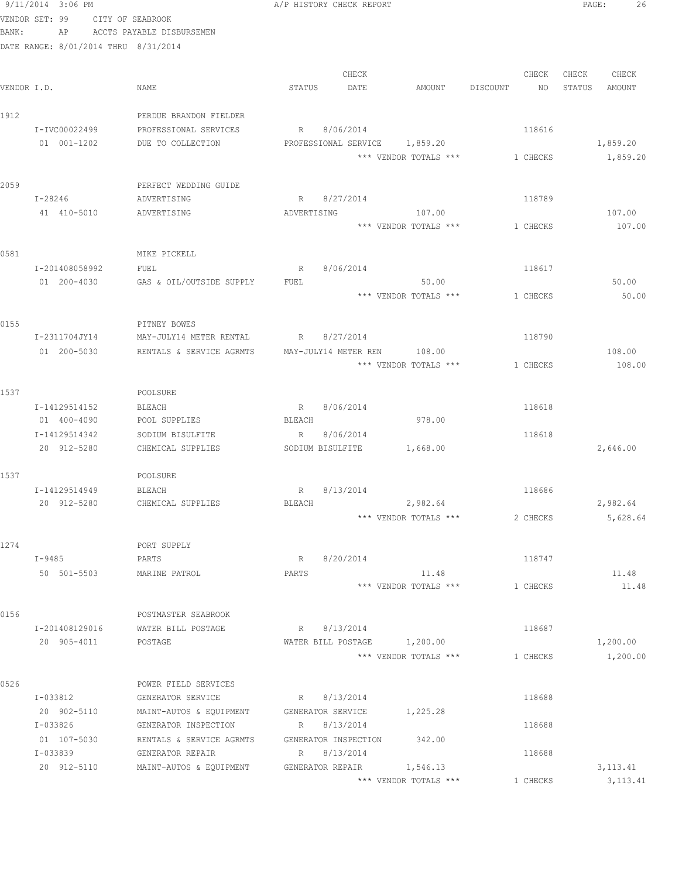|             | 9/11/2014 3:06 PM |                                      |                                     | A/P HISTORY CHECK REPORT                  | 26<br>PAGE:      |
|-------------|-------------------|--------------------------------------|-------------------------------------|-------------------------------------------|------------------|
|             |                   | VENDOR SET: 99 CITY OF SEABROOK      |                                     |                                           |                  |
| BANK:       |                   |                                      | AP ACCTS PAYABLE DISBURSEMEN        |                                           |                  |
|             |                   | DATE RANGE: 8/01/2014 THRU 8/31/2014 |                                     |                                           |                  |
|             |                   |                                      |                                     |                                           |                  |
|             |                   |                                      |                                     | CHECK<br>CHECK                            | CHECK<br>CHECK   |
| VENDOR I.D. |                   |                                      | NAME                                | STATUS<br>DATE<br>AMOUNT DISCOUNT<br>NO   | STATUS<br>AMOUNT |
| 1912        |                   |                                      | PERDUE BRANDON FIELDER              |                                           |                  |
|             | I-IVC00022499     |                                      | PROFESSIONAL SERVICES               | R 8/06/2014<br>118616                     |                  |
|             | 01 001-1202       |                                      | DUE TO COLLECTION                   | PROFESSIONAL SERVICE 1,859.20             | 1,859.20         |
|             |                   |                                      |                                     | *** VENDOR TOTALS ***<br>1 CHECKS         | 1,859.20         |
|             |                   |                                      |                                     |                                           |                  |
| 2059        |                   |                                      | PERFECT WEDDING GUIDE               |                                           |                  |
|             | I-28246           |                                      | ADVERTISING                         | R 8/27/2014<br>118789                     |                  |
|             |                   | 41 410-5010                          | ADVERTISING                         | ADVERTISING<br>107.00                     | 107.00           |
|             |                   |                                      |                                     | *** VENDOR TOTALS ***<br>1 CHECKS         | 107.00           |
|             |                   |                                      |                                     |                                           |                  |
| 0581        | I-201408058992    |                                      | MIKE PICKELL                        |                                           |                  |
|             | 01 200-4030       |                                      | FUEL<br>GAS & OIL/OUTSIDE SUPPLY    | 8/06/2014<br>118617<br>R<br>FUEL<br>50.00 | 50.00            |
|             |                   |                                      |                                     | *** VENDOR TOTALS *** 1 CHECKS            | 50.00            |
|             |                   |                                      |                                     |                                           |                  |
| 0155        |                   |                                      | PITNEY BOWES                        |                                           |                  |
|             | I-2311704JY14     |                                      | MAY-JULY14 METER RENTAL R 8/27/2014 | 118790                                    |                  |
|             | 01 200-5030       |                                      | RENTALS & SERVICE AGRMTS            | MAY-JULY14 METER REN 108.00               | 108.00           |
|             |                   |                                      |                                     | *** VENDOR TOTALS ***<br>1 CHECKS         | 108.00           |
|             |                   |                                      |                                     |                                           |                  |
| 1537        |                   |                                      | POOLSURE                            |                                           |                  |
|             | I-14129514152     |                                      | BLEACH                              | R 8/06/2014<br>118618                     |                  |
|             | 01 400-4090       |                                      | POOL SUPPLIES                       | BLEACH<br>978.00                          |                  |
|             | I-14129514342     |                                      | SODIUM BISULFITE                    | R 8/06/2014<br>118618                     |                  |
|             | 20 912-5280       |                                      | CHEMICAL SUPPLIES                   | 1,668.00<br>SODIUM BISULFITE              | 2,646.00         |
| 1537        |                   |                                      | POOLSURE                            |                                           |                  |
|             | I-14129514949     |                                      | <b>BLEACH</b>                       | 118686<br>R 8/13/2014                     |                  |
|             | 20 912-5280       |                                      | CHEMICAL SUPPLIES                   | BLEACH<br>2,982.64                        | 2,982.64         |
|             |                   |                                      |                                     | *** VENDOR TOTALS ***<br>2 CHECKS         | 5,628.64         |
|             |                   |                                      |                                     |                                           |                  |
| 1274        |                   |                                      | PORT SUPPLY                         |                                           |                  |
|             | I-9485            |                                      | PARTS                               | 8/20/2014<br>118747<br>R                  |                  |
|             | 50 501-5503       |                                      | MARINE PATROL                       | PARTS<br>11.48                            | 11.48            |
|             |                   |                                      |                                     | *** VENDOR TOTALS ***<br>1 CHECKS         | 11.48            |
|             |                   |                                      |                                     |                                           |                  |
| 0156        |                   |                                      | POSTMASTER SEABROOK                 |                                           |                  |
|             | I-201408129016    |                                      | WATER BILL POSTAGE                  | 8/13/2014<br>118687<br>R                  |                  |
|             | 20 905-4011       |                                      | POSTAGE                             | 1,200.00<br>WATER BILL POSTAGE            | 1,200.00         |
|             |                   |                                      |                                     | *** VENDOR TOTALS ***<br>1 CHECKS         | 1,200.00         |
| 0526        |                   |                                      | POWER FIELD SERVICES                |                                           |                  |
|             | I-033812          |                                      | GENERATOR SERVICE                   | 8/13/2014<br>118688<br>R                  |                  |
|             | 20 902-5110       |                                      | MAINT-AUTOS & EQUIPMENT             | GENERATOR SERVICE<br>1,225.28             |                  |
|             | I-033826          |                                      | GENERATOR INSPECTION                | 8/13/2014<br>118688<br>R                  |                  |
|             | 01 107-5030       |                                      | RENTALS & SERVICE AGRMTS            | GENERATOR INSPECTION<br>342.00            |                  |
|             | I-033839          |                                      | GENERATOR REPAIR                    | R 8/13/2014<br>118688                     |                  |
|             | 20 912-5110       |                                      | MAINT-AUTOS & EQUIPMENT             | GENERATOR REPAIR<br>1,546.13              | 3, 113. 41       |
|             |                   |                                      |                                     | *** VENDOR TOTALS ***<br>1 CHECKS         | 3, 113.41        |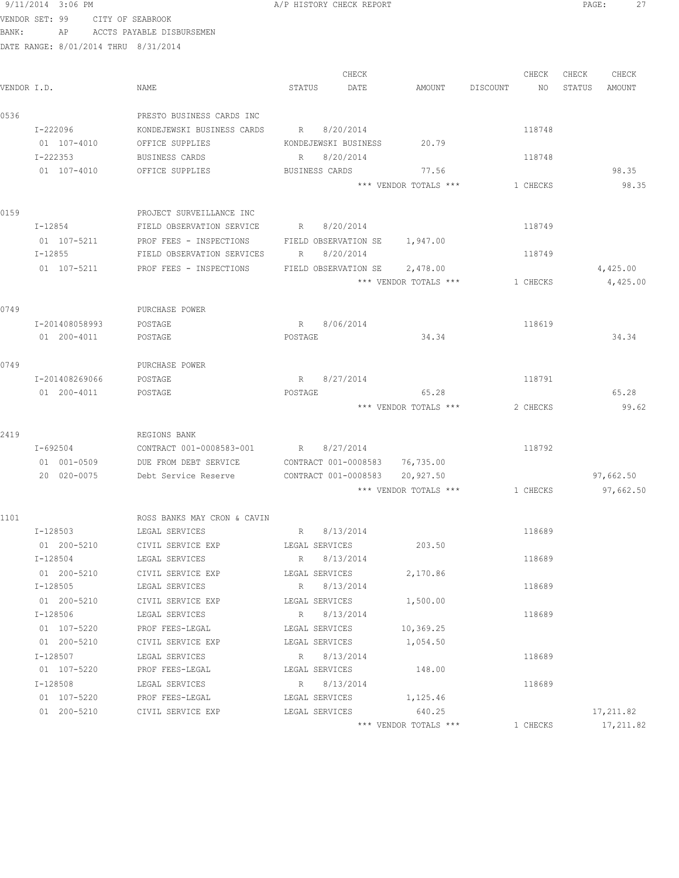| VENDOR SET: 99 |          |                               | CITY OF SEABROOK |                                                         |         |                      |                                |          |          |        |            |
|----------------|----------|-------------------------------|------------------|---------------------------------------------------------|---------|----------------------|--------------------------------|----------|----------|--------|------------|
| BANK:          |          | AP                            |                  | ACCTS PAYABLE DISBURSEMEN                               |         |                      |                                |          |          |        |            |
|                |          |                               |                  | DATE RANGE: 8/01/2014 THRU 8/31/2014                    |         |                      |                                |          |          |        |            |
|                |          |                               |                  |                                                         |         | CHECK                |                                |          | CHECK    | CHECK  | CHECK      |
| VENDOR I.D.    |          |                               |                  | NAME                                                    | STATUS  | DATE                 | AMOUNT                         | DISCOUNT | NO       | STATUS | AMOUNT     |
| 0536           |          |                               |                  | PRESTO BUSINESS CARDS INC                               |         |                      |                                |          |          |        |            |
|                | I-222096 |                               |                  | KONDEJEWSKI BUSINESS CARDS                              | R       | 8/20/2014            |                                |          | 118748   |        |            |
|                |          | 01 107-4010                   |                  | OFFICE SUPPLIES                                         |         | KONDEJEWSKI BUSINESS | 20.79                          |          |          |        |            |
|                | I-222353 |                               |                  | BUSINESS CARDS                                          |         | R 8/20/2014          |                                |          | 118748   |        |            |
|                |          | 01 107-4010                   |                  | OFFICE SUPPLIES                                         |         | BUSINESS CARDS       | 77.56                          |          |          |        | 98.35      |
|                |          |                               |                  |                                                         |         |                      | *** VENDOR TOTALS ***          |          | 1 CHECKS |        | 98.35      |
| 0159           |          |                               |                  | PROJECT SURVEILLANCE INC                                |         |                      |                                |          |          |        |            |
|                |          | $I - 12854$                   |                  | FIELD OBSERVATION SERVICE                               |         | R 8/20/2014          |                                |          | 118749   |        |            |
|                |          |                               |                  | 01  107-5211  PROF FEES - INSPECTIONS                   |         |                      | FIELD OBSERVATION SE 1,947.00  |          |          |        |            |
|                |          | I-12855                       |                  | FIELD OBSERVATION SERVICES                              | R       | 8/20/2014            |                                |          | 118749   |        |            |
|                |          | 01 107-5211                   |                  | PROF FEES - INSPECTIONS                                 |         |                      | FIELD OBSERVATION SE 2,478.00  |          |          |        | 4,425.00   |
|                |          |                               |                  |                                                         |         |                      | *** VENDOR TOTALS ***          |          | 1 CHECKS |        | 4,425.00   |
| 0749           |          |                               |                  | PURCHASE POWER                                          |         |                      |                                |          |          |        |            |
|                |          |                               |                  |                                                         |         |                      |                                |          |          |        |            |
|                |          | I-201408058993<br>01 200-4011 |                  | POSTAGE<br>POSTAGE                                      | POSTAGE | R 8/06/2014          | 34.34                          |          | 118619   |        | 34.34      |
|                |          |                               |                  |                                                         |         |                      |                                |          |          |        |            |
| 0749           |          |                               |                  | PURCHASE POWER                                          |         |                      |                                |          |          |        |            |
|                |          | I-201408269066                |                  | POSTAGE                                                 |         | R 8/27/2014          |                                |          | 118791   |        |            |
|                |          | 01 200-4011                   |                  | POSTAGE                                                 | POSTAGE |                      | 65.28                          |          |          |        | 65.28      |
|                |          |                               |                  |                                                         |         |                      | *** VENDOR TOTALS ***          |          | 2 CHECKS |        | 99.62      |
| 2419           |          |                               |                  | REGIONS BANK                                            |         |                      |                                |          |          |        |            |
|                |          | I-692504                      |                  | CONTRACT 001-0008583-001                                |         | R 8/27/2014          |                                |          | 118792   |        |            |
|                |          | 01 001-0509                   |                  | DUE FROM DEBT SERVICE                                   |         |                      | CONTRACT 001-0008583 76,735.00 |          |          |        |            |
|                |          | 20 020-0075                   |                  | Debt Service Reserve                                    |         | CONTRACT 001-0008583 | 20,927.50                      |          |          |        | 97,662.50  |
|                |          |                               |                  |                                                         |         |                      | *** VENDOR TOTALS ***          |          | 1 CHECKS |        | 97,662.50  |
| 1101           |          |                               |                  | ROSS BANKS MAY CRON & CAVIN                             |         |                      |                                |          |          |        |            |
|                |          | I-128503                      |                  | LEGAL SERVICES                                          |         | R 8/13/2014          |                                |          | 118689   |        |            |
|                |          |                               |                  | 01  200-5210  CIVIL SERVICE EXP  LEGAL SERVICES         |         |                      | 203.50                         |          |          |        |            |
|                | I-128504 |                               |                  | LEGAL SERVICES                                          |         | R 8/13/2014          |                                |          | 118689   |        |            |
|                |          |                               |                  | 01 200-5210 CIVIL SERVICE EXP LEGAL SERVICES            |         |                      | 2,170.86                       |          |          |        |            |
|                | I-128505 |                               |                  | LEGAL SERVICES                                          |         | R 8/13/2014          |                                |          | 118689   |        |            |
|                |          |                               | 01 200-5210      | CIVIL SERVICE EXP                                       |         | LEGAL SERVICES       | 1,500.00                       |          |          |        |            |
|                |          | I-128506                      |                  | LEGAL SERVICES                                          |         | R 8/13/2014          |                                |          | 118689   |        |            |
|                |          | 01 107-5220                   |                  | PROF FEES-LEGAL                                         |         | LEGAL SERVICES       | 10,369.25                      |          |          |        |            |
|                |          | 01 200-5210                   |                  | CIVIL SERVICE EXP                                       |         | LEGAL SERVICES       | 1,054.50                       |          |          |        |            |
|                |          | I-128507                      |                  | LEGAL SERVICES                                          |         | R 8/13/2014          |                                |          | 118689   |        |            |
|                |          | 01 107-5220                   |                  | PROF FEES-LEGAL                                         |         | LEGAL SERVICES       | 148.00                         |          |          |        |            |
|                |          | I-128508                      |                  | LEGAL SERVICES                                          |         | R 8/13/2014          |                                |          | 118689   |        |            |
|                |          |                               |                  | 01 107-5220 PROF FEES-LEGAL                             |         |                      | LEGAL SERVICES 1,125.46        |          |          |        |            |
|                |          |                               |                  | 01  200-5210  CIVIL SERVICE EXP  LEGAL SERVICES  640.25 |         |                      |                                |          |          |        | 17,211.82  |
|                |          |                               |                  |                                                         |         |                      | *** VENDOR TOTALS ***          |          | 1 CHECKS |        | 17, 211.82 |

9/11/2014 3:06 PM **A/P HISTORY CHECK REPORT PAGE:** 27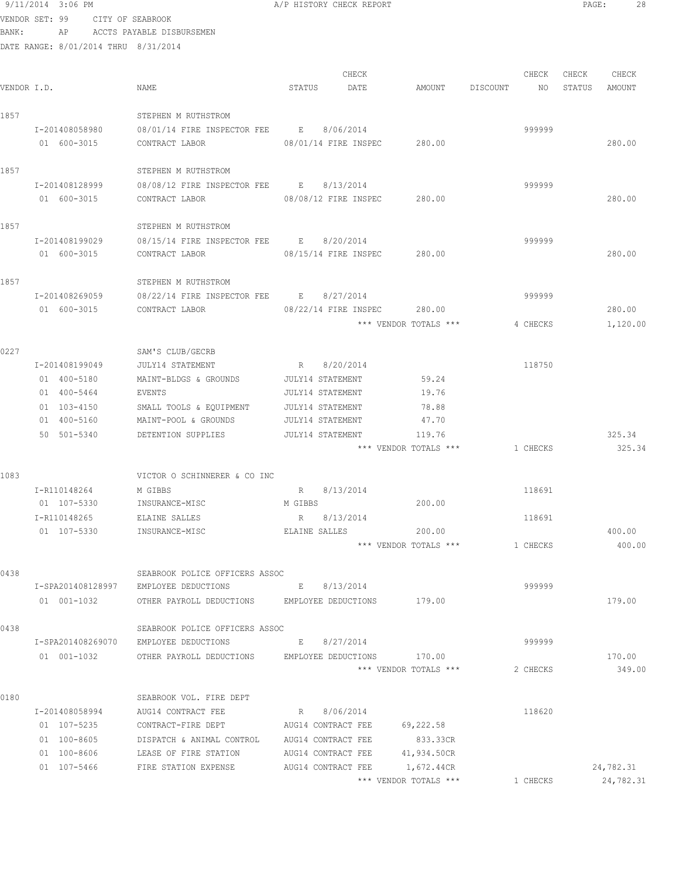9/11/2014 3:06 PM A/P HISTORY CHECK REPORT PAGE: 28 VENDOR SET: 99 CITY OF SEABROOK BANK: AP ACCTS PAYABLE DISBURSEMEN DATE RANGE: 8/01/2014 THRU 8/31/2014 CHECK CHECK CHECK CHECK CHECK CHECK CHECK CHECK CHECK CHECK CHECK CHECK CHECK CHECK CHECK CHECK CHECK CHECK CHECK CHECK CHECK CHECK CHECK CHECK CHECK CHECK CHECK CHECK CHECK CHECK CHECK CHECK CHECK CHECK CHECK CHECK CHECK VENDOR I.D. NAME STATUS DATE AMOUNT DISCOUNT NO STATUS AMOUNT 1857 STEPHEN M RUTHSTROM

 I-201408058980 08/01/14 FIRE INSPECTOR FEE E 8/06/2014 999999 01 600-3015 CONTRACT LABOR 08/01/14 FIRE INSPEC 280.00 280.00 1857 STEPHEN M RUTHSTROM I-201408128999 08/08/12 FIRE INSPECTOR FEE E 8/13/2014 999999 01 600-3015 CONTRACT LABOR 08/08/12 FIRE INSPEC 280.00 280.00 1857 STEPHEN M RUTHSTROM I-201408199029 08/15/14 FIRE INSPECTOR FEE E 8/20/2014 999999 01 600-3015 CONTRACT LABOR 08/15/14 FIRE INSPEC 280.00 280.00 1857 STEPHEN M RUTHSTROM I-201408269059 08/22/14 FIRE INSPECTOR FEE E 8/27/2014 999999 01 600-3015 CONTRACT LABOR 08/22/14 FIRE INSPEC 280.00 280.00 \*\*\* VENDOR TOTALS \*\*\* 4 CHECKS 1,120.00 0227 SAM'S CLUB/GECRB I-201408199049 JULY14 STATEMENT R 8/20/2014 118750 01 400-5180 MAINT-BLDGS & GROUNDS JULY14 STATEMENT 59.24 01 400-5464 EVENTS JULY14 STATEMENT 19.76 01 103-4150 SMALL TOOLS & EQUIPMENT JULY14 STATEMENT 78.88 01 400-5160 MAINT-POOL & GROUNDS JULY14 STATEMENT 47.70 50 501-5340 DETENTION SUPPLIES JULY14 STATEMENT 119.76 325.34 \*\*\* VENDOR TOTALS \*\*\* 1 CHECKS 325.34 1083 VICTOR O SCHINNERER & CO INC I-R110148264 M GIBBS R 8/13/2014 118691 01 107-5330 INSURANCE-MISC M GIBBS 200.00 I-R110148265 ELAINE SALLES R 8/13/2014 118691 01 107-5330 INSURANCE-MISC ELAINE SALLES 200.00 400.00 \*\*\* VENDOR TOTALS \*\*\* 1 CHECKS 400.00 0438 SEABROOK POLICE OFFICERS ASSOC I-SPA201408128997 EMPLOYEE DEDUCTIONS E 8/13/2014 999999 01 001-1032 OTHER PAYROLL DEDUCTIONS EMPLOYEE DEDUCTIONS 179.00 179.00 0438 SEABROOK POLICE OFFICERS ASSOC I-SPA201408269070 EMPLOYEE DEDUCTIONS E 8/27/2014 999999 01 001-1032 OTHER PAYROLL DEDUCTIONS EMPLOYEE DEDUCTIONS 170.00 170.00 170.00 \*\*\* VENDOR TOTALS \*\*\* 2 CHECKS 349.00 0180 SEABROOK VOL. FIRE DEPT I-201408058994 AUG14 CONTRACT FEE R 8/06/2014 118620 01 107-5235 CONTRACT-FIRE DEPT AUG14 CONTRACT FEE 69,222.58 01 100-8605 DISPATCH & ANIMAL CONTROL AUG14 CONTRACT FEE 833.33CR

01 107-5466 FIRE STATION EXPENSE AUG14 CONTRACT FEE  $1,672.44$ CR 24,782.31 <br> $***$  VENDOR TOTALS  $***$  24,782.3

\*\*\* VENDOR TOTALS \*\*\* 1 CHECKS 24,782.31

01 100-8606 LEASE OF FIRE STATION AUG14 CONTRACT FEE 41,934.50CR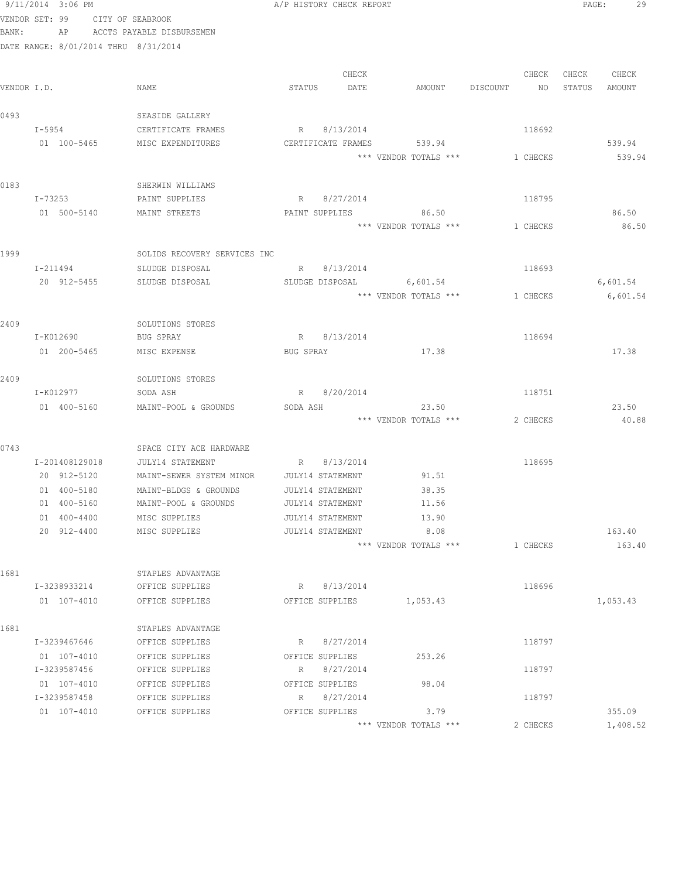|             | 9/11/2014 3:06 PM                    |                                              |           | A/P HISTORY CHECK REPORT        |                                |                 | PAGE:  | 29          |  |
|-------------|--------------------------------------|----------------------------------------------|-----------|---------------------------------|--------------------------------|-----------------|--------|-------------|--|
|             | VENDOR SET: 99 CITY OF SEABROOK      |                                              |           |                                 |                                |                 |        |             |  |
| BANK:       |                                      | AP ACCTS PAYABLE DISBURSEMEN                 |           |                                 |                                |                 |        |             |  |
|             | DATE RANGE: 8/01/2014 THRU 8/31/2014 |                                              |           |                                 |                                |                 |        |             |  |
|             |                                      |                                              |           |                                 |                                |                 |        |             |  |
|             |                                      |                                              |           | CHECK                           |                                | CHECK           |        | CHECK CHECK |  |
| VENDOR I.D. |                                      | NAME                                         | STATUS    | DATE                            | AMOUNT DISCOUNT                | NO <sub>N</sub> | STATUS | AMOUNT      |  |
| 0493        |                                      | SEASIDE GALLERY                              |           |                                 |                                |                 |        |             |  |
|             | I-5954                               | CERTIFICATE FRAMES                           |           | R 8/13/2014                     |                                | 118692          |        |             |  |
|             | 01 100-5465                          | MISC EXPENDITURES                            |           | CERTIFICATE FRAMES              | 539.94                         |                 |        | 539.94      |  |
|             |                                      |                                              |           |                                 | *** VENDOR TOTALS ***          | 1 CHECKS        |        | 539.94      |  |
|             |                                      |                                              |           |                                 |                                |                 |        |             |  |
| 0183        |                                      | SHERWIN WILLIAMS                             |           |                                 |                                |                 |        |             |  |
|             | I-73253                              | PAINT SUPPLIES                               |           | R 8/27/2014                     |                                | 118795          |        |             |  |
|             | 01 500-5140                          | MAINT STREETS                                |           | PAINT SUPPLIES                  | 86.50                          |                 |        | 86.50       |  |
|             |                                      |                                              |           |                                 | *** VENDOR TOTALS ***          | 1 CHECKS        |        | 86.50       |  |
|             |                                      |                                              |           |                                 |                                |                 |        |             |  |
| 1999        |                                      | SOLIDS RECOVERY SERVICES INC                 |           |                                 |                                |                 |        |             |  |
|             | I-211494                             | SLUDGE DISPOSAL                              |           | R 8/13/2014                     |                                | 118693          |        |             |  |
|             | 20 912-5455                          | SLUDGE DISPOSAL                              |           |                                 | SLUDGE DISPOSAL 6,601.54       |                 |        | 6,601.54    |  |
|             |                                      |                                              |           |                                 | *** VENDOR TOTALS *** 1 CHECKS |                 |        | 6,601.54    |  |
| 2409        |                                      | SOLUTIONS STORES                             |           |                                 |                                |                 |        |             |  |
|             | I-K012690                            | BUG SPRAY                                    |           | R 8/13/2014                     |                                | 118694          |        |             |  |
|             | 01 200-5465                          | MISC EXPENSE                                 | BUG SPRAY |                                 | 17.38                          |                 |        | 17.38       |  |
|             |                                      |                                              |           |                                 |                                |                 |        |             |  |
| 2409        |                                      | SOLUTIONS STORES                             |           |                                 |                                |                 |        |             |  |
|             | I-K012977                            | SODA ASH                                     |           | R 8/20/2014                     |                                | 118751          |        |             |  |
|             | 01 400-5160                          | MAINT-POOL & GROUNDS                         | SODA ASH  |                                 | 23.50                          |                 |        | 23.50       |  |
|             |                                      |                                              |           |                                 | *** VENDOR TOTALS ***          | 2 CHECKS        |        | 40.88       |  |
|             |                                      |                                              |           |                                 |                                |                 |        |             |  |
| 0743        |                                      | SPACE CITY ACE HARDWARE                      |           |                                 |                                |                 |        |             |  |
|             | I-201408129018<br>20 912-5120        | JULY14 STATEMENT<br>MAINT-SEWER SYSTEM MINOR |           | R 8/13/2014<br>JULY14 STATEMENT | 91.51                          | 118695          |        |             |  |
|             | 01 400-5180                          | MAINT-BLDGS & GROUNDS                        |           | JULY14 STATEMENT                | 38.35                          |                 |        |             |  |
|             | 01 400-5160                          | MAINT-POOL & GROUNDS                         |           | <b>JULY14 STATEMENT</b>         | 11.56                          |                 |        |             |  |
|             | 01 400-4400                          | MISC SUPPLIES                                |           | JULY14 STATEMENT                | 13.90                          |                 |        |             |  |
|             | 20 912-4400                          | MISC SUPPLIES                                |           | JULY14 STATEMENT                | 8.08                           |                 |        | 163.40      |  |
|             |                                      |                                              |           |                                 | *** VENDOR TOTALS ***          | 1 CHECKS        |        | 163.40      |  |
|             |                                      |                                              |           |                                 |                                |                 |        |             |  |
| 1681        |                                      | STAPLES ADVANTAGE                            |           |                                 |                                |                 |        |             |  |
|             | I-3238933214                         | OFFICE SUPPLIES                              |           | R 8/13/2014                     |                                | 118696          |        |             |  |
|             | 01 107-4010                          | OFFICE SUPPLIES                              |           | OFFICE SUPPLIES                 | 1,053.43                       |                 |        | 1,053.43    |  |
|             |                                      |                                              |           |                                 |                                |                 |        |             |  |
| 1681        | I-3239467646                         | STAPLES ADVANTAGE<br>OFFICE SUPPLIES         | R         | 8/27/2014                       |                                | 118797          |        |             |  |
|             | 01 107-4010                          | OFFICE SUPPLIES                              |           | OFFICE SUPPLIES                 | 253.26                         |                 |        |             |  |
|             | I-3239587456                         | OFFICE SUPPLIES                              | R         | 8/27/2014                       |                                | 118797          |        |             |  |
|             | 01 107-4010                          | OFFICE SUPPLIES                              |           | OFFICE SUPPLIES                 | 98.04                          |                 |        |             |  |
|             | I-3239587458                         | OFFICE SUPPLIES                              | R         | 8/27/2014                       |                                | 118797          |        |             |  |
|             | 01 107-4010                          | OFFICE SUPPLIES                              |           | OFFICE SUPPLIES                 | 3.79                           |                 |        | 355.09      |  |
|             |                                      |                                              |           |                                 | *** VENDOR TOTALS ***          | 2 CHECKS        |        | 1,408.52    |  |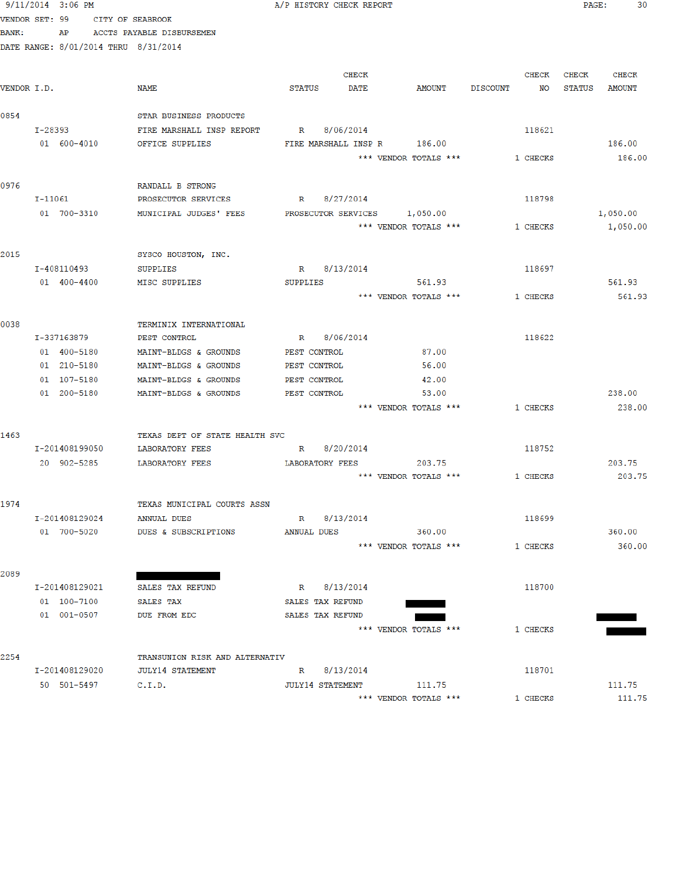|                | 9/11/2014 3:06 PM          |                                      |                              | A/P HISTORY CHECK REPORT |                                |             |          | PAGE:  | 30            |  |
|----------------|----------------------------|--------------------------------------|------------------------------|--------------------------|--------------------------------|-------------|----------|--------|---------------|--|
| VENDOR SET: 99 |                            | CITY OF SEABROOK                     |                              |                          |                                |             |          |        |               |  |
| <b>BANK:</b>   |                            | AP ACCTS PAYABLE DISBURSEMEN         |                              |                          |                                |             |          |        |               |  |
|                |                            | DATE RANGE: 8/01/2014 THRU 8/31/2014 |                              |                          |                                |             |          |        |               |  |
|                |                            |                                      |                              |                          |                                |             |          |        |               |  |
|                |                            |                                      |                              | CHECK                    |                                |             | CHECK    | CHECK  | CHECK         |  |
| VENDOR I.D.    |                            | NAME                                 | STATUS                       | <b>DATE</b>              | <b>AMOUNT</b>                  | DISCOUNT NO |          | STATUS | <b>AMOUNT</b> |  |
|                |                            |                                      |                              |                          |                                |             |          |        |               |  |
| 0854           |                            | STAR BUSINESS PRODUCTS               |                              |                          |                                |             |          |        |               |  |
|                | I-28393                    | FIRE MARSHALL INSP REPORT            |                              | R 8/06/2014              |                                |             | 118621   |        |               |  |
|                | 01 600-4010                | OFFICE SUPPLIES                      |                              |                          | FIRE MARSHALL INSP R 186.00    |             |          |        | 186.00        |  |
|                |                            |                                      |                              |                          | *** VENDOR TOTALS ***          | 1 CHECKS    |          |        | 186.00        |  |
|                |                            |                                      |                              |                          |                                |             |          |        |               |  |
| 0976           |                            | RANDALL B STRONG                     |                              |                          |                                |             |          |        |               |  |
|                | $I-11061$                  | PROSECUTOR SERVICES                  |                              | R 8/27/2014              |                                |             | 118798   |        |               |  |
|                | 01 700-3310                | MUNICIPAL JUDGES' FEES               |                              |                          | PROSECUTOR SERVICES 1,050.00   |             |          |        | 1,050.00      |  |
|                |                            |                                      |                              |                          | *** VENDOR TOTALS ***          |             | 1 CHECKS |        | 1,050.00      |  |
|                |                            |                                      |                              |                          |                                |             |          |        |               |  |
| 2015           |                            | SYSCO HOUSTON, INC.                  |                              |                          |                                |             |          |        |               |  |
|                | I-408110493                | SUPPLIES                             |                              | R 8/13/2014              |                                |             | 118697   |        |               |  |
|                | 01 400-4400                | MISC SUPPLIES                        | SUPPLIES                     |                          | 561.93                         |             |          |        | 561.93        |  |
|                |                            |                                      |                              |                          | *** VENDOR TOTALS ***          |             | 1 CHECKS |        | 561.93        |  |
|                |                            |                                      |                              |                          |                                |             |          |        |               |  |
| 0038           |                            | TERMINIX INTERNATIONAL               |                              |                          |                                |             |          |        |               |  |
|                | I-337163879                | PEST CONTROL                         |                              | R 8/06/2014              |                                |             | 118622   |        |               |  |
|                |                            | 01 400-5180 MAINT-BLDGS & GROUNDS    | PEST CONTROL                 |                          | 87.00                          |             |          |        |               |  |
|                | 01 210-5180                | MAINT-BLDGS & GROUNDS                | PEST CONTROL                 |                          | 56.00                          |             |          |        |               |  |
|                | 01 107-5180<br>01 200-5180 | MAINT-BLDGS & GROUNDS                | PEST CONTROL<br>PEST CONTROL |                          | 42.00<br>53.00                 |             |          |        | 238.00        |  |
|                |                            | MAINT-BLDGS & GROUNDS                |                              |                          | *** VENDOR TOTALS ***          |             |          |        | 238.00        |  |
|                |                            |                                      |                              |                          |                                |             | 1 CHECKS |        |               |  |
| 1463           |                            | TEXAS DEPT OF STATE HEALTH SVC       |                              |                          |                                |             |          |        |               |  |
|                | I-201408199050             | <b>LABORATORY FEES</b>               |                              | R 8/20/2014              |                                |             | 118752   |        |               |  |
|                | 20 902-5285                | <b>LABORATORY FEES</b>               |                              |                          | LABORATORY FEES 203.75         |             |          |        | 203.75        |  |
|                |                            |                                      |                              |                          | *** VENDOR TOTALS *** 1 CHECKS |             |          |        | 203.75        |  |
|                |                            |                                      |                              |                          |                                |             |          |        |               |  |
| 1974           |                            | TEXAS MUNICIPAL COURTS ASSN          |                              |                          |                                |             |          |        |               |  |
|                | I-201408129024             | <b>ANNUAL DUES</b>                   |                              | R 8/13/2014              |                                |             | 118699   |        |               |  |
|                | 01 700-5020                | DUES & SUBSCRIPTIONS                 | ANNUAL DUES                  |                          | 360.00                         |             |          |        | 360.00        |  |
|                |                            |                                      |                              |                          | *** VENDOR TOTALS ***          |             | 1 CHECKS |        | 360.00        |  |
|                |                            |                                      |                              |                          |                                |             |          |        |               |  |
| 2089           |                            |                                      |                              |                          |                                |             |          |        |               |  |
|                | I-201408129021             | SALES TAX REFUND                     |                              | R 8/13/2014              |                                |             | 118700   |        |               |  |
|                | 01 100-7100                | SALES TAX                            |                              | SALES TAX REFUND         |                                |             |          |        |               |  |
|                | 01 001-0507                | DUE FROM EDC                         | SALES TAX REFUND             |                          |                                |             |          |        |               |  |
|                |                            |                                      |                              |                          | *** VENDOR TOTALS ***          |             | 1 CHECKS |        |               |  |
|                |                            |                                      |                              |                          |                                |             |          |        |               |  |
| 2254           |                            | TRANSUNION RISK AND ALTERNATIV       |                              |                          |                                |             |          |        |               |  |
|                | I-201408129020             | <b>JULY14 STATEMENT</b>              |                              | R 8/13/2014              |                                |             | 118701   |        |               |  |
|                | 50 501-5497                | C.I.D.                               |                              | <b>JULY14 STATEMENT</b>  | 111.75                         |             |          |        | 111.75        |  |
|                |                            |                                      |                              |                          | *** VENDOR TOTALS ***          |             | 1 CHECKS |        | 111.75        |  |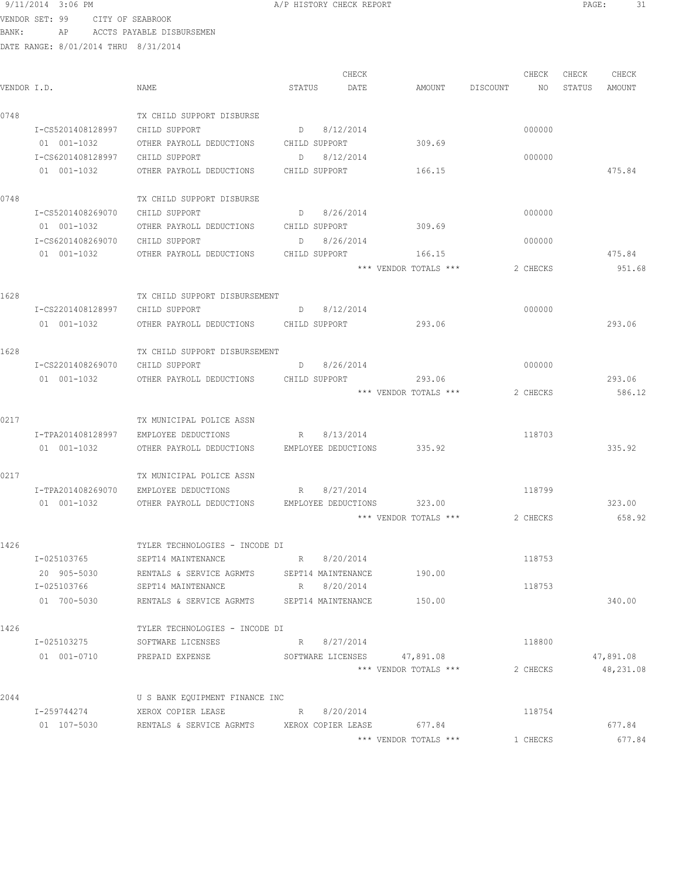|             | 9/11/2014 3:06 PM |                   |                                                     |        | A/P HISTORY CHECK REPORT |                       |          |        | PAGE:<br>31 |
|-------------|-------------------|-------------------|-----------------------------------------------------|--------|--------------------------|-----------------------|----------|--------|-------------|
|             | VENDOR SET: 99    | CITY OF SEABROOK  |                                                     |        |                          |                       |          |        |             |
| BANK:       | AP                |                   | ACCTS PAYABLE DISBURSEMEN                           |        |                          |                       |          |        |             |
|             |                   |                   | DATE RANGE: 8/01/2014 THRU 8/31/2014                |        |                          |                       |          |        |             |
|             |                   |                   |                                                     |        | CHECK                    |                       | CHECK    | CHECK  | CHECK       |
| VENDOR I.D. |                   |                   | NAME                                                | STATUS | DATE                     | AMOUNT DISCOUNT       | NO       | STATUS | AMOUNT      |
| 0748        |                   |                   | TX CHILD SUPPORT DISBURSE                           |        |                          |                       |          |        |             |
|             | I-CS5201408128997 |                   | CHILD SUPPORT                                       |        | D 8/12/2014              |                       | 000000   |        |             |
|             | 01 001-1032       |                   | OTHER PAYROLL DEDUCTIONS CHILD SUPPORT              |        |                          | 309.69                |          |        |             |
|             |                   |                   | I-CS6201408128997 CHILD SUPPORT                     | D      | 8/12/2014                |                       | 000000   |        |             |
|             | 01 001-1032       |                   | OTHER PAYROLL DEDUCTIONS CHILD SUPPORT              |        |                          | 166.15                |          |        | 475.84      |
| 0748        |                   |                   | TX CHILD SUPPORT DISBURSE                           |        |                          |                       |          |        |             |
|             |                   |                   | I-CS5201408269070 CHILD SUPPORT<br>$D \t 8/26/2014$ |        |                          |                       | 000000   |        |             |
|             | 01 001-1032       |                   | OTHER PAYROLL DEDUCTIONS CHILD SUPPORT              |        |                          | 309.69                |          |        |             |
|             |                   |                   | I-CS6201408269070 CHILD SUPPORT                     |        | D 8/26/2014              |                       | 000000   |        |             |
|             | 01 001-1032       |                   | OTHER PAYROLL DEDUCTIONS                            |        | CHILD SUPPORT            | 166.15                |          |        | 475.84      |
|             |                   |                   |                                                     |        |                          | *** VENDOR TOTALS *** | 2 CHECKS |        | 951.68      |
| 1628        |                   |                   | TX CHILD SUPPORT DISBURSEMENT                       |        |                          |                       |          |        |             |
|             | I-CS2201408128997 |                   | CHILD SUPPORT                                       |        | D 8/12/2014              |                       | 000000   |        |             |
|             | 01 001-1032       |                   | OTHER PAYROLL DEDUCTIONS CHILD SUPPORT              |        |                          | 293.06                |          |        | 293.06      |
| 1628        |                   |                   | TX CHILD SUPPORT DISBURSEMENT                       |        |                          |                       |          |        |             |
|             |                   |                   | I-CS2201408269070 CHILD SUPPORT                     |        | D 8/26/2014              |                       | 000000   |        |             |
|             | 01 001-1032       |                   | OTHER PAYROLL DEDUCTIONS CHILD SUPPORT              |        |                          | 293.06                |          |        | 293.06      |
|             |                   |                   |                                                     |        |                          | *** VENDOR TOTALS *** | 2 CHECKS |        | 586.12      |
| 0217        |                   |                   | TX MUNICIPAL POLICE ASSN                            |        |                          |                       |          |        |             |
|             | I-TPA201408128997 |                   | EMPLOYEE DEDUCTIONS                                 |        | R 8/13/2014              |                       | 118703   |        |             |
|             | 01 001-1032       |                   | OTHER PAYROLL DEDUCTIONS EMPLOYEE DEDUCTIONS 335.92 |        |                          |                       |          |        | 335.92      |
| 0217        |                   |                   | TX MUNICIPAL POLICE ASSN                            |        |                          |                       |          |        |             |
|             |                   | I-TPA201408269070 | EMPLOYEE DEDUCTIONS                                 | R      | 8/27/2014                |                       | 118799   |        |             |
|             |                   | 01  001-1032      | OTHER PAYROLL DEDUCTIONS                            |        | EMPLOYEE DEDUCTIONS      | 323.00                |          |        | 323.00      |
|             |                   |                   |                                                     |        |                          | *** VENDOR TOTALS *** | 2 CHECKS |        | 658.92      |
| 1426        |                   |                   | TYLER TECHNOLOGIES - INCODE DI                      |        |                          |                       |          |        |             |
|             | I-025103765       |                   | SEPT14 MAINTENANCE                                  |        | R 8/20/2014              |                       | 118753   |        |             |
|             | 20 905-5030       |                   | RENTALS & SERVICE AGRMTS                            |        | SEPT14 MAINTENANCE       | 190.00                |          |        |             |
|             | I-025103766       |                   | SEPT14 MAINTENANCE                                  |        | R 8/20/2014              |                       | 118753   |        |             |
|             | 01 700-5030       |                   | RENTALS & SERVICE AGRMTS SEPT14 MAINTENANCE         |        |                          | 150.00                |          |        | 340.00      |
| 1426        |                   |                   | TYLER TECHNOLOGIES - INCODE DI                      |        |                          |                       |          |        |             |

1426 TYLER TECHNOLOGIES - INCODE DI I-025103275 SOFTWARE LICENSES R 8/27/2014 118800 01 001-0710 PREPAID EXPENSE SOFTWARE LICENSES 47,891.08 47,891.08 47,891.08<br>
\*\*\* VENDOR TOTALS \*\*\* 2 CHECKS 48,231.08 2044 U S BANK EQUIPMENT FINANCE INC I-259744274 XEROX COPIER LEASE R 8/20/2014 R 118754 01 107-5030 RENTALS & SERVICE AGRMTS XEROX COPIER LEASE 677.84 677.84 \*\*\* VENDOR TOTALS \*\*\* 1 CHECKS 677.84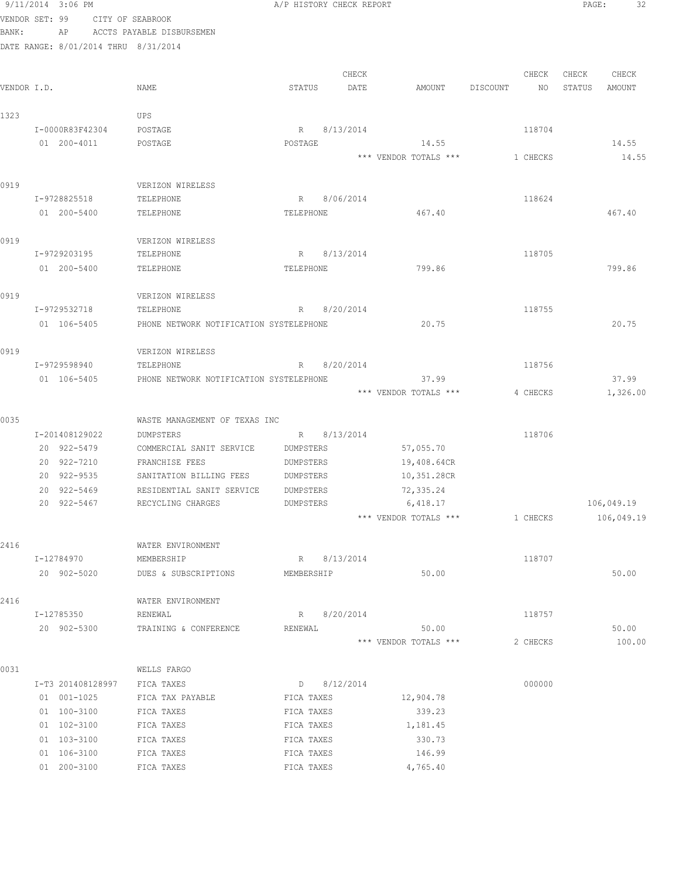|             | 9/11/2014 3:06 PM                    |                                         | A/P HISTORY CHECK REPORT |               |                       |          |          | PAGE:  | 32         |  |
|-------------|--------------------------------------|-----------------------------------------|--------------------------|---------------|-----------------------|----------|----------|--------|------------|--|
|             | VENDOR SET: 99                       | CITY OF SEABROOK                        |                          |               |                       |          |          |        |            |  |
| BANK:       | AP                                   | ACCTS PAYABLE DISBURSEMEN               |                          |               |                       |          |          |        |            |  |
|             | DATE RANGE: 8/01/2014 THRU 8/31/2014 |                                         |                          |               |                       |          |          |        |            |  |
|             |                                      |                                         |                          |               |                       |          |          |        |            |  |
|             |                                      |                                         |                          | CHECK         |                       |          | CHECK    | CHECK  | CHECK      |  |
| VENDOR I.D. |                                      | NAME                                    | STATUS                   | DATE          | AMOUNT                | DISCOUNT | NO       | STATUS | AMOUNT     |  |
|             |                                      |                                         |                          |               |                       |          |          |        |            |  |
| 1323        |                                      | UPS                                     |                          |               |                       |          |          |        |            |  |
|             | I-0000R83F42304                      | POSTAGE                                 |                          | R 8/13/2014   |                       |          | 118704   |        |            |  |
|             | 01 200-4011                          | POSTAGE                                 | POSTAGE                  |               | 14.55                 |          |          |        | 14.55      |  |
|             |                                      |                                         |                          |               | *** VENDOR TOTALS *** |          | 1 CHECKS |        | 14.55      |  |
| 0919        |                                      | VERIZON WIRELESS                        |                          |               |                       |          |          |        |            |  |
|             | I-9728825518                         | TELEPHONE                               |                          | R 8/06/2014   |                       |          | 118624   |        |            |  |
|             | 01 200-5400                          | TELEPHONE                               | TELEPHONE                |               | 467.40                |          |          |        | 467.40     |  |
|             |                                      |                                         |                          |               |                       |          |          |        |            |  |
| 0919        |                                      | VERIZON WIRELESS                        |                          |               |                       |          |          |        |            |  |
|             | I-9729203195                         | TELEPHONE                               | R                        | 8/13/2014     |                       |          | 118705   |        |            |  |
|             | 01 200-5400                          | TELEPHONE                               | TELEPHONE                |               | 799.86                |          |          |        | 799.86     |  |
|             |                                      |                                         |                          |               |                       |          |          |        |            |  |
| 0919        |                                      | VERIZON WIRELESS                        |                          |               |                       |          |          |        |            |  |
|             | I-9729532718                         | TELEPHONE                               | R                        | 8/20/2014     |                       |          | 118755   |        |            |  |
|             | 01 106-5405                          | PHONE NETWORK NOTIFICATION SYSTELEPHONE |                          |               | 20.75                 |          |          |        | 20.75      |  |
|             |                                      |                                         |                          |               |                       |          |          |        |            |  |
| 0919        |                                      | VERIZON WIRELESS                        |                          |               |                       |          |          |        |            |  |
|             | I-9729598940                         | TELEPHONE                               | R                        | 8/20/2014     |                       |          | 118756   |        |            |  |
|             | 01 106-5405                          | PHONE NETWORK NOTIFICATION SYSTELEPHONE |                          |               | 37.99                 |          |          |        | 37.99      |  |
|             |                                      |                                         |                          |               | *** VENDOR TOTALS *** |          | 4 CHECKS |        | 1,326.00   |  |
|             |                                      |                                         |                          |               |                       |          |          |        |            |  |
| 0035        |                                      | WASTE MANAGEMENT OF TEXAS INC           |                          |               |                       |          |          |        |            |  |
|             | I-201408129022                       | DUMPSTERS                               |                          | R 8/13/2014   |                       |          | 118706   |        |            |  |
|             | 20 922-5479                          | COMMERCIAL SANIT SERVICE                | DUMPSTERS                |               | 57,055.70             |          |          |        |            |  |
|             | 20 922-7210                          | FRANCHISE FEES                          | DUMPSTERS                |               | 19,408.64CR           |          |          |        |            |  |
|             | 20 922-9535                          | SANITATION BILLING FEES                 | DUMPSTERS                |               | 10,351.28CR           |          |          |        |            |  |
|             | 20 922-5469                          | RESIDENTIAL SANIT SERVICE               | DUMPSTERS                |               | 72,335.24             |          |          |        |            |  |
|             | 20 922-5467                          | RECYCLING CHARGES                       | DUMPSTERS                |               | 6,418.17              |          |          |        | 106,049.19 |  |
|             |                                      |                                         |                          |               | *** VENDOR TOTALS *** |          | 1 CHECKS |        | 106,049.19 |  |
| 2416        |                                      | WATER ENVIRONMENT                       |                          |               |                       |          |          |        |            |  |
|             | I-12784970                           | MEMBERSHIP                              |                          | R 8/13/2014   |                       |          | 118707   |        |            |  |
|             | 20 902-5020                          | DUES & SUBSCRIPTIONS                    | MEMBERSHIP               |               | 50.00                 |          |          |        | 50.00      |  |
|             |                                      |                                         |                          |               |                       |          |          |        |            |  |
| 2416        |                                      | WATER ENVIRONMENT                       |                          |               |                       |          |          |        |            |  |
|             | I-12785350                           | RENEWAL                                 |                          | R 8/20/2014   |                       |          | 118757   |        |            |  |
|             | 20 902-5300                          | TRAINING & CONFERENCE                   | RENEWAL                  |               | 50.00                 |          |          |        | 50.00      |  |
|             |                                      |                                         |                          |               | *** VENDOR TOTALS *** |          | 2 CHECKS |        | 100.00     |  |
|             |                                      |                                         |                          |               |                       |          |          |        |            |  |
| 0031        |                                      | WELLS FARGO                             |                          |               |                       |          |          |        |            |  |
|             | I-T3 201408128997                    | FICA TAXES                              |                          | $D$ 8/12/2014 |                       |          | 000000   |        |            |  |
|             | 01 001-1025                          | FICA TAX PAYABLE                        | FICA TAXES               |               | 12,904.78             |          |          |        |            |  |
|             | 01 100-3100                          | FICA TAXES                              | FICA TAXES               |               | 339.23                |          |          |        |            |  |
|             | 01 102-3100                          | FICA TAXES                              | FICA TAXES               |               | 1,181.45              |          |          |        |            |  |
|             | 01 103-3100                          | FICA TAXES                              | FICA TAXES               |               | 330.73                |          |          |        |            |  |
|             | 01 106-3100                          | FICA TAXES                              | FICA TAXES               |               | 146.99                |          |          |        |            |  |
|             | 01 200-3100                          | FICA TAXES                              | FICA TAXES               |               | 4,765.40              |          |          |        |            |  |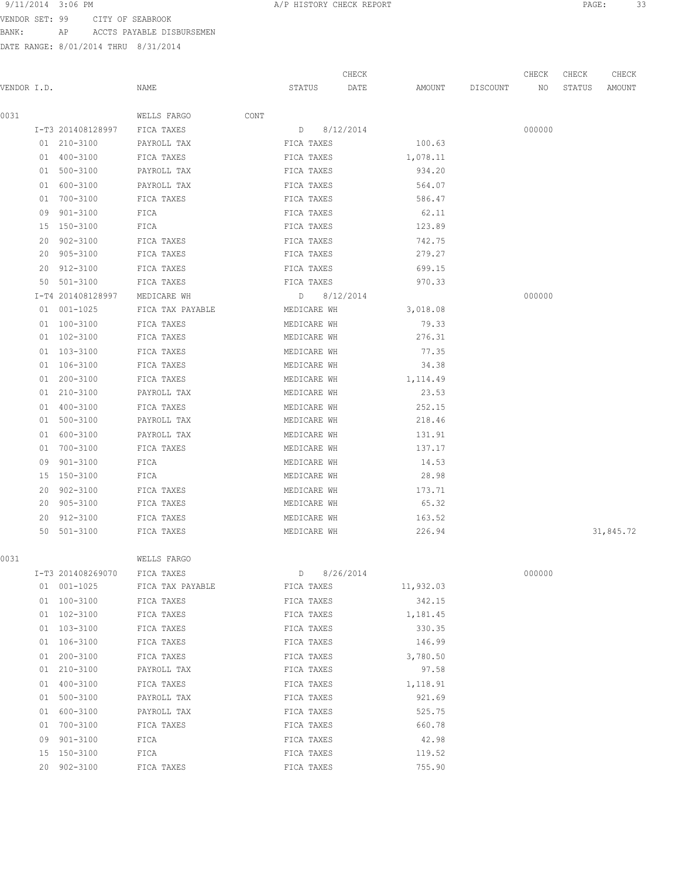9/11/2014 3:06 PM **PAGE:** 33 VENDOR SET: 99 CITY OF SEABROOK

BANK: AP ACCTS PAYABLE DISBURSEMEN

|             |    |                   |                  |      |             | CHECK       |           |          | CHECK  | CHECK  | CHECK     |
|-------------|----|-------------------|------------------|------|-------------|-------------|-----------|----------|--------|--------|-----------|
| VENDOR I.D. |    |                   | NAME             |      | STATUS      | DATE        | AMOUNT    | DISCOUNT | NO     | STATUS | AMOUNT    |
| 0031        |    |                   | WELLS FARGO      | CONT |             |             |           |          |        |        |           |
|             |    | I-T3 201408128997 | FICA TAXES       |      | D           | 8/12/2014   |           |          | 000000 |        |           |
|             |    | 01 210-3100       | PAYROLL TAX      |      | FICA TAXES  |             | 100.63    |          |        |        |           |
|             |    | 01 400-3100       | FICA TAXES       |      | FICA TAXES  |             | 1,078.11  |          |        |        |           |
|             |    | 01 500-3100       | PAYROLL TAX      |      | FICA TAXES  |             | 934.20    |          |        |        |           |
|             | 01 | 600-3100          | PAYROLL TAX      |      | FICA TAXES  |             | 564.07    |          |        |        |           |
|             | 01 | 700-3100          | FICA TAXES       |      | FICA TAXES  |             | 586.47    |          |        |        |           |
|             |    | 09 901-3100       | FICA             |      | FICA TAXES  |             | 62.11     |          |        |        |           |
|             |    | 15 150-3100       | FICA             |      | FICA TAXES  |             | 123.89    |          |        |        |           |
|             |    | 20 902-3100       | FICA TAXES       |      | FICA TAXES  |             | 742.75    |          |        |        |           |
|             |    | 20 905-3100       | FICA TAXES       |      | FICA TAXES  |             | 279.27    |          |        |        |           |
|             |    | 20 912-3100       | FICA TAXES       |      | FICA TAXES  |             | 699.15    |          |        |        |           |
|             |    | 50 501-3100       | FICA TAXES       |      | FICA TAXES  |             | 970.33    |          |        |        |           |
|             |    | I-T4 201408128997 | MEDICARE WH      |      | D           | 8/12/2014   |           |          | 000000 |        |           |
|             |    | 01 001-1025       | FICA TAX PAYABLE |      | MEDICARE WH |             | 3,018.08  |          |        |        |           |
|             |    | 01 100-3100       | FICA TAXES       |      | MEDICARE WH |             | 79.33     |          |        |        |           |
|             |    | 01 102-3100       | FICA TAXES       |      | MEDICARE WH |             | 276.31    |          |        |        |           |
|             |    | 01 103-3100       | FICA TAXES       |      | MEDICARE WH |             | 77.35     |          |        |        |           |
|             |    | 01 106-3100       | FICA TAXES       |      | MEDICARE WH |             | 34.38     |          |        |        |           |
|             |    | 01 200-3100       | FICA TAXES       |      | MEDICARE WH |             | 1,114.49  |          |        |        |           |
|             |    | 01 210-3100       | PAYROLL TAX      |      | MEDICARE WH |             | 23.53     |          |        |        |           |
|             |    | 01 400-3100       | FICA TAXES       |      | MEDICARE WH |             | 252.15    |          |        |        |           |
|             |    | 01 500-3100       | PAYROLL TAX      |      | MEDICARE WH |             | 218.46    |          |        |        |           |
|             | 01 | 600-3100          | PAYROLL TAX      |      | MEDICARE WH |             | 131.91    |          |        |        |           |
|             |    | 01 700-3100       | FICA TAXES       |      | MEDICARE WH |             | 137.17    |          |        |        |           |
|             | 09 | 901-3100          | FICA             |      | MEDICARE WH |             | 14.53     |          |        |        |           |
|             |    | 15 150-3100       | FICA             |      | MEDICARE WH |             | 28.98     |          |        |        |           |
|             | 20 | 902-3100          | FICA TAXES       |      | MEDICARE WH |             | 173.71    |          |        |        |           |
|             | 20 | 905-3100          | FICA TAXES       |      | MEDICARE WH |             | 65.32     |          |        |        |           |
|             | 20 | 912-3100          | FICA TAXES       |      | MEDICARE WH |             | 163.52    |          |        |        |           |
|             |    | 50 501-3100       | FICA TAXES       |      | MEDICARE WH |             | 226.94    |          |        |        | 31,845.72 |
| 0031        |    |                   | WELLS FARGO      |      |             |             |           |          |        |        |           |
|             |    | I-T3 201408269070 | FICA TAXES       |      |             | D 8/26/2014 |           |          | 000000 |        |           |
|             |    | 01 001-1025       | FICA TAX PAYABLE |      | FICA TAXES  |             | 11,932.03 |          |        |        |           |
|             |    | 01 100-3100       | FICA TAXES       |      | FICA TAXES  |             | 342.15    |          |        |        |           |
|             |    | 01 102-3100       | FICA TAXES       |      | FICA TAXES  |             | 1,181.45  |          |        |        |           |
|             |    | 01 103-3100       | FICA TAXES       |      | FICA TAXES  |             | 330.35    |          |        |        |           |
|             |    | 01 106-3100       | FICA TAXES       |      | FICA TAXES  |             | 146.99    |          |        |        |           |
|             |    | 01 200-3100       | FICA TAXES       |      | FICA TAXES  |             | 3,780.50  |          |        |        |           |
|             |    | 01 210-3100       | PAYROLL TAX      |      | FICA TAXES  |             | 97.58     |          |        |        |           |
|             |    | 01 400-3100       | FICA TAXES       |      | FICA TAXES  |             | 1,118.91  |          |        |        |           |
|             |    | 01 500-3100       | PAYROLL TAX      |      | FICA TAXES  |             | 921.69    |          |        |        |           |
|             |    | 01 600-3100       | PAYROLL TAX      |      | FICA TAXES  |             | 525.75    |          |        |        |           |
|             |    | 01 700-3100       | FICA TAXES       |      | FICA TAXES  |             | 660.78    |          |        |        |           |
|             |    | 09 901-3100       | FICA             |      | FICA TAXES  |             | 42.98     |          |        |        |           |
|             |    | 15 150-3100       | FICA             |      | FICA TAXES  |             | 119.52    |          |        |        |           |
|             |    | 20 902-3100       | FICA TAXES       |      | FICA TAXES  |             | 755.90    |          |        |        |           |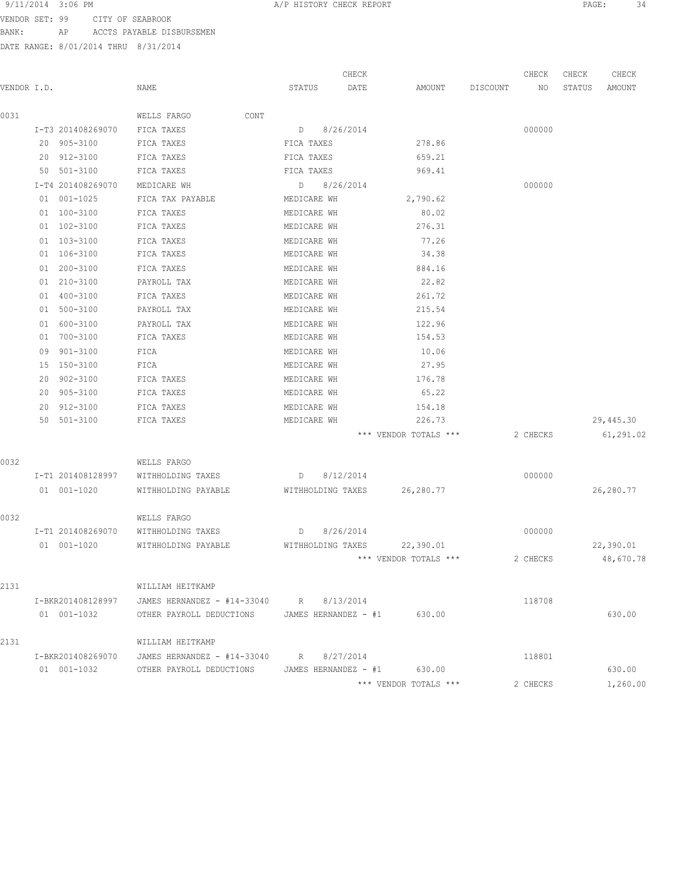# 9/11/2014 3:06 PM **PAGE:** 34

VENDOR SET: 99 CITY OF SEABROOK BANK: AP ACCTS PAYABLE DISBURSEMEN

|             |                   |                                         |                      | CHECK     |                       |          | CHECK    | CHECK  | CHECK      |
|-------------|-------------------|-----------------------------------------|----------------------|-----------|-----------------------|----------|----------|--------|------------|
| VENDOR I.D. |                   | NAME                                    | STATUS               | DATE      | AMOUNT                | DISCOUNT | NO       | STATUS | AMOUNT     |
| 0031        |                   | WELLS FARGO<br>CONT                     |                      |           |                       |          |          |        |            |
|             | I-T3 201408269070 | FICA TAXES                              | $D \qquad \qquad$    | 8/26/2014 |                       |          | 000000   |        |            |
|             | 20 905-3100       | FICA TAXES                              | FICA TAXES           |           | 278.86                |          |          |        |            |
|             | 20 912-3100       | FICA TAXES                              | FICA TAXES           |           | 659.21                |          |          |        |            |
|             | 50 501-3100       | FICA TAXES                              | FICA TAXES           |           | 969.41                |          |          |        |            |
|             | I-T4 201408269070 | MEDICARE WH                             | D 8/26/2014          |           |                       |          | 000000   |        |            |
|             | 01 001-1025       | FICA TAX PAYABLE                        | MEDICARE WH          |           | 2,790.62              |          |          |        |            |
|             | 01 100-3100       | FICA TAXES                              | MEDICARE WH          |           | 80.02                 |          |          |        |            |
|             | 01 102-3100       | FICA TAXES                              | MEDICARE WH          |           | 276.31                |          |          |        |            |
|             | 01 103-3100       | FICA TAXES                              | MEDICARE WH          |           | 77.26                 |          |          |        |            |
|             | 01 106-3100       | FICA TAXES                              | MEDICARE WH          |           | 34.38                 |          |          |        |            |
|             | 01 200-3100       | FICA TAXES                              | MEDICARE WH          |           | 884.16                |          |          |        |            |
|             | 01 210-3100       | PAYROLL TAX                             | MEDICARE WH          |           | 22.82                 |          |          |        |            |
|             | 400-3100<br>01    | FICA TAXES                              | MEDICARE WH          |           | 261.72                |          |          |        |            |
|             | 01 500-3100       | PAYROLL TAX                             | MEDICARE WH          |           | 215.54                |          |          |        |            |
|             | 600-3100<br>01    | PAYROLL TAX                             | MEDICARE WH          |           | 122.96                |          |          |        |            |
|             | 01 700-3100       | FICA TAXES                              | MEDICARE WH          |           | 154.53                |          |          |        |            |
|             | 09 901-3100       | FICA                                    | MEDICARE WH          |           | 10.06                 |          |          |        |            |
|             | 15 150-3100       | FICA                                    | MEDICARE WH          |           | 27.95                 |          |          |        |            |
|             | 902-3100<br>20    | FICA TAXES                              | MEDICARE WH          |           | 176.78                |          |          |        |            |
|             | 905-3100<br>20    | FICA TAXES                              | MEDICARE WH          |           | 65.22                 |          |          |        |            |
|             | 912-3100<br>20    | FICA TAXES                              | MEDICARE WH          |           | 154.18                |          |          |        |            |
|             | 50 501-3100       | FICA TAXES                              | MEDICARE WH          |           | 226.73                |          |          |        | 29,445.30  |
|             |                   |                                         |                      |           | *** VENDOR TOTALS *** |          | 2 CHECKS |        | 61, 291.02 |
| 0032        |                   | WELLS FARGO                             |                      |           |                       |          |          |        |            |
|             | I-T1 201408128997 | WITHHOLDING TAXES                       | $D \qquad \qquad$    | 8/12/2014 |                       |          | 000000   |        |            |
|             | 01 001-1020       | WITHHOLDING PAYABLE                     | WITHHOLDING TAXES    |           | 26,280.77             |          |          |        | 26,280.77  |
| 0032        |                   | WELLS FARGO                             |                      |           |                       |          |          |        |            |
|             | I-T1 201408269070 | WITHHOLDING TAXES                       | $D \qquad \qquad$    | 8/26/2014 |                       |          | 000000   |        |            |
|             | 01 001-1020       | WITHHOLDING PAYABLE                     | WITHHOLDING TAXES    |           | 22,390.01             |          |          |        | 22,390.01  |
|             |                   |                                         |                      |           | *** VENDOR TOTALS *** |          | 2 CHECKS |        | 48,670.78  |
| 2131        |                   | WILLIAM HEITKAMP                        |                      |           |                       |          |          |        |            |
|             | I-BKR201408128997 | JAMES HERNANDEZ - #14-33040 R 8/13/2014 |                      |           |                       |          | 118708   |        |            |
|             | 01 001-1032       | OTHER PAYROLL DEDUCTIONS                | JAMES HERNANDEZ - #1 |           | 630.00                |          |          |        | 630.00     |
| 2131        |                   | WILLIAM HEITKAMP                        |                      |           |                       |          |          |        |            |
|             | I-BKR201408269070 | JAMES HERNANDEZ - #14-33040             | R 8/27/2014          |           |                       |          | 118801   |        |            |
|             | 01 001-1032       | OTHER PAYROLL DEDUCTIONS                | JAMES HERNANDEZ - #1 |           | 630.00                |          |          |        | 630.00     |
|             |                   |                                         |                      |           | *** VENDOR TOTALS *** |          | 2 CHECKS |        | 1,260.00   |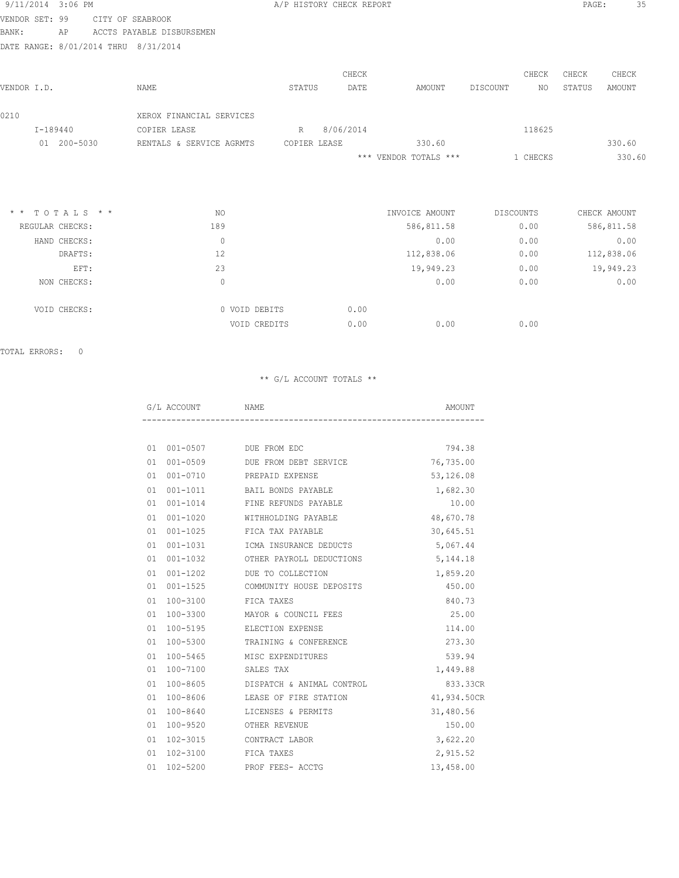| 9/11/2014 3:06 PM |                            |                           |              | A/P HISTORY CHECK REPORT |                       |           |          | PAGE:  | 35           |
|-------------------|----------------------------|---------------------------|--------------|--------------------------|-----------------------|-----------|----------|--------|--------------|
| VENDOR SET: 99    |                            | CITY OF SEABROOK          |              |                          |                       |           |          |        |              |
| <b>BANK:</b>      | ΑP                         | ACCTS PAYABLE DISBURSEMEN |              |                          |                       |           |          |        |              |
|                   | DATE RANGE: 8/01/2014 THRU | 8/31/2014                 |              |                          |                       |           |          |        |              |
|                   |                            |                           |              | CHECK                    |                       |           | CHECK    | CHECK  | CHECK        |
| VENDOR I.D.       |                            | NAME                      | STATUS       | DATE                     | AMOUNT                | DISCOUNT  | NO       | STATUS | AMOUNT       |
| 0210              |                            | XEROX FINANCIAL SERVICES  |              |                          |                       |           |          |        |              |
| I-189440          |                            | COPIER LEASE              | R            | 8/06/2014                |                       |           | 118625   |        |              |
|                   | 01 200-5030                | RENTALS & SERVICE AGRMTS  | COPIER LEASE |                          | 330.60                |           |          |        | 330.60       |
|                   |                            |                           |              |                          | *** VENDOR TOTALS *** |           | 1 CHECKS |        | 330.60       |
|                   |                            |                           |              |                          |                       |           |          |        |              |
|                   | $*$ * TOTALS * *           | NO.                       |              |                          | INVOICE AMOUNT        | DISCOUNTS |          |        | CHECK AMOUNT |
| REGULAR CHECKS:   |                            | 189                       |              |                          | 586,811.58            |           | 0.00     |        | 586,811.58   |
|                   | HAND CHECKS:               | $\overline{0}$            |              |                          | 0.00                  |           | 0.00     |        | 0.00         |
|                   | DRAFTS:                    | 12                        |              |                          | 112,838.06            |           | 0.00     |        | 112,838.06   |
|                   | EFT:                       | 23                        |              |                          | 19,949.23             |           | 0.00     |        | 19,949.23    |
|                   | NON CHECKS:                | $\circ$                   |              |                          | 0.00                  |           | 0.00     |        | 0.00         |

| VOID CHECKS: | 0 VOID DEBITS | 0.00 |      |      |
|--------------|---------------|------|------|------|
|              | VOID CREDITS  | 0.00 | 0.00 | 0.00 |

|    | G/L ACCOUNT NAME          |                                       | AMOUNT      |
|----|---------------------------|---------------------------------------|-------------|
|    |                           |                                       |             |
|    | 01 001-0507 DUE FROM EDC  |                                       | 794.38      |
|    |                           | 01 001-0509 DUE FROM DEBT SERVICE     | 76,735.00   |
|    |                           | 01 001-0710 PREPAID EXPENSE           | 53,126.08   |
| 01 |                           | 001-1011 BAIL BONDS PAYABLE           | 1,682.30    |
|    |                           | 01 001-1014 FINE REFUNDS PAYABLE      | 10.00       |
|    |                           | 01  001-1020    WITHHOLDING PAYABLE   | 48,670.78   |
|    |                           | 01 001-1025 FICA TAX PAYABLE          | 30,645.51   |
|    |                           | 01 001-1031 ICMA INSURANCE DEDUCTS    | 5,067.44    |
|    |                           | 01 001-1032 OTHER PAYROLL DEDUCTIONS  | 5,144.18    |
|    |                           | 01 001-1202 DUE TO COLLECTION         | 1,859.20    |
|    |                           | 01 001-1525 COMMUNITY HOUSE DEPOSITS  | 450.00      |
|    | 01 100-3100 FICA TAXES    |                                       | 840.73      |
|    |                           | 01 100-3300 MAYOR & COUNCIL FEES      | 25.00       |
| 01 |                           | 100-5195 ELECTION EXPENSE             | 114.00      |
|    |                           | 01 100-5300 TRAINING & CONFERENCE     | 273.30      |
|    |                           | 01 100-5465 MISC EXPENDITURES         | 539.94      |
|    | 01 100-7100 SALES TAX     |                                       | 1,449.88    |
|    |                           | 01 100-8605 DISPATCH & ANIMAL CONTROL | 833.33CR    |
|    |                           | 01 100-8606 LEASE OF FIRE STATION     | 41,934.50CR |
|    |                           | 01 100-8640 LICENSES & PERMITS        | 31,480.56   |
|    | 01 100-9520 OTHER REVENUE |                                       | 150.00      |
| 01 |                           | 102-3015 CONTRACT LABOR               | 3,622.20    |
|    | 01 102-3100 FICA TAXES    |                                       | 2,915.52    |
|    |                           | 01  102-5200   PROF FEES- ACCTG       | 13,458.00   |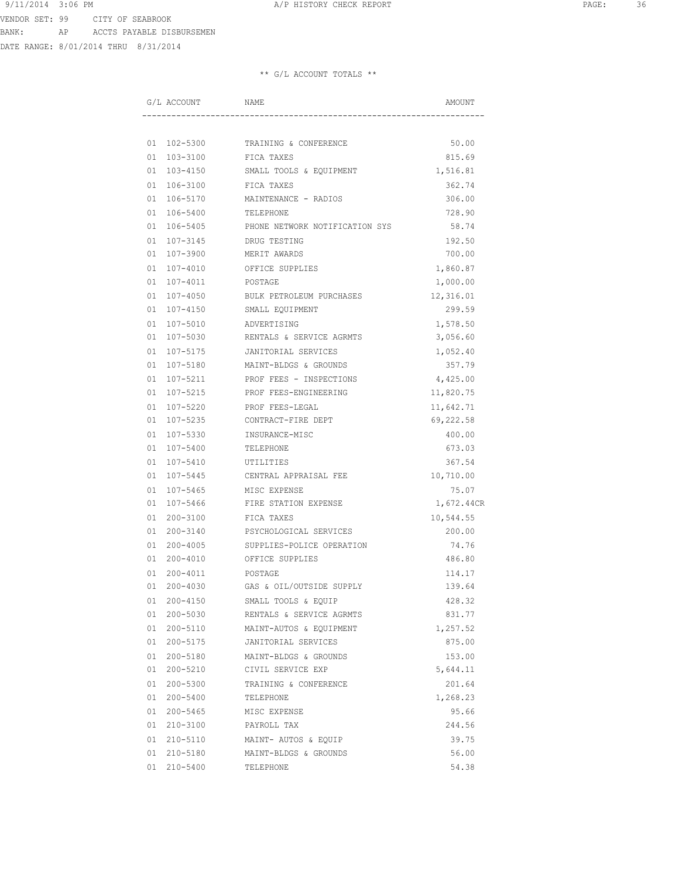DATE RANGE: 8/01/2014 THRU 8/31/2014

|  | G/L ACCOUNT | NAME                               | AMOUNT     |
|--|-------------|------------------------------------|------------|
|  |             |                                    |            |
|  |             | 01 102-5300 TRAINING & CONFERENCE  | 50.00      |
|  |             | 01 103-3100 FICA TAXES             | 815.69     |
|  | 01 103-4150 | SMALL TOOLS & EQUIPMENT            | 1,516.81   |
|  |             | 01 106-3100 FICA TAXES             | 362.74     |
|  |             | 01 106-5170 MAINTENANCE - RADIOS   | 306.00     |
|  | 01 106-5400 | TELEPHONE                          | 728.90     |
|  | 01 106-5405 | PHONE NETWORK NOTIFICATION SYS     | 58.74      |
|  | 01 107-3145 | DRUG TESTING                       | 192.50     |
|  | 01 107-3900 | MERIT AWARDS                       | 700.00     |
|  | 01 107-4010 | OFFICE SUPPLIES                    | 1,860.87   |
|  | 01 107-4011 | POSTAGE                            | 1,000.00   |
|  | 01 107-4050 | BULK PETROLEUM PURCHASES           | 12,316.01  |
|  | 01 107-4150 | SMALL EQUIPMENT                    | 299.59     |
|  | 01 107-5010 | ADVERTISING                        | 1,578.50   |
|  | 01 107-5030 | RENTALS & SERVICE AGRMTS           | 3,056.60   |
|  |             | 01 107-5175 JANITORIAL SERVICES    | 1,052.40   |
|  |             | 01 107-5180 MAINT-BLDGS & GROUNDS  | 357.79     |
|  | 01 107-5211 | PROF FEES - INSPECTIONS            | 4,425.00   |
|  | 01 107-5215 | PROF FEES-ENGINEERING              | 11,820.75  |
|  | 01 107-5220 | PROF FEES-LEGAL                    | 11,642.71  |
|  | 01 107-5235 | CONTRACT-FIRE DEPT                 | 69,222.58  |
|  | 01 107-5330 | INSURANCE-MISC                     | 400.00     |
|  | 01 107-5400 | TELEPHONE                          | 673.03     |
|  | 01 107-5410 | UTILITIES                          | 367.54     |
|  | 01 107-5445 | CENTRAL APPRAISAL FEE              | 10,710.00  |
|  | 01 107-5465 | MISC EXPENSE                       | 75.07      |
|  | 01 107-5466 | FIRE STATION EXPENSE               | 1,672.44CR |
|  |             | 01 200-3100 FICA TAXES             | 10,544.55  |
|  |             | 01 200-3140 PSYCHOLOGICAL SERVICES | 200.00     |
|  | 01 200-4005 | SUPPLIES-POLICE OPERATION          | 74.76      |
|  | 01 200-4010 | OFFICE SUPPLIES                    | 486.80     |
|  | 01 200-4011 | POSTAGE                            | 114.17     |
|  | 01 200-4030 | GAS & OIL/OUTSIDE SUPPLY           | 139.64     |
|  | 01 200-4150 | SMALL TOOLS & EQUIP                | 428.32     |
|  | 01 200-5030 | RENTALS & SERVICE AGRMTS           | 831.77     |
|  | 01 200-5110 | MAINT-AUTOS & EQUIPMENT            | 1,257.52   |
|  | 01 200-5175 | JANITORIAL SERVICES                | 875.00     |
|  | 01 200-5180 | MAINT-BLDGS & GROUNDS              | 153.00     |
|  | 01 200-5210 | CIVIL SERVICE EXP                  | 5,644.11   |
|  | 01 200-5300 | TRAINING & CONFERENCE              | 201.64     |
|  | 01 200-5400 | TELEPHONE                          | 1,268.23   |
|  | 01 200-5465 | MISC EXPENSE                       | 95.66      |
|  | 01 210-3100 | PAYROLL TAX                        | 244.56     |
|  | 01 210-5110 | MAINT- AUTOS & EQUIP               | 39.75      |
|  | 01 210-5180 | MAINT-BLDGS & GROUNDS              | 56.00      |
|  | 01 210-5400 | TELEPHONE                          | 54.38      |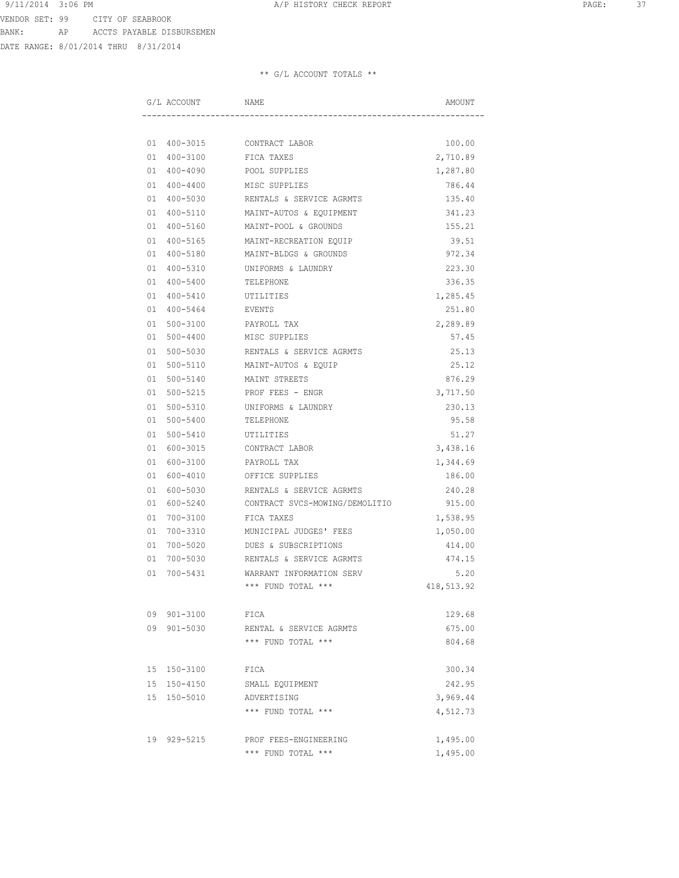DATE RANGE: 8/01/2014 THRU 8/31/2014

|  | G/L ACCOUNT NAME |                                      | AMOUNT     |
|--|------------------|--------------------------------------|------------|
|  |                  |                                      |            |
|  |                  | 01 400-3015 CONTRACT LABOR           | 100.00     |
|  | 01 400-3100      | FICA TAXES                           | 2,710.89   |
|  | 01 400-4090      | POOL SUPPLIES                        | 1,287.80   |
|  | 01 400-4400      | MISC SUPPLIES                        | 786.44     |
|  | 01 400-5030      | RENTALS & SERVICE AGRMTS             | 135.40     |
|  | 01 400-5110      | MAINT-AUTOS & EQUIPMENT              | 341.23     |
|  |                  | 01 400-5160 MAINT-POOL & GROUNDS     | 155.21     |
|  |                  | 01 400-5165 MAINT-RECREATION EQUIP   | 39.51      |
|  |                  | 01 400-5180 MAINT-BLDGS & GROUNDS    | 972.34     |
|  |                  | 01 400-5310 UNIFORMS & LAUNDRY       | 223.30     |
|  |                  | 01  400-5400  TELEPHONE              | 336.35     |
|  |                  | 01 400-5410 UTILITIES                | 1,285.45   |
|  | 01 400-5464      | <b>EVENTS</b>                        | 251.80     |
|  | 01 500-3100      | PAYROLL TAX                          | 2,289.89   |
|  | 01 500-4400      | MISC SUPPLIES                        | 57.45      |
|  | 01 500-5030      | RENTALS & SERVICE AGRMTS             | 25.13      |
|  | 01 500-5110      | MAINT-AUTOS & EQUIP                  | 25.12      |
|  | 01 500-5140      | MAINT STREETS                        | 876.29     |
|  |                  | 01 500-5215 PROF FEES - ENGR         | 3,717.50   |
|  |                  | 01 500-5310 UNIFORMS & LAUNDRY       | 230.13     |
|  |                  | 01 500-5400 TELEPHONE                | 95.58      |
|  |                  | 01 500-5410 UTILITIES                | 51.27      |
|  |                  | 01 600-3015 CONTRACT LABOR           | 3,438.16   |
|  |                  | 01 600-3100 PAYROLL TAX              |            |
|  | 01 600-4010      | OFFICE SUPPLIES                      | 1,344.69   |
|  |                  |                                      | 186.00     |
|  | 01 600-5030      | RENTALS & SERVICE AGRMTS             | 240.28     |
|  | 01 600-5240      | CONTRACT SVCS-MOWING/DEMOLITIO       | 915.00     |
|  | 01 700-3100      | FICA TAXES                           | 1,538.95   |
|  | 01 700-3310      | MUNICIPAL JUDGES' FEES               | 1,050.00   |
|  | 01 700-5020      | DUES & SUBSCRIPTIONS                 | 414.00     |
|  |                  | 01 700-5030 RENTALS & SERVICE AGRMTS | 474.15     |
|  |                  | 01 700-5431 WARRANT INFORMATION SERV | 5.20       |
|  |                  | *** FUND TOTAL ***                   | 418,513.92 |
|  | 09 901-3100      | FICA                                 | 129.68     |
|  | 09 901-5030      | RENTAL & SERVICE AGRMTS              | 675.00     |
|  |                  | *** FUND TOTAL ***                   | 804.68     |
|  | 15 150-3100      |                                      | 300.34     |
|  |                  | FICA                                 |            |
|  | 15 150-4150      | SMALL EQUIPMENT                      | 242.95     |
|  | 15 150-5010      | ADVERTISING                          | 3,969.44   |
|  |                  | *** FUND TOTAL ***                   | 4,512.73   |
|  | 19 929-5215      | PROF FEES-ENGINEERING                | 1,495.00   |
|  |                  | *** FUND TOTAL ***                   | 1,495.00   |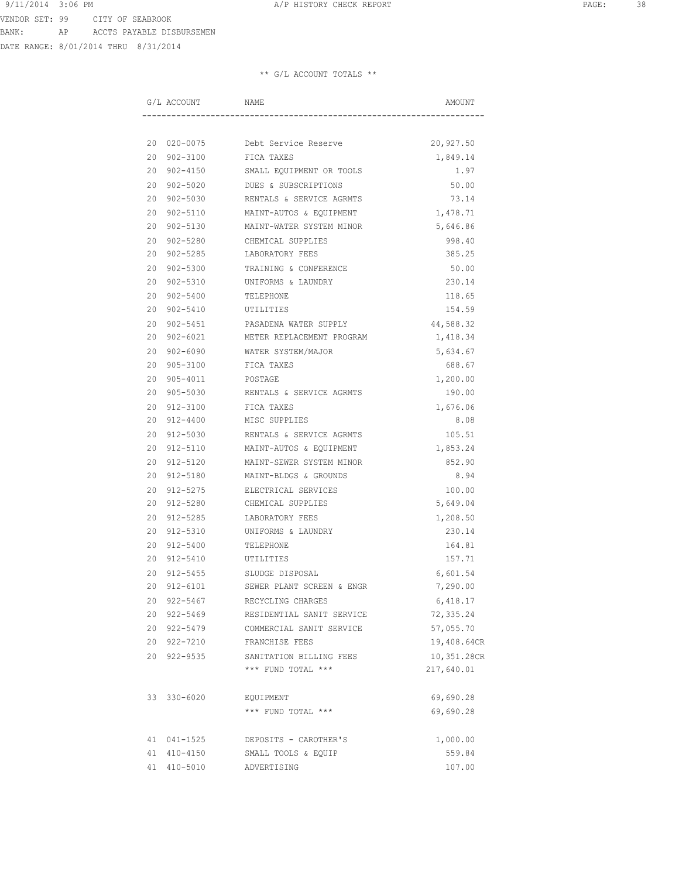DATE RANGE: 8/01/2014 THRU 8/31/2014

|    | G/L ACCOUNT | NAME                                  | AMOUNT      |
|----|-------------|---------------------------------------|-------------|
|    |             |                                       |             |
|    |             | 20 020-0075 Debt Service Reserve      | 20,927.50   |
|    |             | 20 902-3100 FICA TAXES                | 1,849.14    |
|    |             | 20 902-4150 SMALL EQUIPMENT OR TOOLS  | 1.97        |
|    |             | 20 902-5020 DUES & SUBSCRIPTIONS      | 50.00       |
|    | 20 902-5030 | RENTALS & SERVICE AGRMTS              | 73.14       |
|    | 20 902-5110 | MAINT-AUTOS & EQUIPMENT               | 1,478.71    |
|    | 20 902-5130 | MAINT-WATER SYSTEM MINOR              | 5,646.86    |
|    | 20 902-5280 | CHEMICAL SUPPLIES                     | 998.40      |
|    | 20 902-5285 | LABORATORY FEES                       | 385.25      |
|    | 20 902-5300 | TRAINING & CONFERENCE                 | 50.00       |
|    | 20 902-5310 | UNIFORMS & LAUNDRY                    | 230.14      |
|    | 20 902-5400 | TELEPHONE                             | 118.65      |
|    | 20 902-5410 | UTILITIES                             | 154.59      |
|    |             | 20 902-5451 PASADENA WATER SUPPLY     | 44,588.32   |
|    |             | 20 902-6021 METER REPLACEMENT PROGRAM | 1,418.34    |
|    | 20 902-6090 | WATER SYSTEM/MAJOR                    | 5,634.67    |
|    | 20 905-3100 | FICA TAXES                            | 688.67      |
|    | 20 905-4011 | POSTAGE                               | 1,200.00    |
|    | 20 905-5030 | RENTALS & SERVICE AGRMTS              | 190.00      |
|    | 20 912-3100 | FICA TAXES                            | 1,676.06    |
|    | 20 912-4400 | MISC SUPPLIES                         | 8.08        |
|    | 20 912-5030 | RENTALS & SERVICE AGRMTS              | 105.51      |
|    | 20 912-5110 | MAINT-AUTOS & EQUIPMENT               | 1,853.24    |
|    | 20 912-5120 | MAINT-SEWER SYSTEM MINOR              | 852.90      |
|    | 20 912-5180 | MAINT-BLDGS & GROUNDS                 | 8.94        |
|    | 20 912-5275 | ELECTRICAL SERVICES                   | 100.00      |
|    |             | 20 912-5280 CHEMICAL SUPPLIES         | 5,649.04    |
| 20 | 912-5285    | LABORATORY FEES                       | 1,208.50    |
|    | 20 912-5310 | UNIFORMS & LAUNDRY                    | 230.14      |
|    | 20 912-5400 | TELEPHONE                             | 164.81      |
|    | 20 912-5410 | UTILITIES                             | 157.71      |
|    | 20 912-5455 | SLUDGE DISPOSAL                       | 6,601.54    |
|    | 20 912-6101 | SEWER PLANT SCREEN & ENGR             | 7,290.00    |
|    | 20 922-5467 | RECYCLING CHARGES                     | 6,418.17    |
|    | 20 922-5469 | RESIDENTIAL SANIT SERVICE             | 72,335.24   |
|    | 20 922-5479 | COMMERCIAL SANIT SERVICE              | 57,055.70   |
|    | 20 922-7210 | FRANCHISE FEES                        | 19,408.64CR |
|    | 20 922-9535 | SANITATION BILLING FEES               | 10,351.28CR |
|    |             | *** FUND TOTAL ***                    | 217,640.01  |
|    | 33 330-6020 | EQUIPMENT                             | 69,690.28   |
|    |             | *** FUND TOTAL ***                    | 69,690.28   |
|    |             |                                       |             |
|    | 41 041-1525 | DEPOSITS - CAROTHER'S                 | 1,000.00    |
|    | 41 410-4150 | SMALL TOOLS & EQUIP                   | 559.84      |
|    | 41 410-5010 | ADVERTISING                           | 107.00      |
|    |             |                                       |             |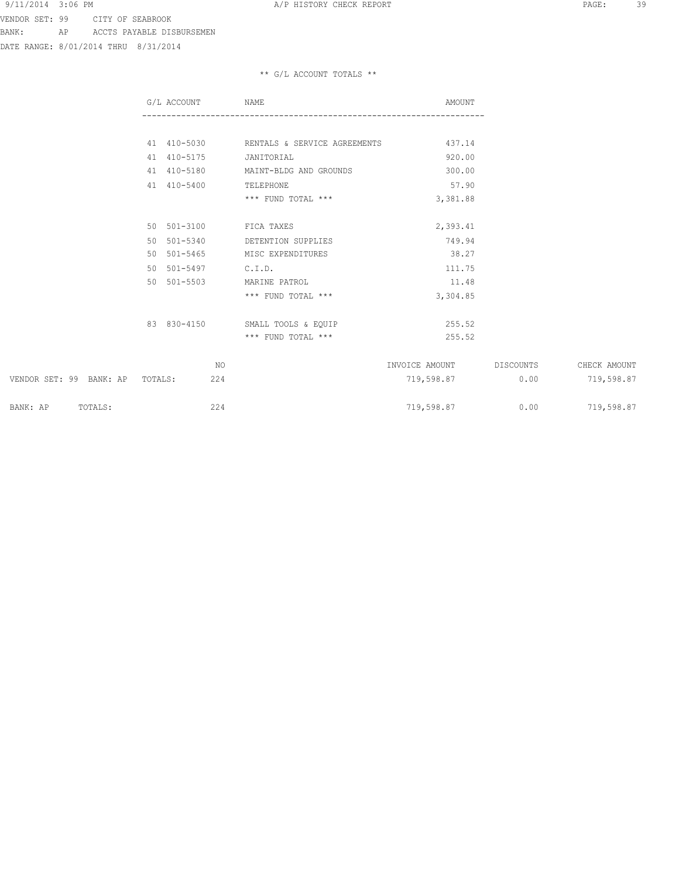DATE RANGE: 8/01/2014 THRU 8/31/2014

|                                 | G/L ACCOUNT |     | NAME                                     | AMOUNT         |           |              |
|---------------------------------|-------------|-----|------------------------------------------|----------------|-----------|--------------|
|                                 |             |     |                                          |                |           |              |
|                                 |             |     | 41 410-5030 RENTALS & SERVICE AGREEMENTS | 437.14         |           |              |
|                                 | 41 410-5175 |     | JANITORIAL                               | 920.00         |           |              |
|                                 | 41 410-5180 |     | MAINT-BLDG AND GROUNDS                   | 300.00         |           |              |
|                                 | 41 410-5400 |     | TELEPHONE                                | 57.90          |           |              |
|                                 |             |     | *** FUND TOTAL ***                       | 3,381.88       |           |              |
|                                 |             |     |                                          |                |           |              |
|                                 | 50 501-3100 |     | FICA TAXES                               | 2,393.41       |           |              |
|                                 | 50 501-5340 |     | DETENTION SUPPLIES                       | 749.94         |           |              |
|                                 | 50 501-5465 |     | MISC EXPENDITURES                        | 38.27          |           |              |
|                                 | 50 501-5497 |     | C.I.D.                                   | 111.75         |           |              |
|                                 | 50 501-5503 |     | MARINE PATROL                            | 11.48          |           |              |
|                                 |             |     | *** FUND TOTAL ***                       | 3,304.85       |           |              |
|                                 |             |     |                                          |                |           |              |
|                                 |             |     | 83 830-4150 SMALL TOOLS & EQUIP          | 255.52         |           |              |
|                                 |             |     | *** FUND TOTAL ***                       | 255.52         |           |              |
|                                 |             | NO. |                                          | INVOICE AMOUNT | DISCOUNTS | CHECK AMOUNT |
|                                 |             |     |                                          |                |           |              |
| VENDOR SET: 99 BANK: AP TOTALS: |             | 224 |                                          | 719,598.87     | 0.00      | 719,598.87   |
| TOTALS:<br>BANK: AP             |             | 224 |                                          | 719,598.87     | 0.00      | 719,598.87   |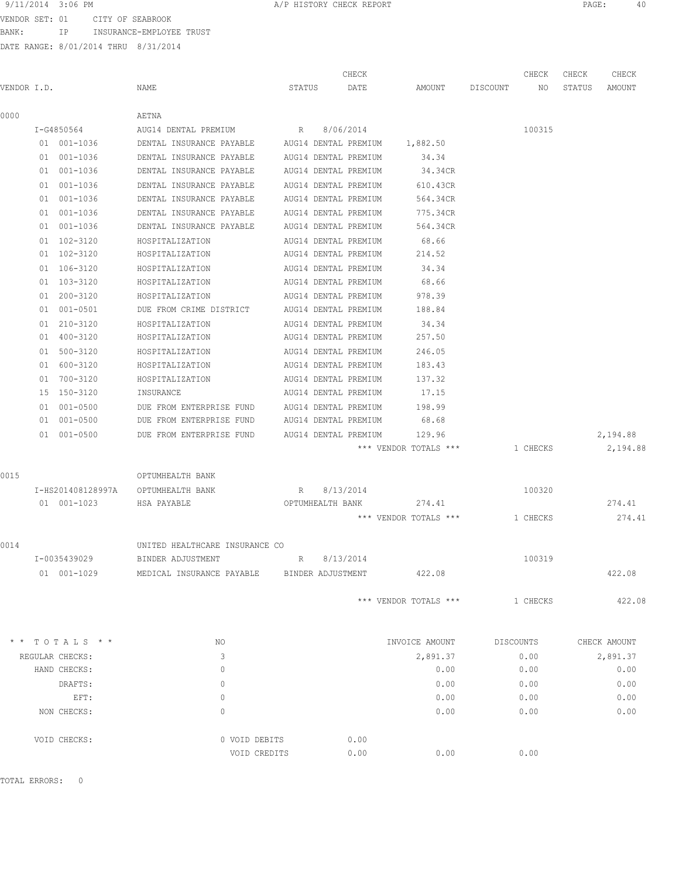9/11/2014 3:06 PM PAGE: 40 ב-11/2014 3:06 PM A/P HISTORY CHECK REPORT<br>VENDOR SFT: 01 היסטומבקס הייזור היידי האיזיר היידור היידור היידור היידור היידור היידור היידור היידור היידור הי

VENDOR SET: 01 CITY OF SEABROOK BANK: IP INSURANCE-EMPLOYEE TRUST

DATE RANGE: 8/01/2014 THRU 8/31/2014

|             |                   |                                |                      | CHECK                |                       |          | CHECK     | CHECK  | CHECK        |
|-------------|-------------------|--------------------------------|----------------------|----------------------|-----------------------|----------|-----------|--------|--------------|
| VENDOR I.D. |                   | NAME                           | STATUS               | DATE                 | AMOUNT                | DISCOUNT | NO.       | STATUS | AMOUNT       |
| 0000        |                   | AETNA                          |                      |                      |                       |          |           |        |              |
|             | I-G4850564        | AUG14 DENTAL PREMIUM           | R                    | 8/06/2014            |                       |          | 100315    |        |              |
|             | 01 001-1036       | DENTAL INSURANCE PAYABLE       |                      | AUG14 DENTAL PREMIUM | 1,882.50              |          |           |        |              |
|             | 01 001-1036       | DENTAL INSURANCE PAYABLE       |                      | AUG14 DENTAL PREMIUM | 34.34                 |          |           |        |              |
|             | 01 001-1036       | DENTAL INSURANCE PAYABLE       |                      | AUG14 DENTAL PREMIUM | 34.34CR               |          |           |        |              |
|             | 01 001-1036       | DENTAL INSURANCE PAYABLE       |                      | AUG14 DENTAL PREMIUM | 610.43CR              |          |           |        |              |
|             | 01 001-1036       | DENTAL INSURANCE PAYABLE       |                      | AUG14 DENTAL PREMIUM | 564.34CR              |          |           |        |              |
|             | 01 001-1036       | DENTAL INSURANCE PAYABLE       |                      | AUG14 DENTAL PREMIUM | 775.34CR              |          |           |        |              |
|             | 01 001-1036       | DENTAL INSURANCE PAYABLE       |                      | AUG14 DENTAL PREMIUM | 564.34CR              |          |           |        |              |
|             | 01 102-3120       | HOSPITALIZATION                |                      | AUG14 DENTAL PREMIUM | 68.66                 |          |           |        |              |
|             | 01 102-3120       | HOSPITALIZATION                |                      | AUG14 DENTAL PREMIUM | 214.52                |          |           |        |              |
|             | 01 106-3120       | HOSPITALIZATION                |                      | AUG14 DENTAL PREMIUM | 34.34                 |          |           |        |              |
|             | 01 103-3120       | HOSPITALIZATION                |                      | AUG14 DENTAL PREMIUM | 68.66                 |          |           |        |              |
|             | 01 200-3120       | HOSPITALIZATION                |                      | AUG14 DENTAL PREMIUM | 978.39                |          |           |        |              |
|             | 01 001-0501       | DUE FROM CRIME DISTRICT        |                      | AUG14 DENTAL PREMIUM | 188.84                |          |           |        |              |
|             | 01 210-3120       | HOSPITALIZATION                |                      | AUG14 DENTAL PREMIUM | 34.34                 |          |           |        |              |
|             | 01 400-3120       | HOSPITALIZATION                |                      | AUG14 DENTAL PREMIUM | 257.50                |          |           |        |              |
|             | 01 500-3120       | HOSPITALIZATION                |                      | AUG14 DENTAL PREMIUM | 246.05                |          |           |        |              |
|             | 01 600-3120       | HOSPITALIZATION                |                      | AUG14 DENTAL PREMIUM | 183.43                |          |           |        |              |
|             | 01 700-3120       | HOSPITALIZATION                |                      | AUG14 DENTAL PREMIUM | 137.32                |          |           |        |              |
|             | 15 150-3120       | INSURANCE                      |                      | AUG14 DENTAL PREMIUM | 17.15                 |          |           |        |              |
|             | 01 001-0500       | DUE FROM ENTERPRISE FUND       | AUG14 DENTAL PREMIUM |                      | 198.99                |          |           |        |              |
|             | 01 001-0500       | DUE FROM ENTERPRISE FUND       | AUG14 DENTAL PREMIUM |                      | 68.68                 |          |           |        |              |
|             | 01 001-0500       | DUE FROM ENTERPRISE FUND       | AUG14 DENTAL PREMIUM |                      | 129.96                |          |           |        | 2,194.88     |
|             |                   |                                |                      |                      | *** VENDOR TOTALS *** |          | 1 CHECKS  |        | 2,194.88     |
| 0015        |                   | OPTUMHEALTH BANK               |                      |                      |                       |          |           |        |              |
|             | I-HS201408128997A | OPTUMHEALTH BANK               | R                    | 8/13/2014            |                       |          | 100320    |        |              |
|             | 01 001-1023       | HSA PAYABLE                    | OPTUMHEALTH BANK     |                      | 274.41                |          |           |        | 274.41       |
|             |                   |                                |                      |                      | *** VENDOR TOTALS *** |          | 1 CHECKS  |        | 274.41       |
| 0014        |                   | UNITED HEALTHCARE INSURANCE CO |                      |                      |                       |          |           |        |              |
|             | I-0035439029      | BINDER ADJUSTMENT              | R                    | 8/13/2014            |                       |          | 100319    |        |              |
|             | 01 001-1029       | MEDICAL INSURANCE PAYABLE      | BINDER ADJUSTMENT    |                      | 422.08                |          |           |        | 422.08       |
|             |                   |                                |                      |                      | *** VENDOR TOTALS *** |          | 1 CHECKS  |        | 422.08       |
|             | $*$ TOTALS $*$ *  | NO.                            |                      |                      | INVOICE AMOUNT        |          | DISCOUNTS |        | CHECK AMOUNT |
|             | REGULAR CHECKS:   | 3                              |                      |                      | 2,891.37              |          | 0.00      |        | 2,891.37     |
|             | HAND CHECKS:      | $\circ$                        |                      |                      | 0.00                  |          | 0.00      |        | 0.00         |
|             | DRAFTS:           | 0                              |                      |                      | 0.00                  |          | 0.00      |        | 0.00         |
|             | EFT:              | $\circ$                        |                      |                      | 0.00                  |          | 0.00      |        | 0.00         |
|             | NON CHECKS:       | 0                              |                      |                      | 0.00                  |          | 0.00      |        | 0.00         |
|             | VOID CHECKS:      | 0 VOID DEBITS                  |                      | 0.00                 |                       |          |           |        |              |
|             |                   | VOID CREDITS                   |                      | 0.00                 | 0.00                  |          | 0.00      |        |              |

TOTAL ERRORS: 0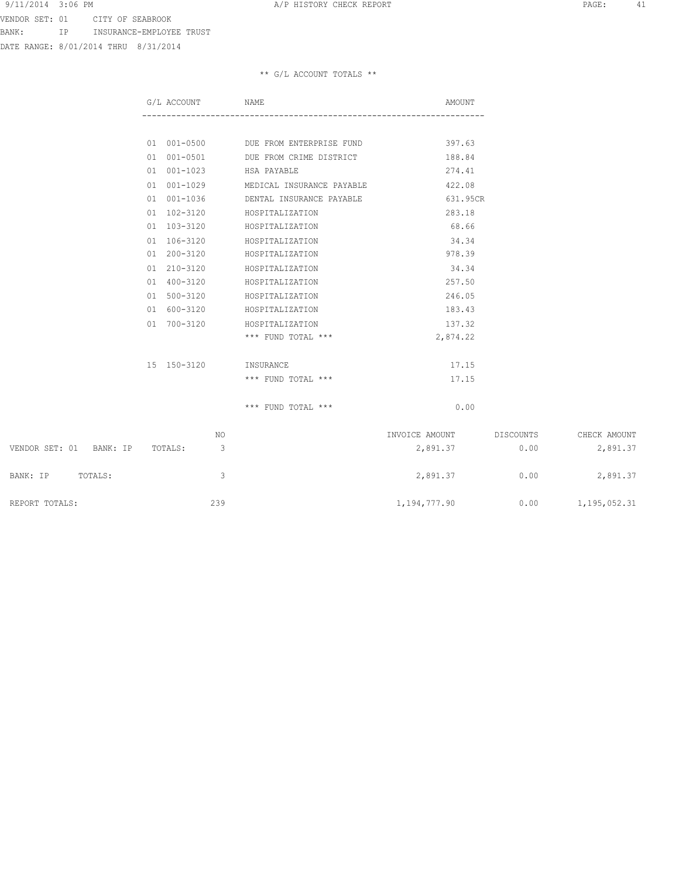VENDOR SET: 01 CITY OF SEABROOK BANK: IP INSURANCE-EMPLOYEE TRUST

DATE RANGE: 8/01/2014 THRU 8/31/2014

|                         | G/L ACCOUNT |    | NAME                                 | AMOUNT                   |      |              |
|-------------------------|-------------|----|--------------------------------------|--------------------------|------|--------------|
|                         |             |    |                                      |                          |      |              |
|                         |             |    | 01 001-0500 DUE FROM ENTERPRISE FUND | 397.63                   |      |              |
|                         | 01 001-0501 |    | DUE FROM CRIME DISTRICT              | 188.84                   |      |              |
|                         | 01 001-1023 |    | HSA PAYABLE                          | 274.41                   |      |              |
|                         | 01 001-1029 |    | MEDICAL INSURANCE PAYABLE            | 422.08                   |      |              |
|                         | 01 001-1036 |    | DENTAL INSURANCE PAYABLE             | 631.95CR                 |      |              |
|                         | 01 102-3120 |    | HOSPITALIZATION                      | 283.18                   |      |              |
|                         | 01 103-3120 |    | HOSPITALIZATION                      | 68.66                    |      |              |
|                         | 01 106-3120 |    | HOSPITALIZATION                      | 34.34                    |      |              |
|                         | 01 200-3120 |    | HOSPITALIZATION                      | 978.39                   |      |              |
|                         | 01 210-3120 |    | HOSPITALIZATION                      | 34.34                    |      |              |
|                         | 01 400-3120 |    | HOSPITALIZATION                      | 257.50                   |      |              |
|                         | 01 500-3120 |    | HOSPITALIZATION                      | 246.05                   |      |              |
|                         | 01 600-3120 |    | HOSPITALIZATION                      | 183.43                   |      |              |
|                         | 01 700-3120 |    | HOSPITALIZATION                      | 137.32                   |      |              |
|                         |             |    | *** FUND TOTAL ***                   | 2,874.22                 |      |              |
|                         | 15 150-3120 |    | INSURANCE                            | 17.15                    |      |              |
|                         |             |    | *** FUND TOTAL ***                   | 17.15                    |      |              |
|                         |             |    | $***$ FUND TOTAL $***$               | 0.00                     |      |              |
|                         |             | NO |                                      | INVOICE AMOUNT DISCOUNTS |      | CHECK AMOUNT |
| VENDOR SET: 01 BANK: IP | TOTALS:     | 3  |                                      | 2,891.37                 | 0.00 | 2,891.37     |

| VENDOR SET: 01<br>BANK: IP | TOTALS: | 2,891.37     | 0.00 | 2,891.37     |
|----------------------------|---------|--------------|------|--------------|
| BANK: IP<br>TOTALS:        |         | 2,891.37     | 0.00 | 2,891.37     |
| REPORT TOTALS:             | 239     | 1,194,777.90 | 0.00 | 1,195,052.31 |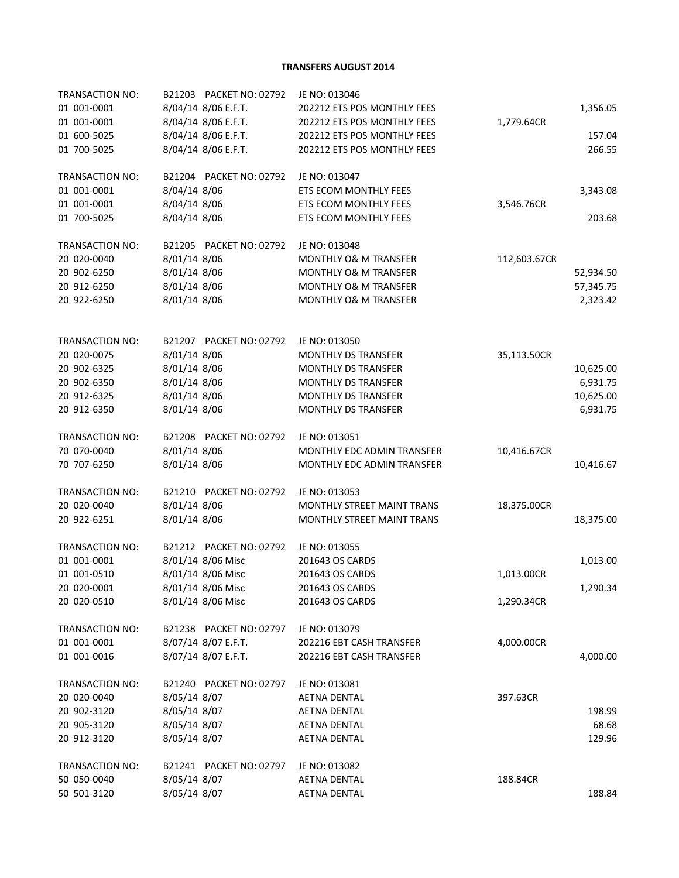**TRANSFERS AUGUST 2014**

| TRANSACTION NO:<br>01 001-0001 | B21203 PACKET NO: 02792<br>8/04/14 8/06 E.F.T. | JE NO: 013046<br>202212 ETS POS MONTHLY FEES |              | 1,356.05  |
|--------------------------------|------------------------------------------------|----------------------------------------------|--------------|-----------|
| 01 001-0001                    | 8/04/14 8/06 E.F.T.                            | 202212 ETS POS MONTHLY FEES                  | 1,779.64CR   |           |
| 01 600-5025                    | 8/04/14 8/06 E.F.T.                            | 202212 ETS POS MONTHLY FEES                  |              | 157.04    |
| 01 700-5025                    | 8/04/14 8/06 E.F.T.                            | 202212 ETS POS MONTHLY FEES                  |              | 266.55    |
| TRANSACTION NO:                | B21204 PACKET NO: 02792                        | JE NO: 013047                                |              |           |
| 01 001-0001                    | 8/04/14 8/06                                   | ETS ECOM MONTHLY FEES                        |              | 3,343.08  |
| 01 001-0001                    | 8/04/14 8/06                                   | ETS ECOM MONTHLY FEES                        | 3,546.76CR   |           |
| 01 700-5025                    | 8/04/14 8/06                                   | ETS ECOM MONTHLY FEES                        |              | 203.68    |
| TRANSACTION NO:                | B21205 PACKET NO: 02792                        | JE NO: 013048                                |              |           |
| 20 020-0040                    | 8/01/14 8/06                                   | MONTHLY O& M TRANSFER                        | 112,603.67CR |           |
| 20 902-6250                    | 8/01/14 8/06                                   | <b>MONTHLY O&amp; M TRANSFER</b>             |              | 52,934.50 |
| 20 912-6250                    | 8/01/14 8/06                                   | <b>MONTHLY O&amp; M TRANSFER</b>             |              | 57,345.75 |
| 20 922-6250                    | 8/01/14 8/06                                   | MONTHLY O& M TRANSFER                        |              | 2,323.42  |
| <b>TRANSACTION NO:</b>         | B21207 PACKET NO: 02792                        | JE NO: 013050                                |              |           |
| 20 020-0075                    | 8/01/14 8/06                                   | MONTHLY DS TRANSFER                          | 35,113.50CR  |           |
| 20 902-6325                    | 8/01/14 8/06                                   | <b>MONTHLY DS TRANSFER</b>                   |              | 10,625.00 |
| 20 902-6350                    | 8/01/14 8/06                                   | <b>MONTHLY DS TRANSFER</b>                   |              | 6,931.75  |
| 20 912-6325                    | 8/01/14 8/06                                   | MONTHLY DS TRANSFER                          |              | 10,625.00 |
| 20 912-6350                    | 8/01/14 8/06                                   | <b>MONTHLY DS TRANSFER</b>                   |              | 6,931.75  |
| TRANSACTION NO:                | B21208 PACKET NO: 02792                        | JE NO: 013051                                |              |           |
| 70 070-0040                    | 8/01/14 8/06                                   | MONTHLY EDC ADMIN TRANSFER                   | 10,416.67CR  |           |
| 70 707-6250                    | 8/01/14 8/06                                   | MONTHLY EDC ADMIN TRANSFER                   |              | 10,416.67 |
| TRANSACTION NO:                | B21210 PACKET NO: 02792                        | JE NO: 013053                                |              |           |
| 20 020-0040                    | 8/01/14 8/06                                   | <b>MONTHLY STREET MAINT TRANS</b>            | 18,375.00CR  |           |
| 20 922-6251                    | 8/01/14 8/06                                   | MONTHLY STREET MAINT TRANS                   |              | 18,375.00 |
| TRANSACTION NO:                | B21212 PACKET NO: 02792                        | JE NO: 013055                                |              |           |
| 01 001-0001                    | 8/01/14 8/06 Misc                              | 201643 OS CARDS                              |              | 1,013.00  |
| 01 001-0510                    | 8/01/14 8/06 Misc                              | 201643 OS CARDS                              | 1,013.00CR   |           |
| 20 020-0001                    | 8/01/14 8/06 Misc                              | 201643 OS CARDS                              |              | 1,290.34  |
| 20 020-0510                    | 8/01/14 8/06 Misc                              | 201643 OS CARDS                              | 1,290.34CR   |           |
| <b>TRANSACTION NO:</b>         | B21238 PACKET NO: 02797                        | JE NO: 013079                                |              |           |
| 01 001-0001                    | 8/07/14 8/07 E.F.T.                            | 202216 EBT CASH TRANSFER                     | 4,000.00CR   |           |
| 01 001-0016                    | 8/07/14 8/07 E.F.T.                            | 202216 EBT CASH TRANSFER                     |              | 4,000.00  |
| TRANSACTION NO:                | B21240 PACKET NO: 02797                        | JE NO: 013081                                |              |           |
| 20 020-0040                    | 8/05/14 8/07                                   | <b>AETNA DENTAL</b>                          | 397.63CR     |           |
| 20 902-3120                    | 8/05/14 8/07                                   | <b>AETNA DENTAL</b>                          |              | 198.99    |
| 20 905-3120                    | 8/05/14 8/07                                   | <b>AETNA DENTAL</b>                          |              | 68.68     |
| 20 912-3120                    | 8/05/14 8/07                                   | <b>AETNA DENTAL</b>                          |              | 129.96    |
| TRANSACTION NO:                |                                                | JE NO: 013082                                |              |           |
| 50 050-0040                    | 8/05/14 8/07                                   | <b>AETNA DENTAL</b>                          | 188.84CR     |           |
| 50 501-3120                    | 8/05/14 8/07                                   | <b>AETNA DENTAL</b>                          |              | 188.84    |